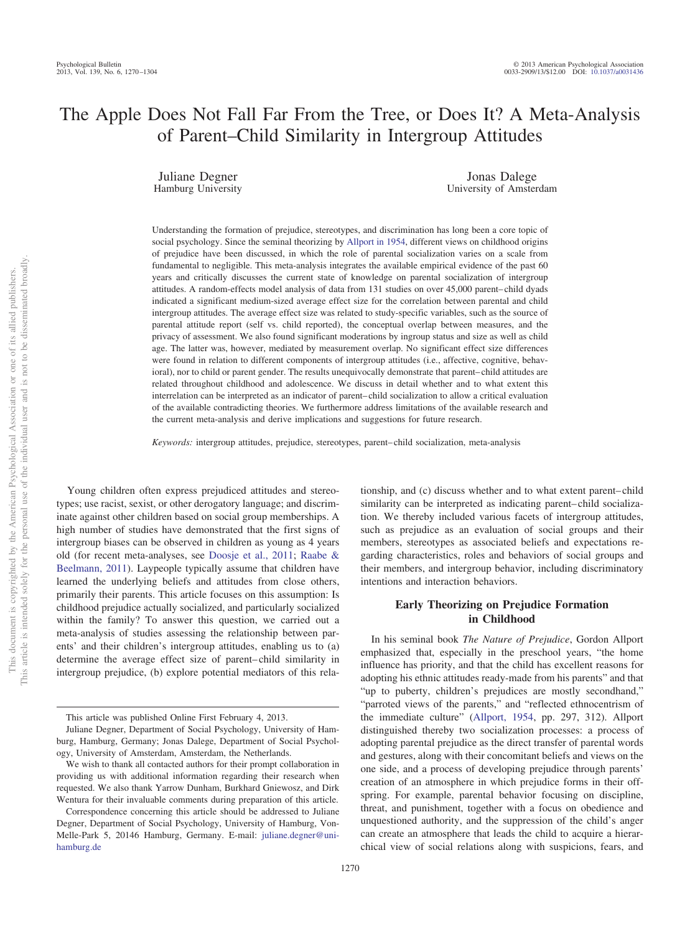### The Apple Does Not Fall Far From the Tree, or Does It? A Meta-Analysis of Parent–Child Similarity in Intergroup Attitudes

Juliane Degner Hamburg University

Jonas Dalege University of Amsterdam

Understanding the formation of prejudice, stereotypes, and discrimination has long been a core topic of social psychology. Since the seminal theorizing by [Allport in 1954,](#page-22-0) different views on childhood origins of prejudice have been discussed, in which the role of parental socialization varies on a scale from fundamental to negligible. This meta-analysis integrates the available empirical evidence of the past 60 years and critically discusses the current state of knowledge on parental socialization of intergroup attitudes. A random-effects model analysis of data from 131 studies on over 45,000 parent–child dyads indicated a significant medium-sized average effect size for the correlation between parental and child intergroup attitudes. The average effect size was related to study-specific variables, such as the source of parental attitude report (self vs. child reported), the conceptual overlap between measures, and the privacy of assessment. We also found significant moderations by ingroup status and size as well as child age. The latter was, however, mediated by measurement overlap. No significant effect size differences were found in relation to different components of intergroup attitudes (i.e., affective, cognitive, behavioral), nor to child or parent gender. The results unequivocally demonstrate that parent–child attitudes are related throughout childhood and adolescence. We discuss in detail whether and to what extent this interrelation can be interpreted as an indicator of parent–child socialization to allow a critical evaluation of the available contradicting theories. We furthermore address limitations of the available research and the current meta-analysis and derive implications and suggestions for future research.

*Keywords:* intergroup attitudes, prejudice, stereotypes, parent–child socialization, meta-analysis

Young children often express prejudiced attitudes and stereotypes; use racist, sexist, or other derogatory language; and discriminate against other children based on social group memberships. A high number of studies have demonstrated that the first signs of intergroup biases can be observed in children as young as 4 years old (for recent meta-analyses, see [Doosje et al., 2011;](#page-22-1) [Raabe &](#page-26-0) [Beelmann, 2011\)](#page-26-0). Laypeople typically assume that children have learned the underlying beliefs and attitudes from close others, primarily their parents. This article focuses on this assumption: Is childhood prejudice actually socialized, and particularly socialized within the family? To answer this question, we carried out a meta-analysis of studies assessing the relationship between parents' and their children's intergroup attitudes, enabling us to (a) determine the average effect size of parent–child similarity in intergroup prejudice, (b) explore potential mediators of this relationship, and (c) discuss whether and to what extent parent–child similarity can be interpreted as indicating parent–child socialization. We thereby included various facets of intergroup attitudes, such as prejudice as an evaluation of social groups and their members, stereotypes as associated beliefs and expectations regarding characteristics, roles and behaviors of social groups and their members, and intergroup behavior, including discriminatory intentions and interaction behaviors.

#### **Early Theorizing on Prejudice Formation in Childhood**

In his seminal book *The Nature of Prejudice*, Gordon Allport emphasized that, especially in the preschool years, "the home influence has priority, and that the child has excellent reasons for adopting his ethnic attitudes ready-made from his parents" and that "up to puberty, children's prejudices are mostly secondhand," "parroted views of the parents," and "reflected ethnocentrism of the immediate culture" [\(Allport, 1954,](#page-21-0) pp. 297, 312). Allport distinguished thereby two socialization processes: a process of adopting parental prejudice as the direct transfer of parental words and gestures, along with their concomitant beliefs and views on the one side, and a process of developing prejudice through parents' creation of an atmosphere in which prejudice forms in their offspring. For example, parental behavior focusing on discipline, threat, and punishment, together with a focus on obedience and unquestioned authority, and the suppression of the child's anger can create an atmosphere that leads the child to acquire a hierarchical view of social relations along with suspicions, fears, and

This article was published Online First February 4, 2013.

Juliane Degner, Department of Social Psychology, University of Hamburg, Hamburg, Germany; Jonas Dalege, Department of Social Psychology, University of Amsterdam, Amsterdam, the Netherlands.

We wish to thank all contacted authors for their prompt collaboration in providing us with additional information regarding their research when requested. We also thank Yarrow Dunham, Burkhard Gniewosz, and Dirk Wentura for their invaluable comments during preparation of this article.

Correspondence concerning this article should be addressed to Juliane Degner, Department of Social Psychology, University of Hamburg, Von-Melle-Park 5, 20146 Hamburg, Germany. E-mail: [juliane.degner@uni](mailto:juliane.degner@uni-hamburg.de)[hamburg.de](mailto:juliane.degner@uni-hamburg.de)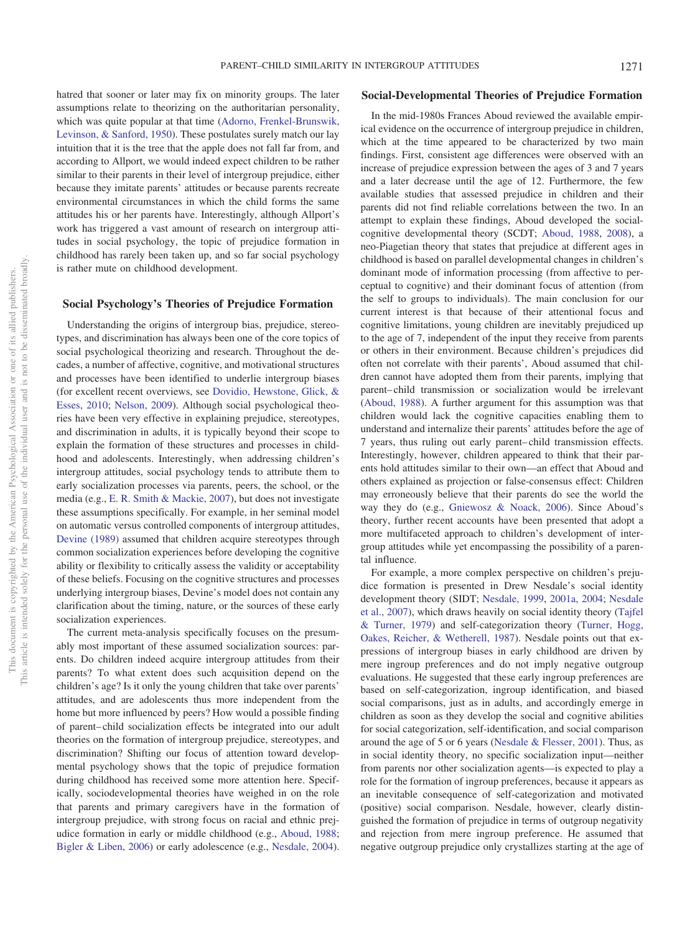hatred that sooner or later may fix on minority groups. The later assumptions relate to theorizing on the authoritarian personality, which was quite popular at that time [\(Adorno, Frenkel-Brunswik,](#page-21-1) [Levinson, & Sanford, 1950\)](#page-21-1). These postulates surely match our lay intuition that it is the tree that the apple does not fall far from, and according to Allport, we would indeed expect children to be rather similar to their parents in their level of intergroup prejudice, either because they imitate parents' attitudes or because parents recreate environmental circumstances in which the child forms the same attitudes his or her parents have. Interestingly, although Allport's work has triggered a vast amount of research on intergroup attitudes in social psychology, the topic of prejudice formation in childhood has rarely been taken up, and so far social psychology is rather mute on childhood development.

#### **Social Psychology's Theories of Prejudice Formation**

Understanding the origins of intergroup bias, prejudice, stereotypes, and discrimination has always been one of the core topics of social psychological theorizing and research. Throughout the decades, a number of affective, cognitive, and motivational structures and processes have been identified to underlie intergroup biases (for excellent recent overviews, see [Dovidio, Hewstone, Glick, &](#page-22-2) [Esses, 2010;](#page-22-2) [Nelson, 2009\)](#page-25-0). Although social psychological theories have been very effective in explaining prejudice, stereotypes, and discrimination in adults, it is typically beyond their scope to explain the formation of these structures and processes in childhood and adolescents. Interestingly, when addressing children's intergroup attitudes, social psychology tends to attribute them to early socialization processes via parents, peers, the school, or the media (e.g., [E. R. Smith & Mackie, 2007\)](#page-26-1), but does not investigate these assumptions specifically. For example, in her seminal model on automatic versus controlled components of intergroup attitudes, [Devine \(1989\)](#page-22-3) assumed that children acquire stereotypes through common socialization experiences before developing the cognitive ability or flexibility to critically assess the validity or acceptability of these beliefs. Focusing on the cognitive structures and processes underlying intergroup biases, Devine's model does not contain any clarification about the timing, nature, or the sources of these early socialization experiences.

The current meta-analysis specifically focuses on the presumably most important of these assumed socialization sources: parents. Do children indeed acquire intergroup attitudes from their parents? To what extent does such acquisition depend on the children's age? Is it only the young children that take over parents' attitudes, and are adolescents thus more independent from the home but more influenced by peers? How would a possible finding of parent–child socialization effects be integrated into our adult theories on the formation of intergroup prejudice, stereotypes, and discrimination? Shifting our focus of attention toward developmental psychology shows that the topic of prejudice formation during childhood has received some more attention here. Specifically, sociodevelopmental theories have weighed in on the role that parents and primary caregivers have in the formation of intergroup prejudice, with strong focus on racial and ethnic prejudice formation in early or middle childhood (e.g., [Aboud, 1988;](#page-20-0) [Bigler & Liben, 2006\)](#page-21-2) or early adolescence (e.g., [Nesdale, 2004\)](#page-25-1).

#### **Social-Developmental Theories of Prejudice Formation**

In the mid-1980s Frances Aboud reviewed the available empirical evidence on the occurrence of intergroup prejudice in children, which at the time appeared to be characterized by two main findings. First, consistent age differences were observed with an increase of prejudice expression between the ages of 3 and 7 years and a later decrease until the age of 12. Furthermore, the few available studies that assessed prejudice in children and their parents did not find reliable correlations between the two. In an attempt to explain these findings, Aboud developed the socialcognitive developmental theory (SCDT; [Aboud, 1988,](#page-20-0) [2008\)](#page-20-1), a neo-Piagetian theory that states that prejudice at different ages in childhood is based on parallel developmental changes in children's dominant mode of information processing (from affective to perceptual to cognitive) and their dominant focus of attention (from the self to groups to individuals). The main conclusion for our current interest is that because of their attentional focus and cognitive limitations, young children are inevitably prejudiced up to the age of 7, independent of the input they receive from parents or others in their environment. Because children's prejudices did often not correlate with their parents', Aboud assumed that children cannot have adopted them from their parents, implying that parent–child transmission or socialization would be irrelevant [\(Aboud, 1988\)](#page-20-0). A further argument for this assumption was that children would lack the cognitive capacities enabling them to understand and internalize their parents' attitudes before the age of 7 years, thus ruling out early parent–child transmission effects. Interestingly, however, children appeared to think that their parents hold attitudes similar to their own—an effect that Aboud and others explained as projection or false-consensus effect: Children may erroneously believe that their parents do see the world the way they do (e.g., [Gniewosz & Noack, 2006\)](#page-23-0). Since Aboud's theory, further recent accounts have been presented that adopt a more multifaceted approach to children's development of intergroup attitudes while yet encompassing the possibility of a parental influence.

For example, a more complex perspective on children's prejudice formation is presented in Drew Nesdale's social identity development theory (SIDT; [Nesdale, 1999,](#page-25-2) [2001a,](#page-25-3) [2004;](#page-25-1) [Nesdale](#page-25-4) [et al., 2007\)](#page-25-4), which draws heavily on social identity theory [\(Tajfel](#page-26-2) [& Turner, 1979\)](#page-26-2) and self-categorization theory [\(Turner, Hogg,](#page-27-0) [Oakes, Reicher, & Wetherell, 1987\)](#page-27-0). Nesdale points out that expressions of intergroup biases in early childhood are driven by mere ingroup preferences and do not imply negative outgroup evaluations. He suggested that these early ingroup preferences are based on self-categorization, ingroup identification, and biased social comparisons, just as in adults, and accordingly emerge in children as soon as they develop the social and cognitive abilities for social categorization, self-identification, and social comparison around the age of 5 or 6 years [\(Nesdale & Flesser, 2001\)](#page-25-5). Thus, as in social identity theory, no specific socialization input—neither from parents nor other socialization agents—is expected to play a role for the formation of ingroup preferences, because it appears as an inevitable consequence of self-categorization and motivated (positive) social comparison. Nesdale, however, clearly distinguished the formation of prejudice in terms of outgroup negativity and rejection from mere ingroup preference. He assumed that negative outgroup prejudice only crystallizes starting at the age of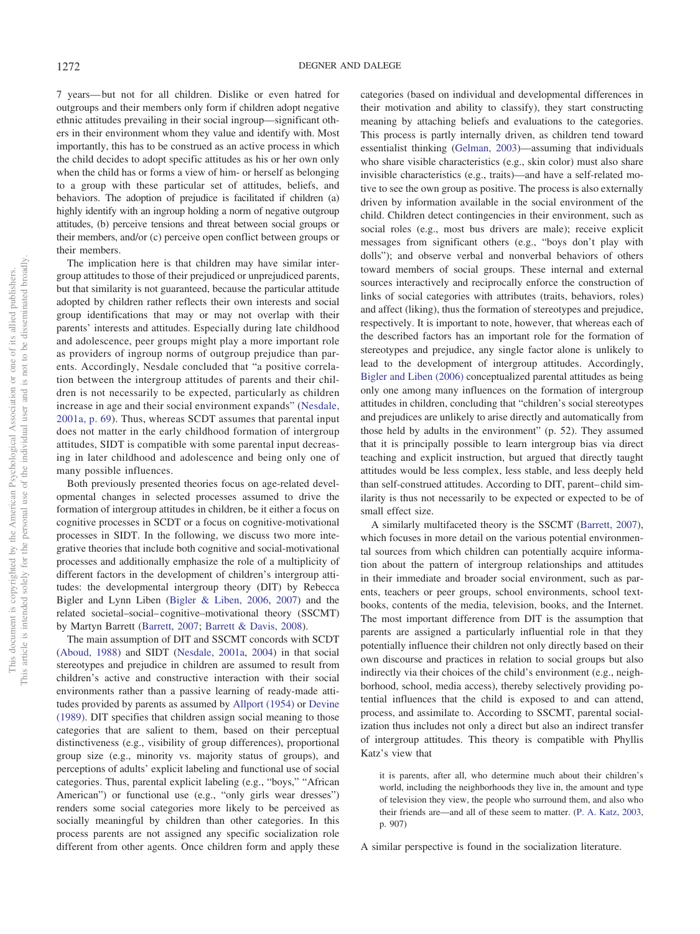7 years—but not for all children. Dislike or even hatred for outgroups and their members only form if children adopt negative ethnic attitudes prevailing in their social ingroup—significant others in their environment whom they value and identify with. Most importantly, this has to be construed as an active process in which the child decides to adopt specific attitudes as his or her own only when the child has or forms a view of him- or herself as belonging to a group with these particular set of attitudes, beliefs, and behaviors. The adoption of prejudice is facilitated if children (a) highly identify with an ingroup holding a norm of negative outgroup attitudes, (b) perceive tensions and threat between social groups or their members, and/or (c) perceive open conflict between groups or their members.

The implication here is that children may have similar intergroup attitudes to those of their prejudiced or unprejudiced parents, but that similarity is not guaranteed, because the particular attitude adopted by children rather reflects their own interests and social group identifications that may or may not overlap with their parents' interests and attitudes. Especially during late childhood and adolescence, peer groups might play a more important role as providers of ingroup norms of outgroup prejudice than parents. Accordingly, Nesdale concluded that "a positive correlation between the intergroup attitudes of parents and their children is not necessarily to be expected, particularly as children increase in age and their social environment expands" [\(Nesdale,](#page-25-3) [2001a, p. 69\)](#page-25-3). Thus, whereas SCDT assumes that parental input does not matter in the early childhood formation of intergroup attitudes, SIDT is compatible with some parental input decreasing in later childhood and adolescence and being only one of many possible influences.

Both previously presented theories focus on age-related developmental changes in selected processes assumed to drive the formation of intergroup attitudes in children, be it either a focus on cognitive processes in SCDT or a focus on cognitive-motivational processes in SIDT. In the following, we discuss two more integrative theories that include both cognitive and social-motivational processes and additionally emphasize the role of a multiplicity of different factors in the development of children's intergroup attitudes: the developmental intergroup theory (DIT) by Rebecca Bigler and Lynn Liben [\(Bigler & Liben, 2006,](#page-21-2) [2007\)](#page-21-3) and the related societal–social–cognitive–motivational theory (SSCMT) by Martyn Barrett [\(Barrett, 2007;](#page-21-4) [Barrett & Davis, 2008\)](#page-21-5).

The main assumption of DIT and SSCMT concords with SCDT [\(Aboud, 1988\)](#page-20-0) and SIDT [\(Nesdale, 2001a,](#page-25-3) [2004\)](#page-25-1) in that social stereotypes and prejudice in children are assumed to result from children's active and constructive interaction with their social environments rather than a passive learning of ready-made attitudes provided by parents as assumed by [Allport \(1954\)](#page-21-0) or [Devine](#page-22-3) [\(1989\).](#page-22-3) DIT specifies that children assign social meaning to those categories that are salient to them, based on their perceptual distinctiveness (e.g., visibility of group differences), proportional group size (e.g., minority vs. majority status of groups), and perceptions of adults' explicit labeling and functional use of social categories. Thus, parental explicit labeling (e.g., "boys," "African American") or functional use (e.g., "only girls wear dresses") renders some social categories more likely to be perceived as socially meaningful by children than other categories. In this process parents are not assigned any specific socialization role different from other agents. Once children form and apply these categories (based on individual and developmental differences in their motivation and ability to classify), they start constructing meaning by attaching beliefs and evaluations to the categories. This process is partly internally driven, as children tend toward essentialist thinking [\(Gelman, 2003\)](#page-23-1)—assuming that individuals who share visible characteristics (e.g., skin color) must also share invisible characteristics (e.g., traits)—and have a self-related motive to see the own group as positive. The process is also externally driven by information available in the social environment of the child. Children detect contingencies in their environment, such as social roles (e.g., most bus drivers are male); receive explicit messages from significant others (e.g., "boys don't play with dolls"); and observe verbal and nonverbal behaviors of others toward members of social groups. These internal and external sources interactively and reciprocally enforce the construction of links of social categories with attributes (traits, behaviors, roles) and affect (liking), thus the formation of stereotypes and prejudice, respectively. It is important to note, however, that whereas each of the described factors has an important role for the formation of stereotypes and prejudice, any single factor alone is unlikely to lead to the development of intergroup attitudes. Accordingly, [Bigler and Liben \(2006\)](#page-21-2) conceptualized parental attitudes as being only one among many influences on the formation of intergroup attitudes in children, concluding that "children's social stereotypes and prejudices are unlikely to arise directly and automatically from those held by adults in the environment" (p. 52). They assumed that it is principally possible to learn intergroup bias via direct teaching and explicit instruction, but argued that directly taught attitudes would be less complex, less stable, and less deeply held than self-construed attitudes. According to DIT, parent–child similarity is thus not necessarily to be expected or expected to be of small effect size.

A similarly multifaceted theory is the SSCMT [\(Barrett, 2007\)](#page-21-4), which focuses in more detail on the various potential environmental sources from which children can potentially acquire information about the pattern of intergroup relationships and attitudes in their immediate and broader social environment, such as parents, teachers or peer groups, school environments, school textbooks, contents of the media, television, books, and the Internet. The most important difference from DIT is the assumption that parents are assigned a particularly influential role in that they potentially influence their children not only directly based on their own discourse and practices in relation to social groups but also indirectly via their choices of the child's environment (e.g., neighborhood, school, media access), thereby selectively providing potential influences that the child is exposed to and can attend, process, and assimilate to. According to SSCMT, parental socialization thus includes not only a direct but also an indirect transfer of intergroup attitudes. This theory is compatible with Phyllis Katz's view that

it is parents, after all, who determine much about their children's world, including the neighborhoods they live in, the amount and type of television they view, the people who surround them, and also who their friends are—and all of these seem to matter. [\(P. A. Katz, 2003,](#page-24-0) p. 907)

A similar perspective is found in the socialization literature.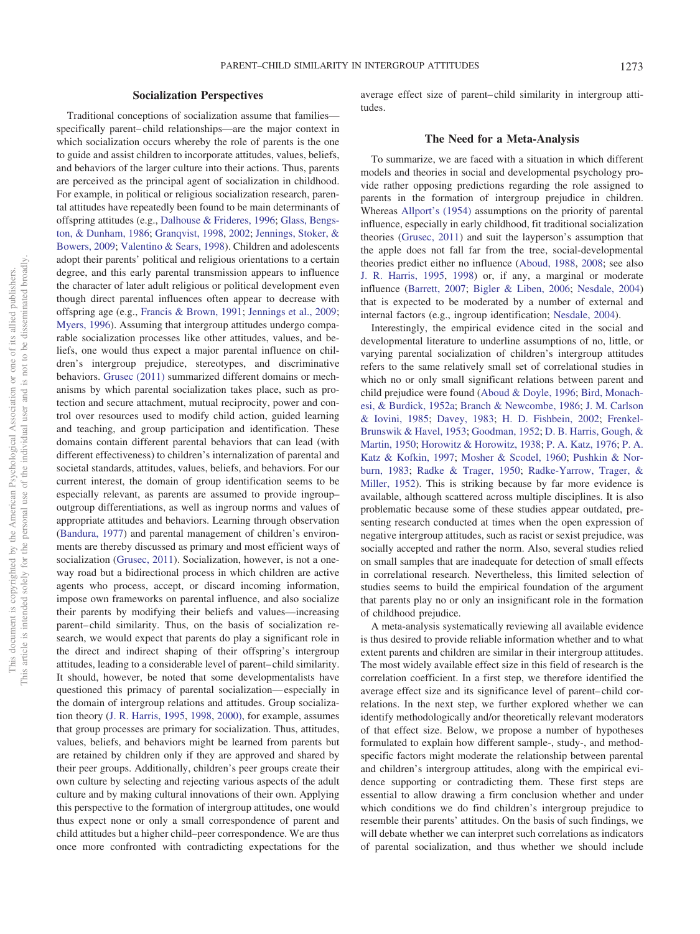#### **Socialization Perspectives**

Traditional conceptions of socialization assume that families specifically parent–child relationships—are the major context in which socialization occurs whereby the role of parents is the one to guide and assist children to incorporate attitudes, values, beliefs, and behaviors of the larger culture into their actions. Thus, parents are perceived as the principal agent of socialization in childhood. For example, in political or religious socialization research, parental attitudes have repeatedly been found to be main determinants of offspring attitudes (e.g., [Dalhouse & Frideres, 1996;](#page-22-4) [Glass, Bengs](#page-23-2)[ton, & Dunham, 1986;](#page-23-2) [Granqvist, 1998,](#page-23-3) [2002;](#page-23-4) [Jennings, Stoker, &](#page-24-1) [Bowers, 2009;](#page-24-1) [Valentino & Sears, 1998\)](#page-27-1). Children and adolescents adopt their parents' political and religious orientations to a certain degree, and this early parental transmission appears to influence the character of later adult religious or political development even though direct parental influences often appear to decrease with offspring age (e.g., [Francis & Brown, 1991;](#page-23-5) [Jennings et al., 2009;](#page-24-1) [Myers, 1996\)](#page-25-6). Assuming that intergroup attitudes undergo comparable socialization processes like other attitudes, values, and beliefs, one would thus expect a major parental influence on children's intergroup prejudice, stereotypes, and discriminative behaviors. [Grusec \(2011\)](#page-23-6) summarized different domains or mechanisms by which parental socialization takes place, such as protection and secure attachment, mutual reciprocity, power and control over resources used to modify child action, guided learning and teaching, and group participation and identification. These domains contain different parental behaviors that can lead (with different effectiveness) to children's internalization of parental and societal standards, attitudes, values, beliefs, and behaviors. For our current interest, the domain of group identification seems to be especially relevant, as parents are assumed to provide ingroup– outgroup differentiations, as well as ingroup norms and values of appropriate attitudes and behaviors. Learning through observation [\(Bandura, 1977\)](#page-21-6) and parental management of children's environments are thereby discussed as primary and most efficient ways of socialization [\(Grusec, 2011\)](#page-23-6). Socialization, however, is not a oneway road but a bidirectional process in which children are active agents who process, accept, or discard incoming information, impose own frameworks on parental influence, and also socialize their parents by modifying their beliefs and values—increasing parent–child similarity. Thus, on the basis of socialization research, we would expect that parents do play a significant role in the direct and indirect shaping of their offspring's intergroup attitudes, leading to a considerable level of parent–child similarity. It should, however, be noted that some developmentalists have questioned this primacy of parental socialization—especially in the domain of intergroup relations and attitudes. Group socialization theory [\(J. R. Harris, 1995,](#page-23-7) [1998,](#page-24-2) [2000\),](#page-24-3) for example, assumes that group processes are primary for socialization. Thus, attitudes, values, beliefs, and behaviors might be learned from parents but are retained by children only if they are approved and shared by their peer groups. Additionally, children's peer groups create their own culture by selecting and rejecting various aspects of the adult culture and by making cultural innovations of their own. Applying this perspective to the formation of intergroup attitudes, one would thus expect none or only a small correspondence of parent and child attitudes but a higher child–peer correspondence. We are thus once more confronted with contradicting expectations for the

average effect size of parent–child similarity in intergroup attitudes.

#### **The Need for a Meta-Analysis**

To summarize, we are faced with a situation in which different models and theories in social and developmental psychology provide rather opposing predictions regarding the role assigned to parents in the formation of intergroup prejudice in children. Whereas [Allport's \(1954\)](#page-21-0) assumptions on the priority of parental influence, especially in early childhood, fit traditional socialization theories [\(Grusec, 2011\)](#page-23-6) and suit the layperson's assumption that the apple does not fall far from the tree, social-developmental theories predict either no influence [\(Aboud, 1988,](#page-20-0) [2008;](#page-20-1) see also [J. R. Harris, 1995,](#page-23-7) [1998\)](#page-24-2) or, if any, a marginal or moderate influence [\(Barrett, 2007;](#page-21-4) [Bigler & Liben, 2006;](#page-21-2) [Nesdale, 2004\)](#page-25-1) that is expected to be moderated by a number of external and internal factors (e.g., ingroup identification; [Nesdale, 2004\)](#page-25-1).

Interestingly, the empirical evidence cited in the social and developmental literature to underline assumptions of no, little, or varying parental socialization of children's intergroup attitudes refers to the same relatively small set of correlational studies in which no or only small significant relations between parent and child prejudice were found [\(Aboud & Doyle, 1996;](#page-20-2) [Bird, Monach](#page-21-7)[esi, & Burdick, 1952a;](#page-21-7) [Branch & Newcombe, 1986;](#page-21-8) [J. M. Carlson](#page-21-9) [& Iovini, 1985;](#page-21-9) [Davey, 1983;](#page-22-5) [H. D. Fishbein, 2002;](#page-23-8) [Frenkel-](#page-23-9)[Brunswik & Havel, 1953;](#page-23-9) [Goodman, 1952;](#page-23-10) [D. B. Harris, Gough, &](#page-23-11) [Martin, 1950;](#page-23-11) [Horowitz & Horowitz, 1938;](#page-24-4) [P. A. Katz, 1976;](#page-24-5) [P. A.](#page-24-6) [Katz & Kofkin, 1997;](#page-24-6) [Mosher & Scodel, 1960;](#page-25-7) [Pushkin & Nor](#page-26-3)[burn, 1983;](#page-26-3) [Radke & Trager, 1950;](#page-26-4) [Radke-Yarrow, Trager, &](#page-26-5) [Miller, 1952\)](#page-26-5). This is striking because by far more evidence is available, although scattered across multiple disciplines. It is also problematic because some of these studies appear outdated, presenting research conducted at times when the open expression of negative intergroup attitudes, such as racist or sexist prejudice, was socially accepted and rather the norm. Also, several studies relied on small samples that are inadequate for detection of small effects in correlational research. Nevertheless, this limited selection of studies seems to build the empirical foundation of the argument that parents play no or only an insignificant role in the formation of childhood prejudice.

A meta-analysis systematically reviewing all available evidence is thus desired to provide reliable information whether and to what extent parents and children are similar in their intergroup attitudes. The most widely available effect size in this field of research is the correlation coefficient. In a first step, we therefore identified the average effect size and its significance level of parent–child correlations. In the next step, we further explored whether we can identify methodologically and/or theoretically relevant moderators of that effect size. Below, we propose a number of hypotheses formulated to explain how different sample-, study-, and methodspecific factors might moderate the relationship between parental and children's intergroup attitudes, along with the empirical evidence supporting or contradicting them. These first steps are essential to allow drawing a firm conclusion whether and under which conditions we do find children's intergroup prejudice to resemble their parents' attitudes. On the basis of such findings, we will debate whether we can interpret such correlations as indicators of parental socialization, and thus whether we should include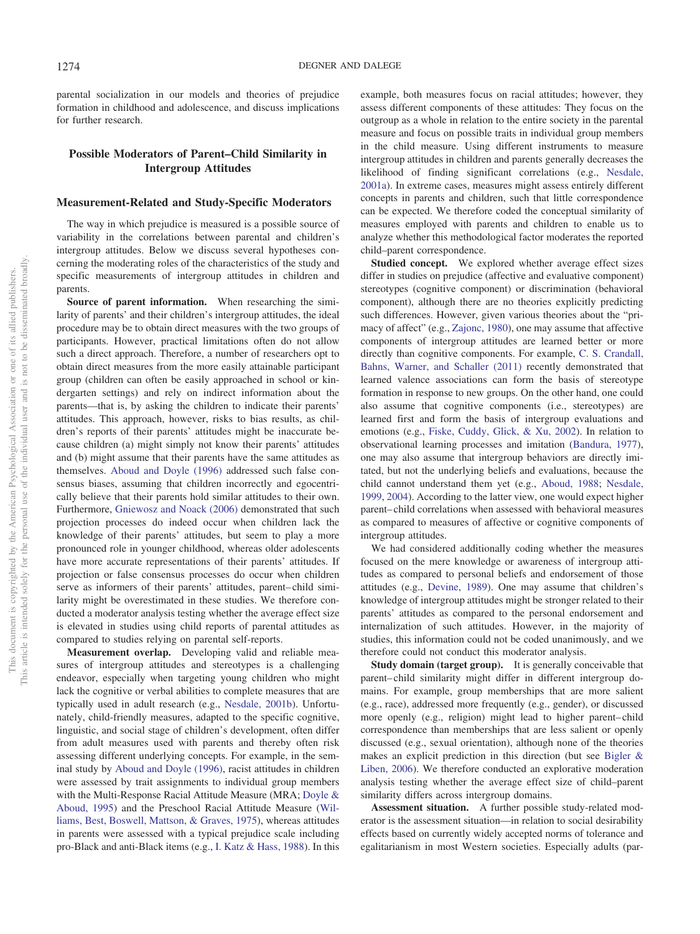parental socialization in our models and theories of prejudice formation in childhood and adolescence, and discuss implications for further research.

#### **Possible Moderators of Parent–Child Similarity in Intergroup Attitudes**

#### **Measurement-Related and Study-Specific Moderators**

The way in which prejudice is measured is a possible source of variability in the correlations between parental and children's intergroup attitudes. Below we discuss several hypotheses concerning the moderating roles of the characteristics of the study and specific measurements of intergroup attitudes in children and parents.

**Source of parent information.** When researching the similarity of parents' and their children's intergroup attitudes, the ideal procedure may be to obtain direct measures with the two groups of participants. However, practical limitations often do not allow such a direct approach. Therefore, a number of researchers opt to obtain direct measures from the more easily attainable participant group (children can often be easily approached in school or kindergarten settings) and rely on indirect information about the parents—that is, by asking the children to indicate their parents' attitudes. This approach, however, risks to bias results, as children's reports of their parents' attitudes might be inaccurate because children (a) might simply not know their parents' attitudes and (b) might assume that their parents have the same attitudes as themselves. [Aboud and Doyle \(1996\)](#page-20-2) addressed such false consensus biases, assuming that children incorrectly and egocentrically believe that their parents hold similar attitudes to their own. Furthermore, [Gniewosz and Noack \(2006\)](#page-23-0) demonstrated that such projection processes do indeed occur when children lack the knowledge of their parents' attitudes, but seem to play a more pronounced role in younger childhood, whereas older adolescents have more accurate representations of their parents' attitudes. If projection or false consensus processes do occur when children serve as informers of their parents' attitudes, parent–child similarity might be overestimated in these studies. We therefore conducted a moderator analysis testing whether the average effect size is elevated in studies using child reports of parental attitudes as compared to studies relying on parental self-reports.

**Measurement overlap.** Developing valid and reliable measures of intergroup attitudes and stereotypes is a challenging endeavor, especially when targeting young children who might lack the cognitive or verbal abilities to complete measures that are typically used in adult research (e.g., [Nesdale, 2001b\)](#page-25-8). Unfortunately, child-friendly measures, adapted to the specific cognitive, linguistic, and social stage of children's development, often differ from adult measures used with parents and thereby often risk assessing different underlying concepts. For example, in the seminal study by [Aboud and Doyle \(1996\),](#page-20-2) racist attitudes in children were assessed by trait assignments to individual group members with the Multi-Response Racial Attitude Measure (MRA; [Doyle &](#page-22-6) [Aboud, 1995\)](#page-22-6) and the Preschool Racial Attitude Measure [\(Wil](#page-27-2)[liams, Best, Boswell, Mattson, & Graves, 1975\)](#page-27-2), whereas attitudes in parents were assessed with a typical prejudice scale including pro-Black and anti-Black items (e.g., [I. Katz & Hass, 1988\)](#page-24-7). In this

example, both measures focus on racial attitudes; however, they assess different components of these attitudes: They focus on the outgroup as a whole in relation to the entire society in the parental measure and focus on possible traits in individual group members in the child measure. Using different instruments to measure intergroup attitudes in children and parents generally decreases the likelihood of finding significant correlations (e.g., [Nesdale,](#page-25-3) [2001a\)](#page-25-3). In extreme cases, measures might assess entirely different concepts in parents and children, such that little correspondence can be expected. We therefore coded the conceptual similarity of measures employed with parents and children to enable us to analyze whether this methodological factor moderates the reported child–parent correspondence.

**Studied concept.** We explored whether average effect sizes differ in studies on prejudice (affective and evaluative component) stereotypes (cognitive component) or discrimination (behavioral component), although there are no theories explicitly predicting such differences. However, given various theories about the "primacy of affect" (e.g., [Zajonc, 1980\)](#page-27-3), one may assume that affective components of intergroup attitudes are learned better or more directly than cognitive components. For example, [C. S. Crandall,](#page-22-7) [Bahns, Warner, and Schaller \(2011\)](#page-22-7) recently demonstrated that learned valence associations can form the basis of stereotype formation in response to new groups. On the other hand, one could also assume that cognitive components (i.e., stereotypes) are learned first and form the basis of intergroup evaluations and emotions (e.g., [Fiske, Cuddy, Glick, & Xu, 2002\)](#page-23-12). In relation to observational learning processes and imitation [\(Bandura, 1977\)](#page-21-6), one may also assume that intergroup behaviors are directly imitated, but not the underlying beliefs and evaluations, because the child cannot understand them yet (e.g., [Aboud, 1988;](#page-20-0) [Nesdale,](#page-25-2) [1999,](#page-25-2) [2004\)](#page-25-1). According to the latter view, one would expect higher parent–child correlations when assessed with behavioral measures as compared to measures of affective or cognitive components of intergroup attitudes.

We had considered additionally coding whether the measures focused on the mere knowledge or awareness of intergroup attitudes as compared to personal beliefs and endorsement of those attitudes (e.g., [Devine, 1989\)](#page-22-3). One may assume that children's knowledge of intergroup attitudes might be stronger related to their parents' attitudes as compared to the personal endorsement and internalization of such attitudes. However, in the majority of studies, this information could not be coded unanimously, and we therefore could not conduct this moderator analysis.

**Study domain (target group).** It is generally conceivable that parent–child similarity might differ in different intergroup domains. For example, group memberships that are more salient (e.g., race), addressed more frequently (e.g., gender), or discussed more openly (e.g., religion) might lead to higher parent–child correspondence than memberships that are less salient or openly discussed (e.g., sexual orientation), although none of the theories makes an explicit prediction in this direction (but see [Bigler &](#page-21-2) [Liben, 2006\)](#page-21-2). We therefore conducted an explorative moderation analysis testing whether the average effect size of child–parent similarity differs across intergroup domains.

**Assessment situation.** A further possible study-related moderator is the assessment situation—in relation to social desirability effects based on currently widely accepted norms of tolerance and egalitarianism in most Western societies. Especially adults (par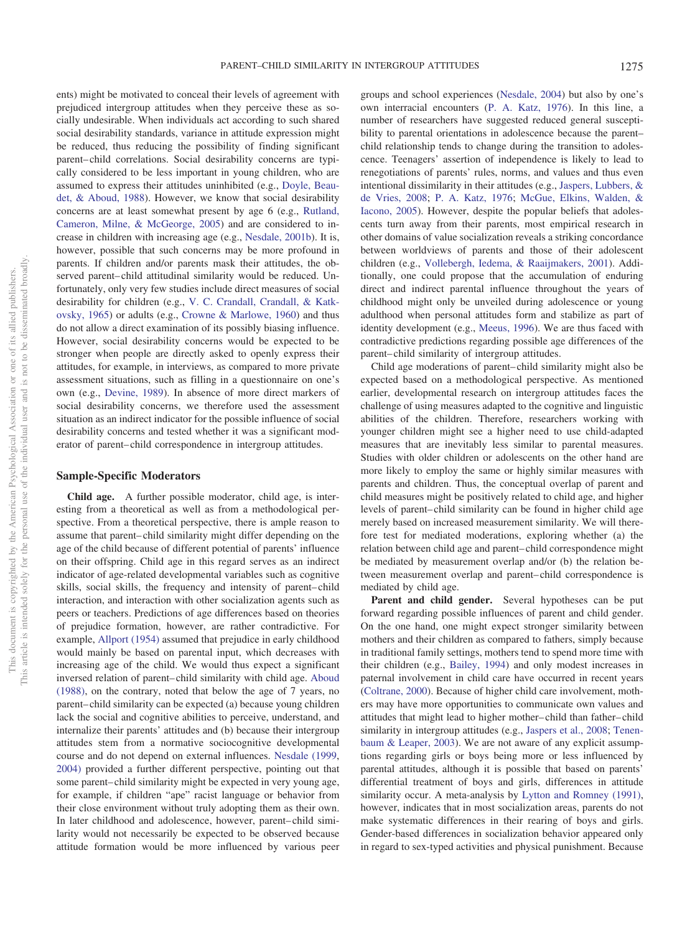ents) might be motivated to conceal their levels of agreement with prejudiced intergroup attitudes when they perceive these as socially undesirable. When individuals act according to such shared social desirability standards, variance in attitude expression might be reduced, thus reducing the possibility of finding significant parent–child correlations. Social desirability concerns are typically considered to be less important in young children, who are assumed to express their attitudes uninhibited (e.g., [Doyle, Beau](#page-22-8)[det, & Aboud, 1988\)](#page-22-8). However, we know that social desirability concerns are at least somewhat present by age 6 (e.g., [Rutland,](#page-26-6) [Cameron, Milne, & McGeorge, 2005\)](#page-26-6) and are considered to increase in children with increasing age (e.g., [Nesdale, 2001b\)](#page-25-8). It is, however, possible that such concerns may be more profound in parents. If children and/or parents mask their attitudes, the observed parent–child attitudinal similarity would be reduced. Unfortunately, only very few studies include direct measures of social desirability for children (e.g., [V. C. Crandall, Crandall, & Katk](#page-22-9)[ovsky, 1965\)](#page-22-9) or adults (e.g., [Crowne & Marlowe, 1960\)](#page-22-10) and thus do not allow a direct examination of its possibly biasing influence. However, social desirability concerns would be expected to be stronger when people are directly asked to openly express their attitudes, for example, in interviews, as compared to more private assessment situations, such as filling in a questionnaire on one's own (e.g., [Devine, 1989\)](#page-22-3). In absence of more direct markers of social desirability concerns, we therefore used the assessment situation as an indirect indicator for the possible influence of social desirability concerns and tested whether it was a significant moderator of parent–child correspondence in intergroup attitudes.

#### **Sample-Specific Moderators**

**Child age.** A further possible moderator, child age, is interesting from a theoretical as well as from a methodological perspective. From a theoretical perspective, there is ample reason to assume that parent–child similarity might differ depending on the age of the child because of different potential of parents' influence on their offspring. Child age in this regard serves as an indirect indicator of age-related developmental variables such as cognitive skills, social skills, the frequency and intensity of parent–child interaction, and interaction with other socialization agents such as peers or teachers. Predictions of age differences based on theories of prejudice formation, however, are rather contradictive. For example, [Allport \(1954\)](#page-21-0) assumed that prejudice in early childhood would mainly be based on parental input, which decreases with increasing age of the child. We would thus expect a significant inversed relation of parent–child similarity with child age. [Aboud](#page-20-0) [\(1988\),](#page-20-0) on the contrary, noted that below the age of 7 years, no parent–child similarity can be expected (a) because young children lack the social and cognitive abilities to perceive, understand, and internalize their parents' attitudes and (b) because their intergroup attitudes stem from a normative sociocognitive developmental course and do not depend on external influences. [Nesdale \(1999,](#page-25-2) [2004\)](#page-25-1) provided a further different perspective, pointing out that some parent–child similarity might be expected in very young age, for example, if children "ape" racist language or behavior from their close environment without truly adopting them as their own. In later childhood and adolescence, however, parent–child similarity would not necessarily be expected to be observed because attitude formation would be more influenced by various peer

groups and school experiences [\(Nesdale, 2004\)](#page-25-1) but also by one's own interracial encounters [\(P. A. Katz, 1976\)](#page-24-5). In this line, a number of researchers have suggested reduced general susceptibility to parental orientations in adolescence because the parent– child relationship tends to change during the transition to adolescence. Teenagers' assertion of independence is likely to lead to renegotiations of parents' rules, norms, and values and thus even intentional dissimilarity in their attitudes (e.g., [Jaspers, Lubbers, &](#page-24-8) [de Vries, 2008;](#page-24-8) [P. A. Katz, 1976;](#page-24-5) [McGue, Elkins, Walden, &](#page-25-9) [Iacono, 2005\)](#page-25-9). However, despite the popular beliefs that adolescents turn away from their parents, most empirical research in other domains of value socialization reveals a striking concordance between worldviews of parents and those of their adolescent children (e.g., [Vollebergh, Iedema, & Raaijmakers, 2001\)](#page-27-4). Additionally, one could propose that the accumulation of enduring direct and indirect parental influence throughout the years of childhood might only be unveiled during adolescence or young adulthood when personal attitudes form and stabilize as part of identity development (e.g., [Meeus, 1996\)](#page-25-10). We are thus faced with contradictive predictions regarding possible age differences of the parent–child similarity of intergroup attitudes.

Child age moderations of parent–child similarity might also be expected based on a methodological perspective. As mentioned earlier, developmental research on intergroup attitudes faces the challenge of using measures adapted to the cognitive and linguistic abilities of the children. Therefore, researchers working with younger children might see a higher need to use child-adapted measures that are inevitably less similar to parental measures. Studies with older children or adolescents on the other hand are more likely to employ the same or highly similar measures with parents and children. Thus, the conceptual overlap of parent and child measures might be positively related to child age, and higher levels of parent–child similarity can be found in higher child age merely based on increased measurement similarity. We will therefore test for mediated moderations, exploring whether (a) the relation between child age and parent–child correspondence might be mediated by measurement overlap and/or (b) the relation between measurement overlap and parent–child correspondence is mediated by child age.

**Parent and child gender.** Several hypotheses can be put forward regarding possible influences of parent and child gender. On the one hand, one might expect stronger similarity between mothers and their children as compared to fathers, simply because in traditional family settings, mothers tend to spend more time with their children (e.g., [Bailey, 1994\)](#page-21-10) and only modest increases in paternal involvement in child care have occurred in recent years [\(Coltrane, 2000\)](#page-21-11). Because of higher child care involvement, mothers may have more opportunities to communicate own values and attitudes that might lead to higher mother–child than father–child similarity in intergroup attitudes (e.g., [Jaspers et al., 2008;](#page-24-8) [Tenen](#page-26-7)[baum & Leaper, 2003\)](#page-26-7). We are not aware of any explicit assumptions regarding girls or boys being more or less influenced by parental attitudes, although it is possible that based on parents' differential treatment of boys and girls, differences in attitude similarity occur. A meta-analysis by [Lytton and Romney \(1991\),](#page-24-9) however, indicates that in most socialization areas, parents do not make systematic differences in their rearing of boys and girls. Gender-based differences in socialization behavior appeared only in regard to sex-typed activities and physical punishment. Because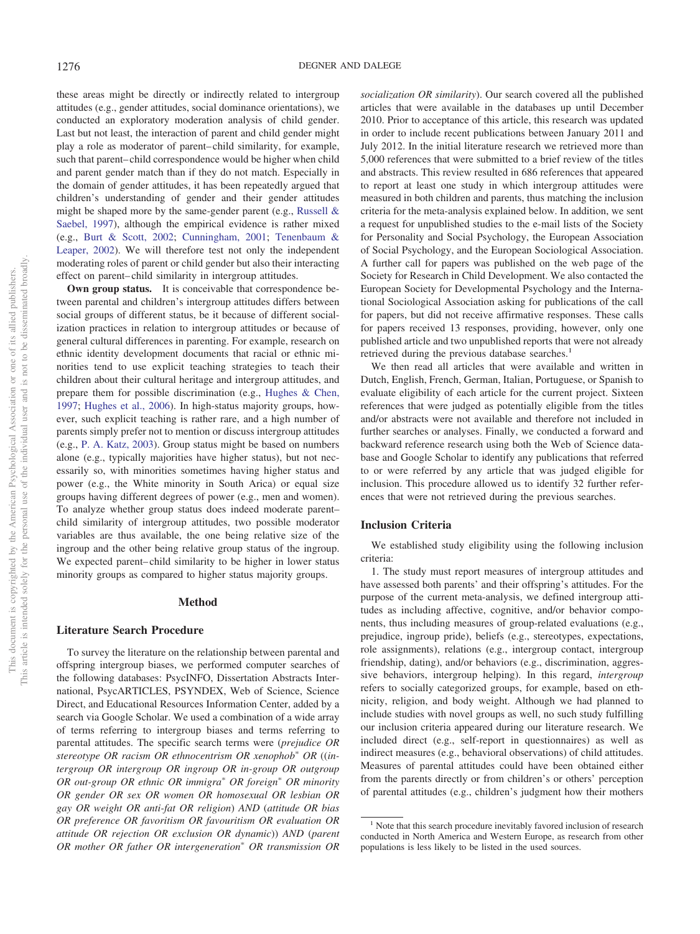these areas might be directly or indirectly related to intergroup attitudes (e.g., gender attitudes, social dominance orientations), we conducted an exploratory moderation analysis of child gender. Last but not least, the interaction of parent and child gender might play a role as moderator of parent–child similarity, for example, such that parent–child correspondence would be higher when child and parent gender match than if they do not match. Especially in the domain of gender attitudes, it has been repeatedly argued that children's understanding of gender and their gender attitudes might be shaped more by the same-gender parent (e.g., [Russell &](#page-26-8) [Saebel, 1997\)](#page-26-8), although the empirical evidence is rather mixed (e.g., [Burt & Scott, 2002;](#page-21-12) [Cunningham, 2001;](#page-22-11) [Tenenbaum &](#page-26-9) [Leaper, 2002\)](#page-26-9). We will therefore test not only the independent moderating roles of parent or child gender but also their interacting effect on parent–child similarity in intergroup attitudes.

**Own group status.** It is conceivable that correspondence between parental and children's intergroup attitudes differs between social groups of different status, be it because of different socialization practices in relation to intergroup attitudes or because of general cultural differences in parenting. For example, research on ethnic identity development documents that racial or ethnic minorities tend to use explicit teaching strategies to teach their children about their cultural heritage and intergroup attitudes, and prepare them for possible discrimination (e.g., [Hughes & Chen,](#page-24-10) [1997;](#page-24-10) [Hughes et al., 2006\)](#page-24-11). In high-status majority groups, however, such explicit teaching is rather rare, and a high number of parents simply prefer not to mention or discuss intergroup attitudes (e.g., [P. A. Katz, 2003\)](#page-24-0). Group status might be based on numbers alone (e.g., typically majorities have higher status), but not necessarily so, with minorities sometimes having higher status and power (e.g., the White minority in South Arica) or equal size groups having different degrees of power (e.g., men and women). To analyze whether group status does indeed moderate parent– child similarity of intergroup attitudes, two possible moderator variables are thus available, the one being relative size of the ingroup and the other being relative group status of the ingroup. We expected parent–child similarity to be higher in lower status minority groups as compared to higher status majority groups.

#### **Method**

#### **Literature Search Procedure**

To survey the literature on the relationship between parental and offspring intergroup biases, we performed computer searches of the following databases: PsycINFO, Dissertation Abstracts International, PsycARTICLES, PSYNDEX, Web of Science, Science Direct, and Educational Resources Information Center, added by a search via Google Scholar. We used a combination of a wide array of terms referring to intergroup biases and terms referring to parental attitudes. The specific search terms were (*prejudice OR stereotype OR racism OR ethnocentrism OR xenophob\* OR* ((*intergroup OR intergroup OR ingroup OR in-group OR outgroup OR out-group OR ethnic OR immigra OR foreign OR minority OR gender OR sex OR women OR homosexual OR lesbian OR gay OR weight OR anti-fat OR religion*) *AND* (*attitude OR bias OR preference OR favoritism OR favouritism OR evaluation OR attitude OR rejection OR exclusion OR dynamic*)) *AND* (*parent OR mother OR father OR intergeneration*<sup>\*</sup> *OR transmission OR*  *socialization OR similarity*). Our search covered all the published articles that were available in the databases up until December 2010. Prior to acceptance of this article, this research was updated in order to include recent publications between January 2011 and July 2012. In the initial literature research we retrieved more than 5,000 references that were submitted to a brief review of the titles and abstracts. This review resulted in 686 references that appeared to report at least one study in which intergroup attitudes were measured in both children and parents, thus matching the inclusion criteria for the meta-analysis explained below. In addition, we sent a request for unpublished studies to the e-mail lists of the Society for Personality and Social Psychology, the European Association of Social Psychology, and the European Sociological Association. A further call for papers was published on the web page of the Society for Research in Child Development. We also contacted the European Society for Developmental Psychology and the International Sociological Association asking for publications of the call for papers, but did not receive affirmative responses. These calls for papers received 13 responses, providing, however, only one published article and two unpublished reports that were not already retrieved during the previous database searches.<sup>1</sup>

We then read all articles that were available and written in Dutch, English, French, German, Italian, Portuguese, or Spanish to evaluate eligibility of each article for the current project. Sixteen references that were judged as potentially eligible from the titles and/or abstracts were not available and therefore not included in further searches or analyses. Finally, we conducted a forward and backward reference research using both the Web of Science database and Google Scholar to identify any publications that referred to or were referred by any article that was judged eligible for inclusion. This procedure allowed us to identify 32 further references that were not retrieved during the previous searches.

#### **Inclusion Criteria**

We established study eligibility using the following inclusion criteria:

1. The study must report measures of intergroup attitudes and have assessed both parents' and their offspring's attitudes. For the purpose of the current meta-analysis, we defined intergroup attitudes as including affective, cognitive, and/or behavior components, thus including measures of group-related evaluations (e.g., prejudice, ingroup pride), beliefs (e.g., stereotypes, expectations, role assignments), relations (e.g., intergroup contact, intergroup friendship, dating), and/or behaviors (e.g., discrimination, aggressive behaviors, intergroup helping). In this regard, *intergroup* refers to socially categorized groups, for example, based on ethnicity, religion, and body weight. Although we had planned to include studies with novel groups as well, no such study fulfilling our inclusion criteria appeared during our literature research. We included direct (e.g., self-report in questionnaires) as well as indirect measures (e.g., behavioral observations) of child attitudes. Measures of parental attitudes could have been obtained either from the parents directly or from children's or others' perception of parental attitudes (e.g., children's judgment how their mothers

<sup>&</sup>lt;sup>1</sup> Note that this search procedure inevitably favored inclusion of research conducted in North America and Western Europe, as research from other populations is less likely to be listed in the used sources.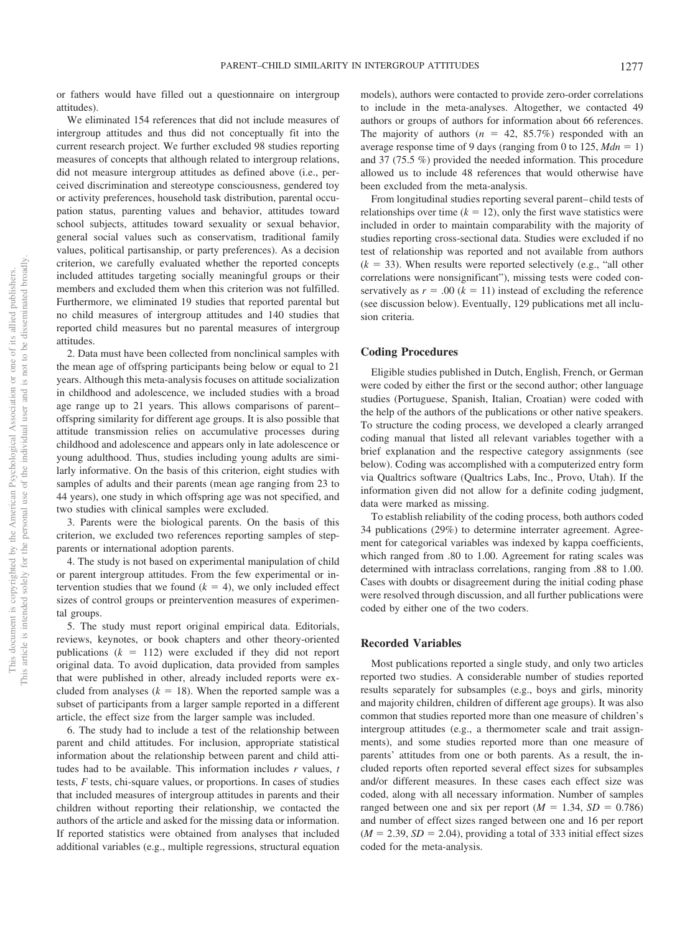or fathers would have filled out a questionnaire on intergroup attitudes).

We eliminated 154 references that did not include measures of intergroup attitudes and thus did not conceptually fit into the current research project. We further excluded 98 studies reporting measures of concepts that although related to intergroup relations, did not measure intergroup attitudes as defined above (i.e., perceived discrimination and stereotype consciousness, gendered toy or activity preferences, household task distribution, parental occupation status, parenting values and behavior, attitudes toward school subjects, attitudes toward sexuality or sexual behavior, general social values such as conservatism, traditional family values, political partisanship, or party preferences). As a decision criterion, we carefully evaluated whether the reported concepts included attitudes targeting socially meaningful groups or their members and excluded them when this criterion was not fulfilled. Furthermore, we eliminated 19 studies that reported parental but no child measures of intergroup attitudes and 140 studies that reported child measures but no parental measures of intergroup attitudes.

2. Data must have been collected from nonclinical samples with the mean age of offspring participants being below or equal to 21 years. Although this meta-analysis focuses on attitude socialization in childhood and adolescence, we included studies with a broad age range up to 21 years. This allows comparisons of parent– offspring similarity for different age groups. It is also possible that attitude transmission relies on accumulative processes during childhood and adolescence and appears only in late adolescence or young adulthood. Thus, studies including young adults are similarly informative. On the basis of this criterion, eight studies with samples of adults and their parents (mean age ranging from 23 to 44 years), one study in which offspring age was not specified, and two studies with clinical samples were excluded.

3. Parents were the biological parents. On the basis of this criterion, we excluded two references reporting samples of stepparents or international adoption parents.

4. The study is not based on experimental manipulation of child or parent intergroup attitudes. From the few experimental or intervention studies that we found  $(k = 4)$ , we only included effect sizes of control groups or preintervention measures of experimental groups.

5. The study must report original empirical data. Editorials, reviews, keynotes, or book chapters and other theory-oriented publications  $(k = 112)$  were excluded if they did not report original data. To avoid duplication, data provided from samples that were published in other, already included reports were excluded from analyses  $(k = 18)$ . When the reported sample was a subset of participants from a larger sample reported in a different article, the effect size from the larger sample was included.

6. The study had to include a test of the relationship between parent and child attitudes. For inclusion, appropriate statistical information about the relationship between parent and child attitudes had to be available. This information includes *r* values, *t* tests, *F* tests, chi-square values, or proportions. In cases of studies that included measures of intergroup attitudes in parents and their children without reporting their relationship, we contacted the authors of the article and asked for the missing data or information. If reported statistics were obtained from analyses that included additional variables (e.g., multiple regressions, structural equation

models), authors were contacted to provide zero-order correlations to include in the meta-analyses. Altogether, we contacted 49 authors or groups of authors for information about 66 references. The majority of authors  $(n = 42, 85.7%)$  responded with an average response time of 9 days (ranging from 0 to 125,  $Mdn = 1$ ) and 37 (75.5 %) provided the needed information. This procedure allowed us to include 48 references that would otherwise have been excluded from the meta-analysis.

From longitudinal studies reporting several parent–child tests of relationships over time  $(k = 12)$ , only the first wave statistics were included in order to maintain comparability with the majority of studies reporting cross-sectional data. Studies were excluded if no test of relationship was reported and not available from authors  $(k = 33)$ . When results were reported selectively (e.g., "all other correlations were nonsignificant"), missing tests were coded conservatively as  $r = .00$  ( $k = 11$ ) instead of excluding the reference (see discussion below). Eventually, 129 publications met all inclusion criteria.

#### **Coding Procedures**

Eligible studies published in Dutch, English, French, or German were coded by either the first or the second author; other language studies (Portuguese, Spanish, Italian, Croatian) were coded with the help of the authors of the publications or other native speakers. To structure the coding process, we developed a clearly arranged coding manual that listed all relevant variables together with a brief explanation and the respective category assignments (see below). Coding was accomplished with a computerized entry form via Qualtrics software (Qualtrics Labs, Inc., Provo, Utah). If the information given did not allow for a definite coding judgment, data were marked as missing.

To establish reliability of the coding process, both authors coded 34 publications (29%) to determine interrater agreement. Agreement for categorical variables was indexed by kappa coefficients, which ranged from .80 to 1.00. Agreement for rating scales was determined with intraclass correlations, ranging from .88 to 1.00. Cases with doubts or disagreement during the initial coding phase were resolved through discussion, and all further publications were coded by either one of the two coders.

#### **Recorded Variables**

Most publications reported a single study, and only two articles reported two studies. A considerable number of studies reported results separately for subsamples (e.g., boys and girls, minority and majority children, children of different age groups). It was also common that studies reported more than one measure of children's intergroup attitudes (e.g., a thermometer scale and trait assignments), and some studies reported more than one measure of parents' attitudes from one or both parents. As a result, the included reports often reported several effect sizes for subsamples and/or different measures. In these cases each effect size was coded, along with all necessary information. Number of samples ranged between one and six per report  $(M = 1.34, SD = 0.786)$ and number of effect sizes ranged between one and 16 per report  $(M = 2.39, SD = 2.04)$ , providing a total of 333 initial effect sizes coded for the meta-analysis.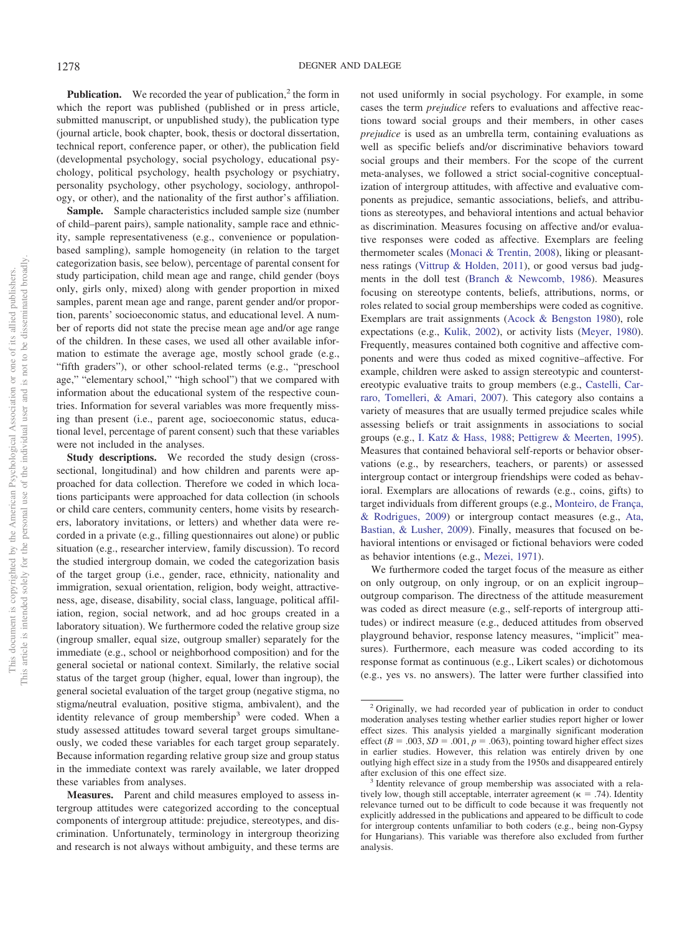**Publication.** We recorded the year of publication, $2$  the form in which the report was published (published or in press article, submitted manuscript, or unpublished study), the publication type (journal article, book chapter, book, thesis or doctoral dissertation, technical report, conference paper, or other), the publication field (developmental psychology, social psychology, educational psychology, political psychology, health psychology or psychiatry, personality psychology, other psychology, sociology, anthropology, or other), and the nationality of the first author's affiliation.

**Sample.** Sample characteristics included sample size (number of child–parent pairs), sample nationality, sample race and ethnicity, sample representativeness (e.g., convenience or populationbased sampling), sample homogeneity (in relation to the target categorization basis, see below), percentage of parental consent for study participation, child mean age and range, child gender (boys only, girls only, mixed) along with gender proportion in mixed samples, parent mean age and range, parent gender and/or proportion, parents' socioeconomic status, and educational level. A number of reports did not state the precise mean age and/or age range of the children. In these cases, we used all other available information to estimate the average age, mostly school grade (e.g., "fifth graders"), or other school-related terms (e.g., "preschool age," "elementary school," "high school") that we compared with information about the educational system of the respective countries. Information for several variables was more frequently missing than present (i.e., parent age, socioeconomic status, educational level, percentage of parent consent) such that these variables were not included in the analyses.

**Study descriptions.** We recorded the study design (crosssectional, longitudinal) and how children and parents were approached for data collection. Therefore we coded in which locations participants were approached for data collection (in schools or child care centers, community centers, home visits by researchers, laboratory invitations, or letters) and whether data were recorded in a private (e.g., filling questionnaires out alone) or public situation (e.g., researcher interview, family discussion). To record the studied intergroup domain, we coded the categorization basis of the target group (i.e., gender, race, ethnicity, nationality and immigration, sexual orientation, religion, body weight, attractiveness, age, disease, disability, social class, language, political affiliation, region, social network, and ad hoc groups created in a laboratory situation). We furthermore coded the relative group size (ingroup smaller, equal size, outgroup smaller) separately for the immediate (e.g., school or neighborhood composition) and for the general societal or national context. Similarly, the relative social status of the target group (higher, equal, lower than ingroup), the general societal evaluation of the target group (negative stigma, no stigma/neutral evaluation, positive stigma, ambivalent), and the identity relevance of group membership<sup>3</sup> were coded. When a study assessed attitudes toward several target groups simultaneously, we coded these variables for each target group separately. Because information regarding relative group size and group status in the immediate context was rarely available, we later dropped these variables from analyses.

**Measures.** Parent and child measures employed to assess intergroup attitudes were categorized according to the conceptual components of intergroup attitude: prejudice, stereotypes, and discrimination. Unfortunately, terminology in intergroup theorizing and research is not always without ambiguity, and these terms are

not used uniformly in social psychology. For example, in some cases the term *prejudice* refers to evaluations and affective reactions toward social groups and their members, in other cases *prejudice* is used as an umbrella term, containing evaluations as well as specific beliefs and/or discriminative behaviors toward social groups and their members. For the scope of the current meta-analyses, we followed a strict social-cognitive conceptualization of intergroup attitudes, with affective and evaluative components as prejudice, semantic associations, beliefs, and attributions as stereotypes, and behavioral intentions and actual behavior as discrimination. Measures focusing on affective and/or evaluative responses were coded as affective. Exemplars are feeling thermometer scales [\(Monaci & Trentin, 2008\)](#page-25-11), liking or pleasantness ratings [\(Vittrup & Holden, 2011\)](#page-27-5), or good versus bad judgments in the doll test [\(Branch & Newcomb, 1986\)](#page-21-8). Measures focusing on stereotype contents, beliefs, attributions, norms, or roles related to social group memberships were coded as cognitive. Exemplars are trait assignments [\(Acock & Bengston 1980\)](#page-21-13), role expectations (e.g., [Kulik, 2002\)](#page-24-12), or activity lists [\(Meyer, 1980\)](#page-25-12). Frequently, measures contained both cognitive and affective components and were thus coded as mixed cognitive–affective. For example, children were asked to assign stereotypic and counterstereotypic evaluative traits to group members (e.g., [Castelli, Car](#page-21-14)[raro, Tomelleri, & Amari, 2007\)](#page-21-14). This category also contains a variety of measures that are usually termed prejudice scales while assessing beliefs or trait assignments in associations to social groups (e.g., [I. Katz & Hass, 1988;](#page-24-7) [Pettigrew & Meerten, 1995\)](#page-26-10). Measures that contained behavioral self-reports or behavior observations (e.g., by researchers, teachers, or parents) or assessed intergroup contact or intergroup friendships were coded as behavioral. Exemplars are allocations of rewards (e.g., coins, gifts) to target individuals from different groups (e.g., [Monteiro, de França,](#page-25-13) [& Rodrigues, 2009\)](#page-25-13) or intergroup contact measures (e.g., [Ata,](#page-21-15) [Bastian, & Lusher, 2009\)](#page-21-15). Finally, measures that focused on behavioral intentions or envisaged or fictional behaviors were coded as behavior intentions (e.g., [Mezei, 1971\)](#page-25-14).

We furthermore coded the target focus of the measure as either on only outgroup, on only ingroup, or on an explicit ingroup– outgroup comparison. The directness of the attitude measurement was coded as direct measure (e.g., self-reports of intergroup attitudes) or indirect measure (e.g., deduced attitudes from observed playground behavior, response latency measures, "implicit" measures). Furthermore, each measure was coded according to its response format as continuous (e.g., Likert scales) or dichotomous (e.g., yes vs. no answers). The latter were further classified into

<sup>&</sup>lt;sup>2</sup> Originally, we had recorded year of publication in order to conduct moderation analyses testing whether earlier studies report higher or lower effect sizes. This analysis yielded a marginally significant moderation effect ( $B = .003$ ,  $SD = .001$ ,  $p = .063$ ), pointing toward higher effect sizes in earlier studies. However, this relation was entirely driven by one outlying high effect size in a study from the 1950s and disappeared entirely

<sup>&</sup>lt;sup>3</sup> Identity relevance of group membership was associated with a relatively low, though still acceptable, interrater agreement ( $\kappa = .74$ ). Identity relevance turned out to be difficult to code because it was frequently not explicitly addressed in the publications and appeared to be difficult to code for intergroup contents unfamiliar to both coders (e.g., being non-Gypsy for Hungarians). This variable was therefore also excluded from further analysis.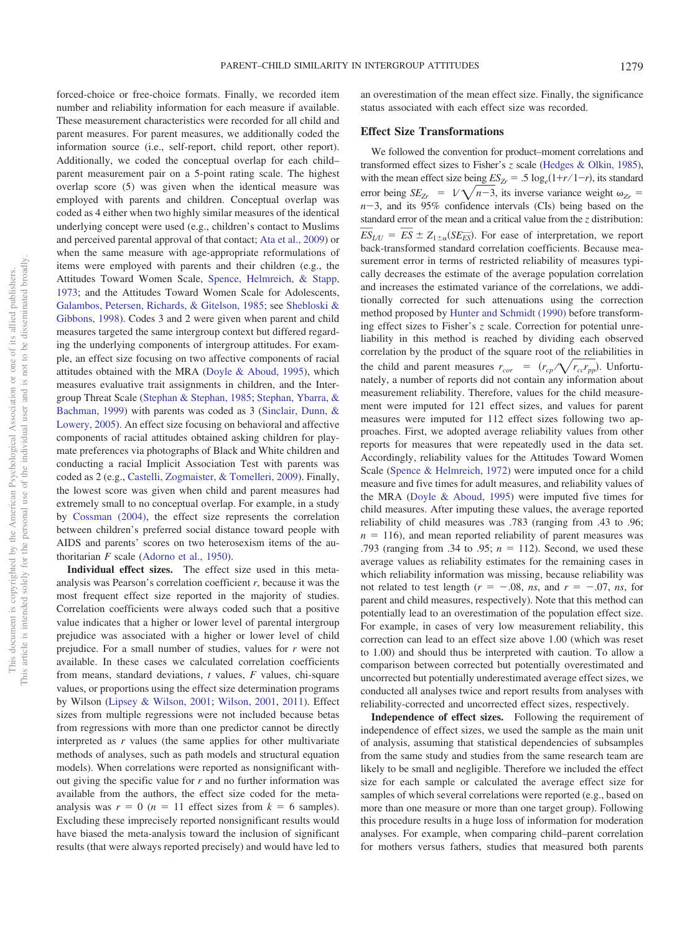forced-choice or free-choice formats. Finally, we recorded item number and reliability information for each measure if available. These measurement characteristics were recorded for all child and parent measures. For parent measures, we additionally coded the information source (i.e., self-report, child report, other report). Additionally, we coded the conceptual overlap for each child– parent measurement pair on a 5-point rating scale. The highest overlap score (5) was given when the identical measure was employed with parents and children. Conceptual overlap was coded as 4 either when two highly similar measures of the identical underlying concept were used (e.g., children's contact to Muslims and perceived parental approval of that contact; [Ata et al., 2009\)](#page-21-15) or when the same measure with age-appropriate reformulations of items were employed with parents and their children (e.g., the Attitudes Toward Women Scale, [Spence, Helmreich, & Stapp,](#page-26-11) [1973;](#page-26-11) and the Attitudes Toward Women Scale for Adolescents, [Galambos, Petersen, Richards, & Gitelson, 1985;](#page-23-13) see [Shebloski &](#page-26-12) [Gibbons, 1998\)](#page-26-12). Codes 3 and 2 were given when parent and child measures targeted the same intergroup context but differed regarding the underlying components of intergroup attitudes. For example, an effect size focusing on two affective components of racial attitudes obtained with the MRA [\(Doyle & Aboud, 1995\)](#page-22-6), which measures evaluative trait assignments in children, and the Intergroup Threat Scale [\(Stephan & Stephan, 1985;](#page-26-13) [Stephan, Ybarra, &](#page-26-14) [Bachman, 1999\)](#page-26-14) with parents was coded as 3 [\(Sinclair, Dunn, &](#page-26-15) [Lowery, 2005\)](#page-26-15). An effect size focusing on behavioral and affective components of racial attitudes obtained asking children for playmate preferences via photographs of Black and White children and conducting a racial Implicit Association Test with parents was coded as 2 (e.g., [Castelli, Zogmaister, & Tomelleri, 2009\)](#page-21-16). Finally, the lowest score was given when child and parent measures had extremely small to no conceptual overlap. For example, in a study by [Cossman \(2004\),](#page-21-17) the effect size represents the correlation between children's preferred social distance toward people with AIDS and parents' scores on two heterosexism items of the authoritarian *F* scale [\(Adorno et al., 1950\)](#page-21-1).

**Individual effect sizes.** The effect size used in this metaanalysis was Pearson's correlation coefficient *r*, because it was the most frequent effect size reported in the majority of studies. Correlation coefficients were always coded such that a positive value indicates that a higher or lower level of parental intergroup prejudice was associated with a higher or lower level of child prejudice. For a small number of studies, values for *r* were not available. In these cases we calculated correlation coefficients from means, standard deviations, *t* values, *F* values, chi-square values, or proportions using the effect size determination programs by Wilson [\(Lipsey & Wilson, 2001;](#page-24-13) [Wilson, 2001,](#page-27-6) [2011\)](#page-27-7). Effect sizes from multiple regressions were not included because betas from regressions with more than one predictor cannot be directly interpreted as *r* values (the same applies for other multivariate methods of analyses, such as path models and structural equation models). When correlations were reported as nonsignificant without giving the specific value for *r* and no further information was available from the authors, the effect size coded for the metaanalysis was  $r = 0$  ( $n = 11$  effect sizes from  $k = 6$  samples). Excluding these imprecisely reported nonsignificant results would have biased the meta-analysis toward the inclusion of significant results (that were always reported precisely) and would have led to

an overestimation of the mean effect size. Finally, the significance status associated with each effect size was recorded.

#### **Effect Size Transformations**

We followed the convention for product–moment correlations and transformed effect sizes to Fisher's *z* scale [\(Hedges & Olkin, 1985\)](#page-24-14), with the mean effect size being  $ES_{Zr} = .5 \log_e(1 + r/1 - r)$ , its standard error being  $SE_{Zr} = 1/\sqrt{n-3}$ , its inverse variance weight  $\omega_{Zr}$  $n-3$ , and its 95% confidence intervals (CIs) being based on the standard error of the mean and a critical value from the *z* distribution:  $\frac{1}{2}$  *ES L*<sup>*U*</sup> *CS i*<sup>*S*</sup> *CM*<sup>*n*</sup> *CS***<sub>***CS***</sub>** *CS*<sub>*CS*</sub> *CS CS CS CS CS CS CS CS CS CS CS CS CS CS CS CS CS CS CS CS CS* back-transformed standard correlation coefficients. Because measurement error in terms of restricted reliability of measures typically decreases the estimate of the average population correlation and increases the estimated variance of the correlations, we additionally corrected for such attenuations using the correction method proposed by [Hunter and Schmidt \(1990\)](#page-24-15) before transforming effect sizes to Fisher's *z* scale. Correction for potential unreliability in this method is reached by dividing each observed correlation by the product of the square root of the reliabilities in the child and parent measures  $r_{cor} = (r_{cp}/\sqrt{r_{cc}r_{pp}})$ . Unfortunately, a number of reports did not contain any information about measurement reliability. Therefore, values for the child measurement were imputed for 121 effect sizes, and values for parent measures were imputed for 112 effect sizes following two approaches. First, we adopted average reliability values from other reports for measures that were repeatedly used in the data set. Accordingly, reliability values for the Attitudes Toward Women Scale [\(Spence & Helmreich, 1972\)](#page-26-16) were imputed once for a child measure and five times for adult measures, and reliability values of the MRA [\(Doyle & Aboud, 1995\)](#page-22-6) were imputed five times for child measures. After imputing these values, the average reported reliability of child measures was .783 (ranging from .43 to .96;  $n = 116$ ), and mean reported reliability of parent measures was .793 (ranging from .34 to .95;  $n = 112$ ). Second, we used these average values as reliability estimates for the remaining cases in which reliability information was missing, because reliability was not related to test length  $(r = -.08, ns, and r = -.07, ns, for$ parent and child measures, respectively). Note that this method can potentially lead to an overestimation of the population effect size. For example, in cases of very low measurement reliability, this correction can lead to an effect size above 1.00 (which was reset to 1.00) and should thus be interpreted with caution. To allow a comparison between corrected but potentially overestimated and uncorrected but potentially underestimated average effect sizes, we conducted all analyses twice and report results from analyses with reliability-corrected and uncorrected effect sizes, respectively.

**Independence of effect sizes.** Following the requirement of independence of effect sizes, we used the sample as the main unit of analysis, assuming that statistical dependencies of subsamples from the same study and studies from the same research team are likely to be small and negligible. Therefore we included the effect size for each sample or calculated the average effect size for samples of which several correlations were reported (e.g., based on more than one measure or more than one target group). Following this procedure results in a huge loss of information for moderation analyses. For example, when comparing child–parent correlation for mothers versus fathers, studies that measured both parents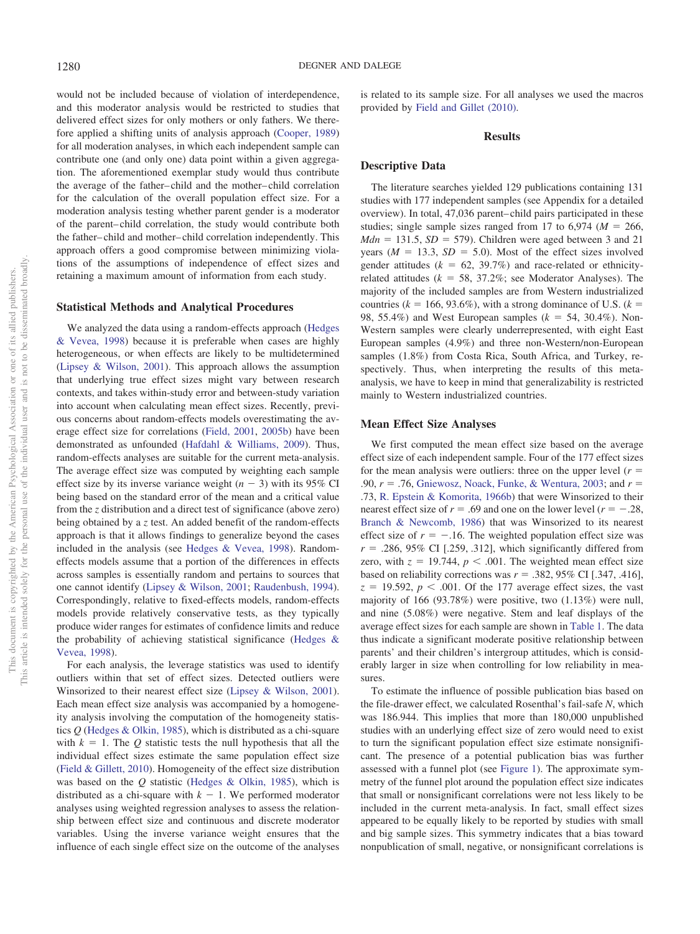would not be included because of violation of interdependence, and this moderator analysis would be restricted to studies that delivered effect sizes for only mothers or only fathers. We therefore applied a shifting units of analysis approach [\(Cooper, 1989\)](#page-21-18) for all moderation analyses, in which each independent sample can contribute one (and only one) data point within a given aggregation. The aforementioned exemplar study would thus contribute the average of the father–child and the mother–child correlation for the calculation of the overall population effect size. For a moderation analysis testing whether parent gender is a moderator of the parent–child correlation, the study would contribute both the father–child and mother–child correlation independently. This approach offers a good compromise between minimizing violations of the assumptions of independence of effect sizes and retaining a maximum amount of information from each study.

#### **Statistical Methods and Analytical Procedures**

We analyzed the data using a random-effects approach [\(Hedges](#page-24-16) [& Vevea, 1998\)](#page-24-16) because it is preferable when cases are highly heterogeneous, or when effects are likely to be multidetermined [\(Lipsey & Wilson, 2001\)](#page-24-13). This approach allows the assumption that underlying true effect sizes might vary between research contexts, and takes within-study error and between-study variation into account when calculating mean effect sizes. Recently, previous concerns about random-effects models overestimating the average effect size for correlations [\(Field, 2001,](#page-23-14) [2005b\)](#page-23-15) have been demonstrated as unfounded [\(Hafdahl & Williams, 2009\)](#page-23-16). Thus, random-effects analyses are suitable for the current meta-analysis. The average effect size was computed by weighting each sample effect size by its inverse variance weight  $(n - 3)$  with its 95% CI being based on the standard error of the mean and a critical value from the *z* distribution and a direct test of significance (above zero) being obtained by a *z* test. An added benefit of the random-effects approach is that it allows findings to generalize beyond the cases included in the analysis (see [Hedges & Vevea, 1998\)](#page-24-16). Randomeffects models assume that a portion of the differences in effects across samples is essentially random and pertains to sources that one cannot identify [\(Lipsey & Wilson, 2001;](#page-24-13) [Raudenbush, 1994\)](#page-26-17). Correspondingly, relative to fixed-effects models, random-effects models provide relatively conservative tests, as they typically produce wider ranges for estimates of confidence limits and reduce the probability of achieving statistical significance [\(Hedges &](#page-24-16) [Vevea, 1998\)](#page-24-16).

For each analysis, the leverage statistics was used to identify outliers within that set of effect sizes. Detected outliers were Winsorized to their nearest effect size [\(Lipsey & Wilson, 2001\)](#page-24-13). Each mean effect size analysis was accompanied by a homogeneity analysis involving the computation of the homogeneity statistics *Q* [\(Hedges & Olkin, 1985\)](#page-24-14), which is distributed as a chi-square with  $k = 1$ . The Q statistic tests the null hypothesis that all the individual effect sizes estimate the same population effect size [\(Field & Gillett, 2010\)](#page-23-17). Homogeneity of the effect size distribution was based on the *Q* statistic [\(Hedges & Olkin, 1985\)](#page-24-14), which is distributed as a chi-square with  $k - 1$ . We performed moderator analyses using weighted regression analyses to assess the relationship between effect size and continuous and discrete moderator variables. Using the inverse variance weight ensures that the influence of each single effect size on the outcome of the analyses is related to its sample size. For all analyses we used the macros provided by [Field and Gillet \(2010\).](#page-23-17)

#### **Results**

#### **Descriptive Data**

The literature searches yielded 129 publications containing 131 studies with 177 independent samples (see Appendix for a detailed overview). In total, 47,036 parent–child pairs participated in these studies; single sample sizes ranged from 17 to  $6,974$  ( $M = 266$ ,  $Mdn = 131.5$ ,  $SD = 579$ ). Children were aged between 3 and 21 years ( $M = 13.3$ ,  $SD = 5.0$ ). Most of the effect sizes involved gender attitudes  $(k = 62, 39.7\%)$  and race-related or ethnicityrelated attitudes ( $k = 58$ , 37.2%; see Moderator Analyses). The majority of the included samples are from Western industrialized countries ( $k = 166, 93.6\%$ ), with a strong dominance of U.S. ( $k =$ 98, 55.4%) and West European samples  $(k = 54, 30.4\%)$ . Non-Western samples were clearly underrepresented, with eight East European samples (4.9%) and three non-Western/non-European samples (1.8%) from Costa Rica, South Africa, and Turkey, respectively. Thus, when interpreting the results of this metaanalysis, we have to keep in mind that generalizability is restricted mainly to Western industrialized countries.

#### **Mean Effect Size Analyses**

We first computed the mean effect size based on the average effect size of each independent sample. Four of the 177 effect sizes for the mean analysis were outliers: three on the upper level  $(r =$ .90, *r* .76, [Gniewosz, Noack, Funke, & Wentura, 2003;](#page-23-18) and *r* .73, [R. Epstein & Komorita, 1966b\)](#page-22-12) that were Winsorized to their nearest effect size of  $r = .69$  and one on the lower level ( $r = -.28$ , [Branch & Newcomb, 1986\)](#page-21-8) that was Winsorized to its nearest effect size of  $r = -.16$ . The weighted population effect size was  $r = .286, 95\%$  CI [.259, .312], which significantly differed from zero, with  $z = 19.744$ ,  $p < .001$ . The weighted mean effect size based on reliability corrections was  $r = .382, 95\%$  CI [.347, .416],  $z = 19.592$ ,  $p < .001$ . Of the 177 average effect sizes, the vast majority of 166 (93.78%) were positive, two (1.13%) were null, and nine (5.08%) were negative. Stem and leaf displays of the average effect sizes for each sample are shown in [Table 1.](#page-11-0) The data thus indicate a significant moderate positive relationship between parents' and their children's intergroup attitudes, which is considerably larger in size when controlling for low reliability in measures.

To estimate the influence of possible publication bias based on the file-drawer effect, we calculated Rosenthal's fail-safe *N*, which was 186.944. This implies that more than 180,000 unpublished studies with an underlying effect size of zero would need to exist to turn the significant population effect size estimate nonsignificant. The presence of a potential publication bias was further assessed with a funnel plot (see [Figure 1\)](#page-12-0). The approximate symmetry of the funnel plot around the population effect size indicates that small or nonsignificant correlations were not less likely to be included in the current meta-analysis. In fact, small effect sizes appeared to be equally likely to be reported by studies with small and big sample sizes. This symmetry indicates that a bias toward nonpublication of small, negative, or nonsignificant correlations is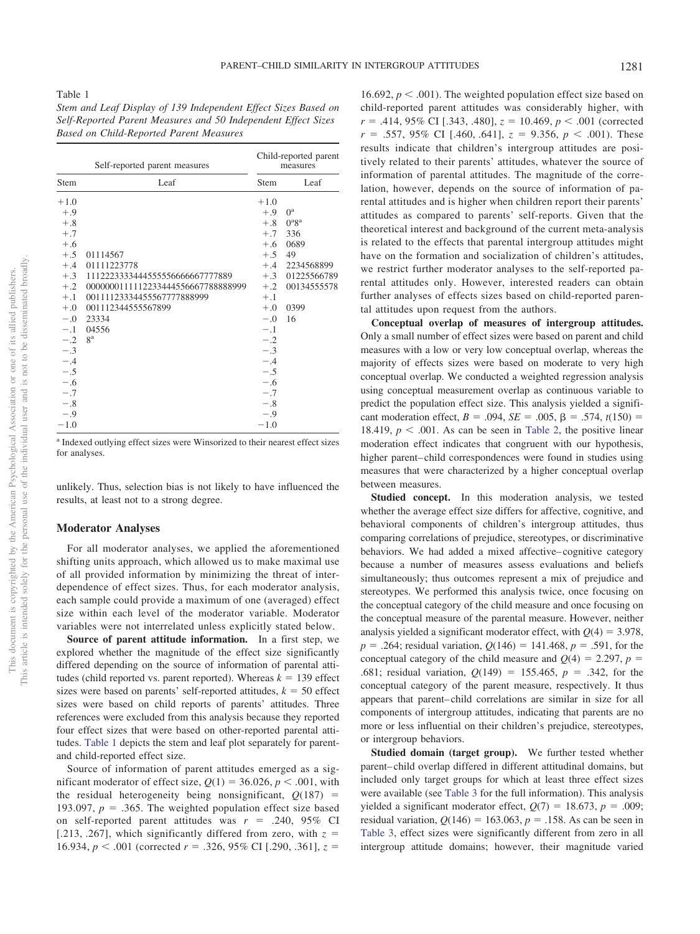<span id="page-11-0"></span>Table 1

*Stem and Leaf Display of 139 Independent Effect Sizes Based on Self-Reported Parent Measures and 50 Independent Effect Sizes Based on Child-Reported Parent Measures*

|                                                                                                                                                                   | Self-reported parent measures                                                                                                                                                            |                                                                                                                                                                  | Child-reported parent<br>measures                                                                            |
|-------------------------------------------------------------------------------------------------------------------------------------------------------------------|------------------------------------------------------------------------------------------------------------------------------------------------------------------------------------------|------------------------------------------------------------------------------------------------------------------------------------------------------------------|--------------------------------------------------------------------------------------------------------------|
| Stem                                                                                                                                                              | Leaf                                                                                                                                                                                     | <b>Stem</b>                                                                                                                                                      | Leaf                                                                                                         |
| $+1.0$<br>$+, 9$<br>$+.8$<br>$+.7$<br>$+.6$<br>$+.5$<br>$+.4$<br>$+.3$<br>$+.2$<br>$+.1$<br>$+0.0$<br>$-.0$<br>$-.1$<br>$-.2$<br>$-.3$<br>$-.4$<br>$-.5$<br>$-.6$ | 01114567<br>01111223778<br>1112223333444555556666667777889<br>0000000111112233444556667788888999<br>00111123334455567777888999<br>001112344555567899<br>23334<br>04556<br>8 <sup>a</sup> | $+1.0$<br>$+ .9$<br>$+.8$<br>$+.7$<br>$+.6$<br>$+.5$<br>$+.4$<br>$+.3$<br>$+.2$<br>$+.1$<br>$+0.0$<br>$-0$<br>$-.1$<br>$-.2$<br>$-.3$<br>$-.4$<br>$-.5$<br>$-.6$ | $0^a$<br>$0^{\rm a}8^{\rm a}$<br>336<br>0689<br>49<br>2234568899<br>01225566789<br>00134555578<br>0399<br>16 |
| $-.7$<br>$-.8$<br>$-.9$                                                                                                                                           |                                                                                                                                                                                          | $-.7$<br>$-.8$<br>$-.9$                                                                                                                                          |                                                                                                              |
| $-1.0$                                                                                                                                                            |                                                                                                                                                                                          | $-1.0$                                                                                                                                                           |                                                                                                              |

<sup>a</sup> Indexed outlying effect sizes were Winsorized to their nearest effect sizes for analyses.

unlikely. Thus, selection bias is not likely to have influenced the results, at least not to a strong degree.

#### **Moderator Analyses**

For all moderator analyses, we applied the aforementioned shifting units approach, which allowed us to make maximal use of all provided information by minimizing the threat of interdependence of effect sizes. Thus, for each moderator analysis, each sample could provide a maximum of one (averaged) effect size within each level of the moderator variable. Moderator variables were not interrelated unless explicitly stated below.

**Source of parent attitude information.** In a first step, we explored whether the magnitude of the effect size significantly differed depending on the source of information of parental attitudes (child reported vs. parent reported). Whereas  $k = 139$  effect sizes were based on parents' self-reported attitudes,  $k = 50$  effect sizes were based on child reports of parents' attitudes. Three references were excluded from this analysis because they reported four effect sizes that were based on other-reported parental attitudes. [Table 1](#page-11-0) depicts the stem and leaf plot separately for parentand child-reported effect size.

Source of information of parent attitudes emerged as a significant moderator of effect size,  $Q(1) = 36.026$ ,  $p < .001$ , with the residual heterogeneity being nonsignificant,  $Q(187)$  = 193.097,  $p = .365$ . The weighted population effect size based on self-reported parent attitudes was  $r = .240, 95\%$  CI [.213, .267], which significantly differed from zero, with  $z =$ 16.934,  $p < .001$  (corrected  $r = .326, 95\%$  CI [.290, .361],  $z =$ 

16.692,  $p < .001$ ). The weighted population effect size based on child-reported parent attitudes was considerably higher, with  $r = .414, 95\%$  CI [.343, .480],  $z = 10.469$ ,  $p < .001$  (corrected  $r = .557, 95\% \text{ CI}$  [.460, .641],  $z = 9.356, p < .001$ ). These results indicate that children's intergroup attitudes are positively related to their parents' attitudes, whatever the source of information of parental attitudes. The magnitude of the correlation, however, depends on the source of information of parental attitudes and is higher when children report their parents' attitudes as compared to parents' self-reports. Given that the theoretical interest and background of the current meta-analysis is related to the effects that parental intergroup attitudes might have on the formation and socialization of children's attitudes, we restrict further moderator analyses to the self-reported parental attitudes only. However, interested readers can obtain further analyses of effects sizes based on child-reported parental attitudes upon request from the authors.

**Conceptual overlap of measures of intergroup attitudes.** Only a small number of effect sizes were based on parent and child measures with a low or very low conceptual overlap, whereas the majority of effects sizes were based on moderate to very high conceptual overlap. We conducted a weighted regression analysis using conceptual measurement overlap as continuous variable to predict the population effect size. This analysis yielded a significant moderation effect,  $B = .094$ ,  $SE = .005$ ,  $B = .574$ ,  $t(150) =$ 18.419,  $p < .001$ . As can be seen in [Table 2,](#page-13-0) the positive linear moderation effect indicates that congruent with our hypothesis, higher parent–child correspondences were found in studies using measures that were characterized by a higher conceptual overlap between measures.

**Studied concept.** In this moderation analysis, we tested whether the average effect size differs for affective, cognitive, and behavioral components of children's intergroup attitudes, thus comparing correlations of prejudice, stereotypes, or discriminative behaviors. We had added a mixed affective–cognitive category because a number of measures assess evaluations and beliefs simultaneously; thus outcomes represent a mix of prejudice and stereotypes. We performed this analysis twice, once focusing on the conceptual category of the child measure and once focusing on the conceptual measure of the parental measure. However, neither analysis yielded a significant moderator effect, with  $O(4) = 3.978$ ,  $p = .264$ ; residual variation,  $Q(146) = 141.468$ ,  $p = .591$ , for the conceptual category of the child measure and  $Q(4) = 2.297$ ,  $p =$ .681; residual variation,  $Q(149) = 155.465$ ,  $p = .342$ , for the conceptual category of the parent measure, respectively. It thus appears that parent–child correlations are similar in size for all components of intergroup attitudes, indicating that parents are no more or less influential on their children's prejudice, stereotypes, or intergroup behaviors.

**Studied domain (target group).** We further tested whether parent–child overlap differed in different attitudinal domains, but included only target groups for which at least three effect sizes were available (see [Table 3](#page-14-0) for the full information). This analysis yielded a significant moderator effect,  $Q(7) = 18.673$ ,  $p = .009$ ; residual variation,  $Q(146) = 163.063$ ,  $p = .158$ . As can be seen in [Table 3,](#page-14-0) effect sizes were significantly different from zero in all intergroup attitude domains; however, their magnitude varied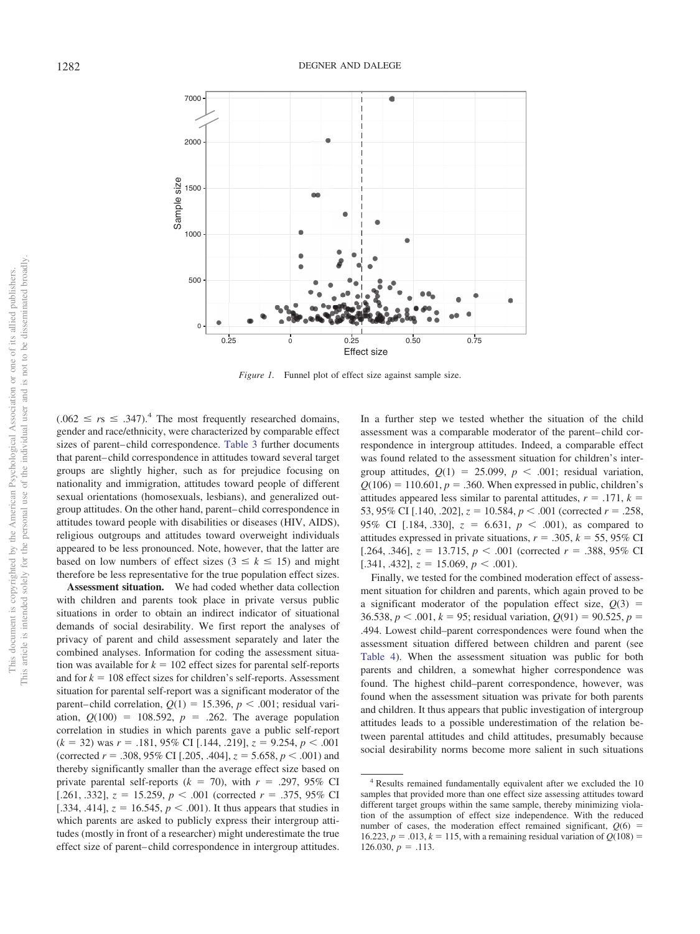

<span id="page-12-0"></span>*Figure 1.* Funnel plot of effect size against sample size.

 $(.062 \leq r s \leq .347).$ <sup>4</sup> The most frequently researched domains, gender and race/ethnicity, were characterized by comparable effect sizes of parent–child correspondence. [Table 3](#page-14-0) further documents that parent–child correspondence in attitudes toward several target groups are slightly higher, such as for prejudice focusing on nationality and immigration, attitudes toward people of different sexual orientations (homosexuals, lesbians), and generalized outgroup attitudes. On the other hand, parent–child correspondence in attitudes toward people with disabilities or diseases (HIV, AIDS), religious outgroups and attitudes toward overweight individuals appeared to be less pronounced. Note, however, that the latter are based on low numbers of effect sizes  $(3 \le k \le 15)$  and might therefore be less representative for the true population effect sizes.

**Assessment situation.** We had coded whether data collection with children and parents took place in private versus public situations in order to obtain an indirect indicator of situational demands of social desirability. We first report the analyses of privacy of parent and child assessment separately and later the combined analyses. Information for coding the assessment situation was available for  $k = 102$  effect sizes for parental self-reports and for  $k = 108$  effect sizes for children's self-reports. Assessment situation for parental self-report was a significant moderator of the parent–child correlation,  $Q(1) = 15.396$ ,  $p < .001$ ; residual variation,  $Q(100) = 108.592$ ,  $p = .262$ . The average population correlation in studies in which parents gave a public self-report  $(k = 32)$  was  $r = .181, 95\%$  CI [.144, .219],  $z = 9.254, p < .001$ (corrected  $r = .308, 95\%$  CI [.205, .404],  $z = 5.658, p < .001$ ) and thereby significantly smaller than the average effect size based on private parental self-reports ( $k = 70$ ), with  $r = .297, 95\%$  CI [.261, .332],  $z = 15.259$ ,  $p < .001$  (corrected  $r = .375$ , 95% CI [.334, .414],  $z = 16.545$ ,  $p < .001$ ). It thus appears that studies in which parents are asked to publicly express their intergroup attitudes (mostly in front of a researcher) might underestimate the true effect size of parent–child correspondence in intergroup attitudes.

In a further step we tested whether the situation of the child assessment was a comparable moderator of the parent–child correspondence in intergroup attitudes. Indeed, a comparable effect was found related to the assessment situation for children's intergroup attitudes,  $Q(1) = 25.099$ ,  $p < .001$ ; residual variation,  $Q(106) = 110.601$ ,  $p = .360$ . When expressed in public, children's attitudes appeared less similar to parental attitudes,  $r = .171$ ,  $k =$ 53, 95% CI [.140, .202],  $z = 10.584$ ,  $p < .001$  (corrected  $r = .258$ , 95% CI [.184, .330],  $z = 6.631$ ,  $p < .001$ ), as compared to attitudes expressed in private situations,  $r = .305$ ,  $k = 55$ , 95% CI [.264, .346],  $z = 13.715$ ,  $p < .001$  (corrected  $r = .388$ , 95% CI  $[0.341, 0.432], z = 15.069, p < .001$ .

Finally, we tested for the combined moderation effect of assessment situation for children and parents, which again proved to be a significant moderator of the population effect size,  $Q(3)$  = 36.538,  $p < .001$ ,  $k = 95$ ; residual variation,  $Q(91) = 90.525$ ,  $p =$ .494. Lowest child–parent correspondences were found when the assessment situation differed between children and parent (see [Table 4\)](#page-14-1). When the assessment situation was public for both parents and children, a somewhat higher correspondence was found. The highest child–parent correspondence, however, was found when the assessment situation was private for both parents and children. It thus appears that public investigation of intergroup attitudes leads to a possible underestimation of the relation between parental attitudes and child attitudes, presumably because social desirability norms become more salient in such situations

<sup>4</sup> Results remained fundamentally equivalent after we excluded the 10 samples that provided more than one effect size assessing attitudes toward different target groups within the same sample, thereby minimizing violation of the assumption of effect size independence. With the reduced number of cases, the moderation effect remained significant,  $O(6)$  = 16.223,  $p = .013$ ,  $k = 115$ , with a remaining residual variation of  $Q(108) =$ 126.030,  $p = .113$ .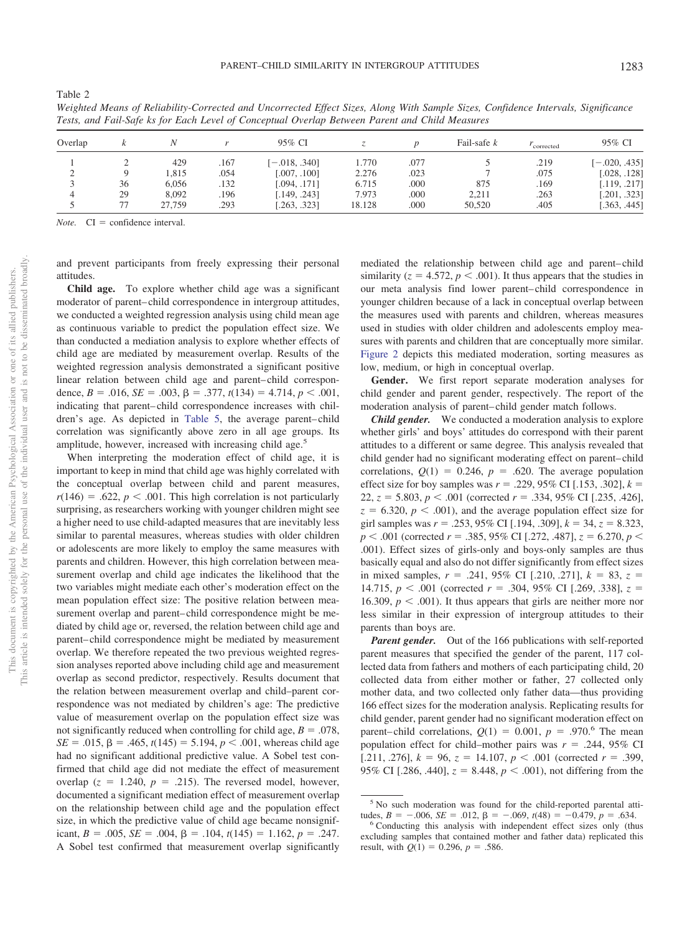|         |    |        |      | Tests, and Fail-Safe ks for Each Level of Conceptual Overlap Between Parent and Child Measures |        |      |               |           |                 |
|---------|----|--------|------|------------------------------------------------------------------------------------------------|--------|------|---------------|-----------|-----------------|
| Overlap |    |        |      | 95% CI                                                                                         |        |      | Fail-safe $k$ | corrected | 95% CI          |
|         |    | 429    | .167 | $[-.018, .340]$                                                                                | 1.770  | .077 |               | .219      | $[-.020, .435]$ |
|         |    | .815   | .054 | [.007. .100]                                                                                   | 2.276  | .023 |               | .075      | [.028, .128]    |
|         | 36 | 6.056  | .132 | 0.094, 0.171                                                                                   | 6.715  | .000 | 875           | .169      | [.119, .217]    |
|         | 29 | 8.092  | .196 | 149. .2431                                                                                     | 7.973  | .000 | 2.211         | .263      | [.201, .323]    |
|         |    | 27.759 | .293 | .263, .3231                                                                                    | 18.128 | .000 | 50,520        | .405      | [.363, .445]    |

*Weighted Means of Reliability-Corrected and Uncorrected Effect Sizes, Along With Sample Sizes, Confidence Intervals, Significance*

*Note.*  $CI = confidence interval.$ 

<span id="page-13-0"></span>Table 2

and prevent participants from freely expressing their personal attitudes.

**Child age.** To explore whether child age was a significant moderator of parent–child correspondence in intergroup attitudes, we conducted a weighted regression analysis using child mean age as continuous variable to predict the population effect size. We than conducted a mediation analysis to explore whether effects of child age are mediated by measurement overlap. Results of the weighted regression analysis demonstrated a significant positive linear relation between child age and parent–child correspondence,  $B = .016$ ,  $SE = .003$ ,  $\beta = .377$ ,  $t(134) = 4.714$ ,  $p < .001$ , indicating that parent–child correspondence increases with children's age. As depicted in [Table 5,](#page-15-0) the average parent–child correlation was significantly above zero in all age groups. Its amplitude, however, increased with increasing child age.<sup>5</sup>

When interpreting the moderation effect of child age, it is important to keep in mind that child age was highly correlated with the conceptual overlap between child and parent measures,  $r(146) = .622$ ,  $p < .001$ . This high correlation is not particularly surprising, as researchers working with younger children might see a higher need to use child-adapted measures that are inevitably less similar to parental measures, whereas studies with older children or adolescents are more likely to employ the same measures with parents and children. However, this high correlation between measurement overlap and child age indicates the likelihood that the two variables might mediate each other's moderation effect on the mean population effect size: The positive relation between measurement overlap and parent–child correspondence might be mediated by child age or, reversed, the relation between child age and parent–child correspondence might be mediated by measurement overlap. We therefore repeated the two previous weighted regression analyses reported above including child age and measurement overlap as second predictor, respectively. Results document that the relation between measurement overlap and child–parent correspondence was not mediated by children's age: The predictive value of measurement overlap on the population effect size was not significantly reduced when controlling for child age,  $B = .078$ ,  $SE = .015$ ,  $\beta = .465$ ,  $t(145) = 5.194$ ,  $p < .001$ , whereas child age had no significant additional predictive value. A Sobel test confirmed that child age did not mediate the effect of measurement overlap ( $z = 1.240$ ,  $p = .215$ ). The reversed model, however, documented a significant mediation effect of measurement overlap on the relationship between child age and the population effect size, in which the predictive value of child age became nonsignificant,  $B = .005$ ,  $SE = .004$ ,  $\beta = .104$ ,  $t(145) = 1.162$ ,  $p = .247$ . A Sobel test confirmed that measurement overlap significantly mediated the relationship between child age and parent–child similarity ( $z = 4.572$ ,  $p < .001$ ). It thus appears that the studies in our meta analysis find lower parent–child correspondence in younger children because of a lack in conceptual overlap between the measures used with parents and children, whereas measures used in studies with older children and adolescents employ measures with parents and children that are conceptually more similar. [Figure 2](#page-15-1) depicts this mediated moderation, sorting measures as low, medium, or high in conceptual overlap.

**Gender.** We first report separate moderation analyses for child gender and parent gender, respectively. The report of the moderation analysis of parent–child gender match follows.

*Child gender.* We conducted a moderation analysis to explore whether girls' and boys' attitudes do correspond with their parent attitudes to a different or same degree. This analysis revealed that child gender had no significant moderating effect on parent–child correlations,  $Q(1) = 0.246$ ,  $p = .620$ . The average population effect size for boy samples was  $r = .229, 95\%$  CI [.153, .302],  $k =$ 22,  $z = 5.803$ ,  $p < .001$  (corrected  $r = .334$ , 95% CI [.235, .426],  $z = 6.320, p < .001$ , and the average population effect size for girl samples was  $r = .253, 95\%$  CI [.194, .309],  $k = 34, z = 8.323$ , *p* .001 (corrected *r* .385, 95% CI [.272, .487], *z* 6.270, *p* .001). Effect sizes of girls-only and boys-only samples are thus basically equal and also do not differ significantly from effect sizes in mixed samples,  $r = .241, 95\%$  CI [.210, .271],  $k = 83, z =$ 14.715,  $p < .001$  (corrected  $r = .304, 95\%$  CI [.269, .338],  $z =$ 16.309,  $p < .001$ ). It thus appears that girls are neither more nor less similar in their expression of intergroup attitudes to their parents than boys are.

*Parent gender.* Out of the 166 publications with self-reported parent measures that specified the gender of the parent, 117 collected data from fathers and mothers of each participating child, 20 collected data from either mother or father, 27 collected only mother data, and two collected only father data—thus providing 166 effect sizes for the moderation analysis. Replicating results for child gender, parent gender had no significant moderation effect on parent–child correlations,  $Q(1) = 0.001$ ,  $p = .970$ .<sup>6</sup> The mean population effect for child–mother pairs was  $r = .244, 95\%$  CI [.211, .276],  $k = 96$ ,  $z = 14.107$ ,  $p < .001$  (corrected  $r = .399$ , 95% CI [.286, .440],  $z = 8.448$ ,  $p < .001$ ), not differing from the

<sup>5</sup> No such moderation was found for the child-reported parental atti-

tudes,  $B = -.006$ ,  $SE = .012$ ,  $\beta = -.069$ ,  $t(48) = -0.479$ ,  $p = .634$ .<br><sup>6</sup> Conducting this analysis with independent effect sizes only (thus excluding samples that contained mother and father data) replicated this result, with  $Q(1) = 0.296$ ,  $p = .586$ .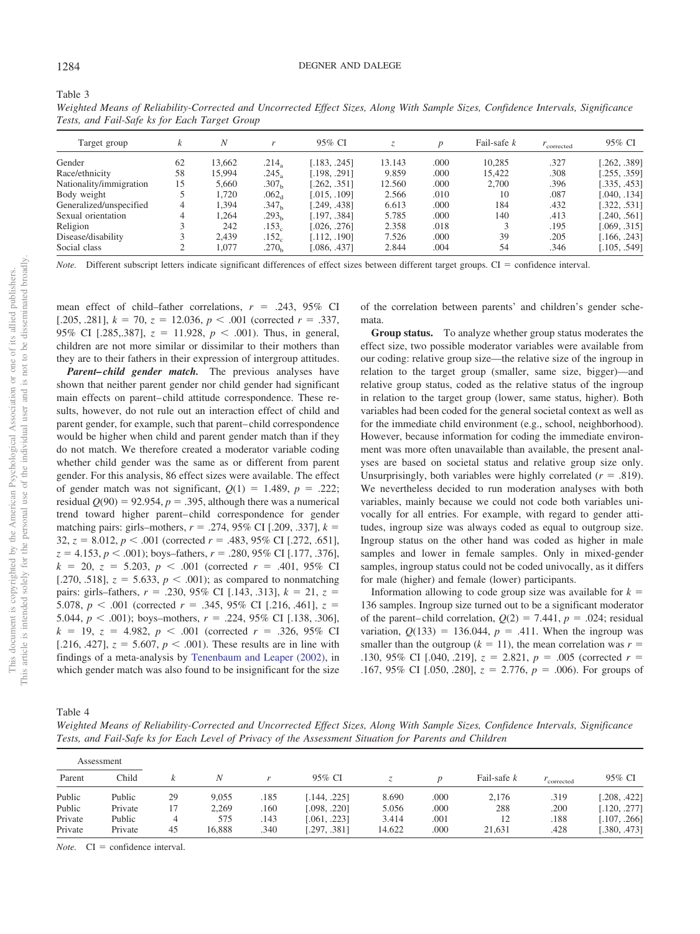<span id="page-14-0"></span>Table 3

*Weighted Means of Reliability-Corrected and Uncorrected Effect Sizes, Along With Sample Sizes, Confidence Intervals, Significance Tests, and Fail-Safe ks for Each Target Group*

| Target group            |    | N      |                   | 95% CI         |        |      | Fail-safe $k$ | corrected | 95% CI         |
|-------------------------|----|--------|-------------------|----------------|--------|------|---------------|-----------|----------------|
| Gender                  | 62 | 13.662 | .214.             | $.183, .245$ ] | 13.143 | .000 | 10,285        | .327      | [.262, .389]   |
| Race/ethnicity          | 58 | 15.994 | .245.             | .198, .291     | 9.859  | .000 | 15.422        | .308      | [.255, .359]   |
| Nationality/immigration | 15 | 5.660  | .307 <sub>h</sub> | .262, .351     | 12.560 | .000 | 2.700         | .396      | $-335, .453$   |
| Body weight             |    | ,720   | .062 <sub>d</sub> | [.015, .109]   | 2.566  | .010 | 10            | .087      | [.040, .134]   |
| Generalized/unspecified | 4  | 1,394  | .347 <sub>h</sub> | 0.249, .4381   | 6.613  | .000 | 184           | .432      | $.322, .531$ ] |
| Sexual orientation      | 4  | .264   | .293 <sub>h</sub> | $.197, .384$ ] | 5.785  | .000 | 140           | .413      | .240, .561     |
| Religion                |    | 242    | .153 <sub>c</sub> | 0.026, .276    | 2.358  | .018 |               | .195      | 069, .315      |
| Disease/disability      |    | 2.439  | .152 <sub>c</sub> | 112, .190      | 7.526  | .000 | 39            | .205      | 166, .243      |
| Social class            |    | .077   | .270 <sub>b</sub> | $.086, .437$ ] | 2.844  | .004 | 54            | .346      | [.105, .549]   |

*Note.* Different subscript letters indicate significant differences of effect sizes between different target groups. CI = confidence interval.

mean effect of child–father correlations,  $r = .243, 95\%$  CI [.205, .281],  $k = 70$ ,  $z = 12.036$ ,  $p < .001$  (corrected  $r = .337$ , 95% CI [.285, 387],  $z = 11.928$ ,  $p < .001$ ). Thus, in general, children are not more similar or dissimilar to their mothers than they are to their fathers in their expression of intergroup attitudes.

*Parent– child gender match.* The previous analyses have shown that neither parent gender nor child gender had significant main effects on parent–child attitude correspondence. These results, however, do not rule out an interaction effect of child and parent gender, for example, such that parent–child correspondence would be higher when child and parent gender match than if they do not match. We therefore created a moderator variable coding whether child gender was the same as or different from parent gender. For this analysis, 86 effect sizes were available. The effect of gender match was not significant,  $Q(1) = 1.489$ ,  $p = .222$ ; residual  $Q(90) = 92.954$ ,  $p = .395$ , although there was a numerical trend toward higher parent–child correspondence for gender matching pairs: girls–mothers,  $r = .274, 95\%$  CI [.209, .337],  $k =$ 32,  $z = 8.012$ ,  $p < .001$  (corrected  $r = .483, 95\%$  CI [.272, .651],  $z = 4.153$ ,  $p < .001$ ; boys–fathers,  $r = .280, 95\%$  CI [.177, .376],  $k = 20$ ,  $z = 5.203$ ,  $p < .001$  (corrected  $r = .401$ , 95% CI [.270, .518],  $z = 5.633$ ,  $p < .001$ ); as compared to nonmatching pairs: girls–fathers,  $r = .230, 95\%$  CI [.143, .313],  $k = 21, z =$ 5.078,  $p < .001$  (corrected  $r = .345, 95\%$  CI [.216, .461],  $z =$ 5.044,  $p < .001$ ); boys–mothers,  $r = .224, 95\%$  CI [.138, .306],  $k = 19$ ,  $z = 4.982$ ,  $p < .001$  (corrected  $r = .326, 95\%$  CI [.216, .427],  $z = 5.607$ ,  $p < .001$ ). These results are in line with findings of a meta-analysis by [Tenenbaum and Leaper \(2002\),](#page-26-9) in which gender match was also found to be insignificant for the size of the correlation between parents' and children's gender schemata.

**Group status.** To analyze whether group status moderates the effect size, two possible moderator variables were available from our coding: relative group size—the relative size of the ingroup in relation to the target group (smaller, same size, bigger)—and relative group status, coded as the relative status of the ingroup in relation to the target group (lower, same status, higher). Both variables had been coded for the general societal context as well as for the immediate child environment (e.g., school, neighborhood). However, because information for coding the immediate environment was more often unavailable than available, the present analyses are based on societal status and relative group size only. Unsurprisingly, both variables were highly correlated  $(r = .819)$ . We nevertheless decided to run moderation analyses with both variables, mainly because we could not code both variables univocally for all entries. For example, with regard to gender attitudes, ingroup size was always coded as equal to outgroup size. Ingroup status on the other hand was coded as higher in male samples and lower in female samples. Only in mixed-gender samples, ingroup status could not be coded univocally, as it differs for male (higher) and female (lower) participants.

Information allowing to code group size was available for *k* 136 samples. Ingroup size turned out to be a significant moderator of the parent–child correlation,  $Q(2) = 7.441$ ,  $p = .024$ ; residual variation,  $Q(133) = 136.044$ ,  $p = .411$ . When the ingroup was smaller than the outgroup ( $k = 11$ ), the mean correlation was  $r =$ .130, 95% CI [.040, .219],  $z = 2.821$ ,  $p = .005$  (corrected  $r =$ .167, 95% CI [.050, .280],  $z = 2.776$ ,  $p = .006$ ). For groups of

<span id="page-14-1"></span>Table 4

*Weighted Means of Reliability-Corrected and Uncorrected Effect Sizes, Along With Sample Sizes, Confidence Intervals, Significance Tests, and Fail-Safe ks for Each Level of Privacy of the Assessment Situation for Parents and Children*

|                    | Assessment        |    |               |              |                                 |                 |              |               |              |                              |
|--------------------|-------------------|----|---------------|--------------|---------------------------------|-----------------|--------------|---------------|--------------|------------------------------|
| Parent             | Child             |    |               |              | 95% CI                          |                 |              | Fail-safe $k$ | corrected    | 95% CI                       |
| Public             | Public            | 29 | 9.055         | .185         | $144, .225$ ]                   | 8.690           | .000         | 2.176         | .319         | $-208, .422]$                |
| Public             | Private           |    | 2.269         | .160         | [.098, .220]                    | 5.056           | .000         | 288           | .200         | [.120, .277]                 |
| Private<br>Private | Public<br>Private | 45 | 575<br>16.888 | .143<br>.340 | $0.061, .223$ ]<br>[.297, .381] | 3.414<br>14.622 | .001<br>.000 | 12<br>21,631  | .188<br>.428 | [.107, .266]<br>$-380, .473$ |

*Note.*  $CI = confidence interval.$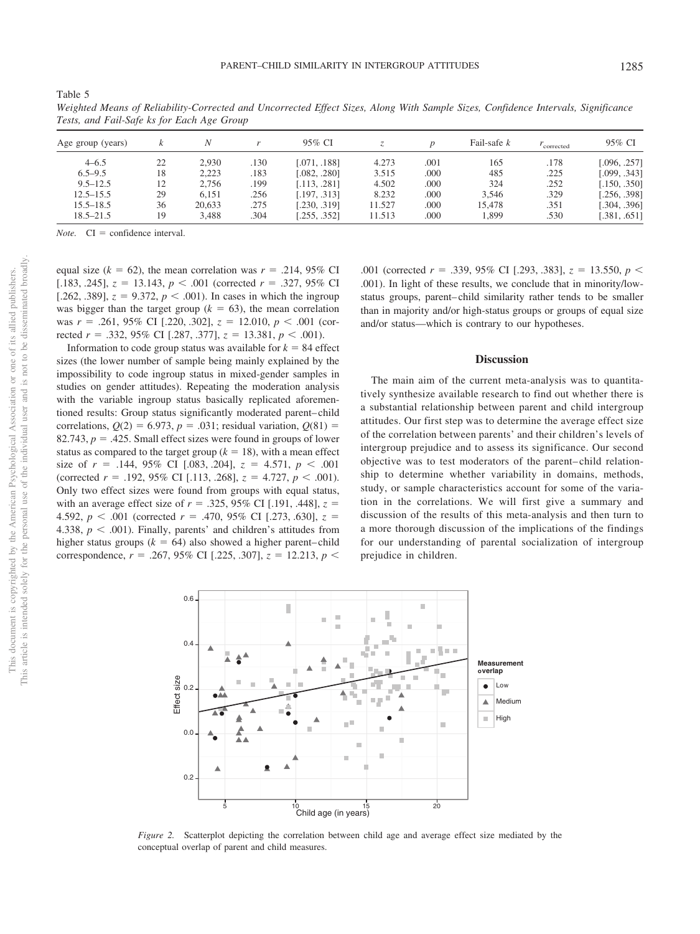| Age group (years) |    | N      |      | 95% CI       |        |      | Fail-safe $k$ | corrected | 95% CI       |
|-------------------|----|--------|------|--------------|--------|------|---------------|-----------|--------------|
| $4 - 6.5$         | 22 | 2.930  | .130 | [.071, .188] | 4.273  | .001 | 165           | .178      | [.096, .257] |
| $6.5 - 9.5$       | 18 | 2.223  | .183 | 1.082. .2801 | 3.515  | .000 | 485           | .225      | [.099, .343] |
| $9.5 - 12.5$      | 12 | 2.756  | .199 | 1.1132811    | 4.502  | .000 | 324           | .252      | [.150, .350] |
| $12.5 - 15.5$     | 29 | 6.151  | .256 | [.197. .313] | 8.232  | .000 | 3.546         | .329      | [.256, .398] |
| $15.5 - 18.5$     | 36 | 20.633 | .275 | [.230, .319] | 11.527 | .000 | 15,478        | .351      | [.304, .396] |
| $18.5 - 21.5$     | 19 | 3,488  | .304 | [.255, .352] | 11.513 | .000 | 1,899         | .530      | .381, .651]  |

*Weighted Means of Reliability-Corrected and Uncorrected Effect Sizes, Along With Sample Sizes, Confidence Intervals, Significance Tests, and Fail-Safe ks for Each Age Group*

*Note.*  $CI = confidence interval.$ 

<span id="page-15-0"></span>Table 5

equal size  $(k = 62)$ , the mean correlation was  $r = .214, 95\%$  CI [.183, .245],  $z = 13.143$ ,  $p < .001$  (corrected  $r = .327, 95\%$  CI [.262, .389],  $z = 9.372$ ,  $p < .001$ ). In cases in which the ingroup was bigger than the target group  $(k = 63)$ , the mean correlation was  $r = .261, 95\%$  CI [.220, .302],  $z = 12.010, p < .001$  (corrected  $r = .332, 95\%$  CI [.287, .377],  $z = 13.381, p < .001$ ).

Information to code group status was available for  $k = 84$  effect sizes (the lower number of sample being mainly explained by the impossibility to code ingroup status in mixed-gender samples in studies on gender attitudes). Repeating the moderation analysis with the variable ingroup status basically replicated aforementioned results: Group status significantly moderated parent–child correlations,  $Q(2) = 6.973$ ,  $p = .031$ ; residual variation,  $Q(81) =$ 82.743,  $p = .425$ . Small effect sizes were found in groups of lower status as compared to the target group  $(k = 18)$ , with a mean effect size of  $r = .144, 95\%$  CI [.083, .204],  $z = 4.571, p < .001$ (corrected  $r = .192, 95\%$  CI [.113, .268],  $z = 4.727, p < .001$ ). Only two effect sizes were found from groups with equal status, with an average effect size of  $r = .325, 95\%$  CI [.191, .448],  $z =$ 4.592,  $p < .001$  (corrected  $r = .470, 95\%$  CI [.273, .630],  $z =$ 4.338,  $p < .001$ ). Finally, parents' and children's attitudes from higher status groups  $(k = 64)$  also showed a higher parent–child correspondence,  $r = .267, 95\%$  CI [.225, .307],  $z = 12.213$ ,  $p <$ 

.001 (corrected  $r = .339, 95\%$  CI [.293, .383],  $z = 13.550, p <$ .001). In light of these results, we conclude that in minority/lowstatus groups, parent–child similarity rather tends to be smaller than in majority and/or high-status groups or groups of equal size and/or status—which is contrary to our hypotheses.

#### **Discussion**

The main aim of the current meta-analysis was to quantitatively synthesize available research to find out whether there is a substantial relationship between parent and child intergroup attitudes. Our first step was to determine the average effect size of the correlation between parents' and their children's levels of intergroup prejudice and to assess its significance. Our second objective was to test moderators of the parent–child relationship to determine whether variability in domains, methods, study, or sample characteristics account for some of the variation in the correlations. We will first give a summary and discussion of the results of this meta-analysis and then turn to a more thorough discussion of the implications of the findings for our understanding of parental socialization of intergroup prejudice in children.



<span id="page-15-1"></span>*Figure 2.* Scatterplot depicting the correlation between child age and average effect size mediated by the conceptual overlap of parent and child measures.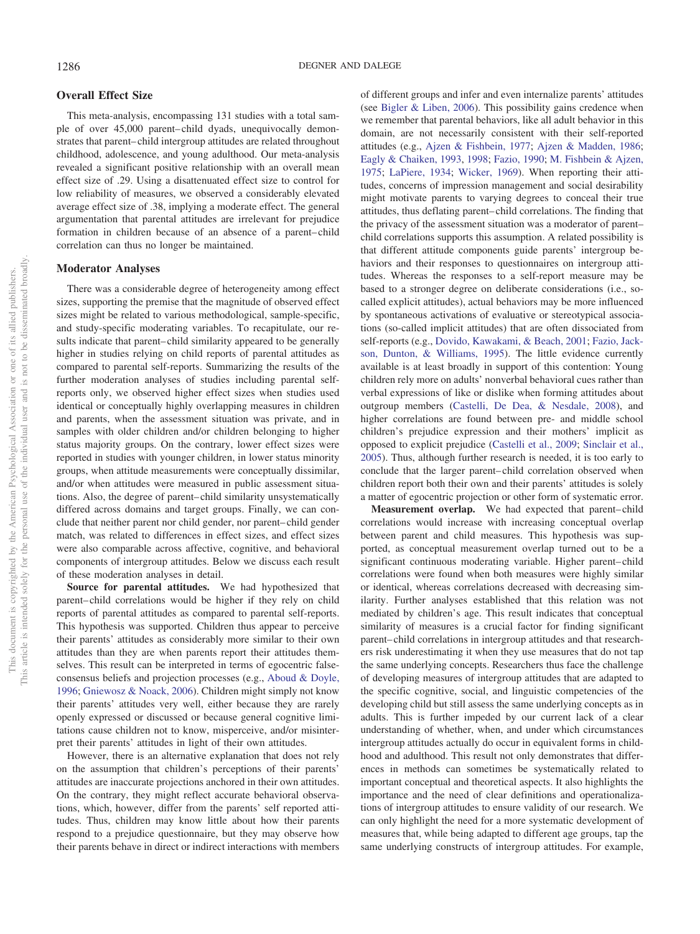#### **Overall Effect Size**

This meta-analysis, encompassing 131 studies with a total sample of over 45,000 parent–child dyads, unequivocally demonstrates that parent–child intergroup attitudes are related throughout childhood, adolescence, and young adulthood. Our meta-analysis revealed a significant positive relationship with an overall mean effect size of .29. Using a disattenuated effect size to control for low reliability of measures, we observed a considerably elevated average effect size of .38, implying a moderate effect. The general argumentation that parental attitudes are irrelevant for prejudice formation in children because of an absence of a parent–child correlation can thus no longer be maintained.

#### **Moderator Analyses**

There was a considerable degree of heterogeneity among effect sizes, supporting the premise that the magnitude of observed effect sizes might be related to various methodological, sample-specific, and study-specific moderating variables. To recapitulate, our results indicate that parent–child similarity appeared to be generally higher in studies relying on child reports of parental attitudes as compared to parental self-reports. Summarizing the results of the further moderation analyses of studies including parental selfreports only, we observed higher effect sizes when studies used identical or conceptually highly overlapping measures in children and parents, when the assessment situation was private, and in samples with older children and/or children belonging to higher status majority groups. On the contrary, lower effect sizes were reported in studies with younger children, in lower status minority groups, when attitude measurements were conceptually dissimilar, and/or when attitudes were measured in public assessment situations. Also, the degree of parent–child similarity unsystematically differed across domains and target groups. Finally, we can conclude that neither parent nor child gender, nor parent–child gender match, was related to differences in effect sizes, and effect sizes were also comparable across affective, cognitive, and behavioral components of intergroup attitudes. Below we discuss each result of these moderation analyses in detail.

**Source for parental attitudes.** We had hypothesized that parent–child correlations would be higher if they rely on child reports of parental attitudes as compared to parental self-reports. This hypothesis was supported. Children thus appear to perceive their parents' attitudes as considerably more similar to their own attitudes than they are when parents report their attitudes themselves. This result can be interpreted in terms of egocentric falseconsensus beliefs and projection processes (e.g., [Aboud & Doyle,](#page-20-2) [1996;](#page-20-2) [Gniewosz & Noack, 2006\)](#page-23-0). Children might simply not know their parents' attitudes very well, either because they are rarely openly expressed or discussed or because general cognitive limitations cause children not to know, misperceive, and/or misinterpret their parents' attitudes in light of their own attitudes.

However, there is an alternative explanation that does not rely on the assumption that children's perceptions of their parents' attitudes are inaccurate projections anchored in their own attitudes. On the contrary, they might reflect accurate behavioral observations, which, however, differ from the parents' self reported attitudes. Thus, children may know little about how their parents respond to a prejudice questionnaire, but they may observe how their parents behave in direct or indirect interactions with members of different groups and infer and even internalize parents' attitudes (see [Bigler & Liben, 2006\)](#page-21-2). This possibility gains credence when we remember that parental behaviors, like all adult behavior in this domain, are not necessarily consistent with their self-reported attitudes (e.g., [Ajzen & Fishbein, 1977;](#page-21-19) [Ajzen & Madden, 1986;](#page-21-20) [Eagly & Chaiken, 1993,](#page-22-13) [1998;](#page-22-14) [Fazio, 1990;](#page-23-19) [M. Fishbein & Ajzen,](#page-23-20) [1975;](#page-23-20) [LaPiere, 1934;](#page-24-17) [Wicker, 1969\)](#page-27-8). When reporting their attitudes, concerns of impression management and social desirability might motivate parents to varying degrees to conceal their true attitudes, thus deflating parent–child correlations. The finding that the privacy of the assessment situation was a moderator of parent– child correlations supports this assumption. A related possibility is that different attitude components guide parents' intergroup behaviors and their responses to questionnaires on intergroup attitudes. Whereas the responses to a self-report measure may be based to a stronger degree on deliberate considerations (i.e., socalled explicit attitudes), actual behaviors may be more influenced by spontaneous activations of evaluative or stereotypical associations (so-called implicit attitudes) that are often dissociated from self-reports (e.g., [Dovido, Kawakami, & Beach, 2001;](#page-22-15) [Fazio, Jack](#page-23-21)[son, Dunton, & Williams, 1995\)](#page-23-21). The little evidence currently available is at least broadly in support of this contention: Young children rely more on adults' nonverbal behavioral cues rather than verbal expressions of like or dislike when forming attitudes about outgroup members [\(Castelli, De Dea, & Nesdale, 2008\)](#page-21-21), and higher correlations are found between pre- and middle school children's prejudice expression and their mothers' implicit as opposed to explicit prejudice [\(Castelli et al., 2009;](#page-21-16) [Sinclair et al.,](#page-26-15) [2005\)](#page-26-15). Thus, although further research is needed, it is too early to conclude that the larger parent–child correlation observed when children report both their own and their parents' attitudes is solely a matter of egocentric projection or other form of systematic error.

**Measurement overlap.** We had expected that parent–child correlations would increase with increasing conceptual overlap between parent and child measures. This hypothesis was supported, as conceptual measurement overlap turned out to be a significant continuous moderating variable. Higher parent–child correlations were found when both measures were highly similar or identical, whereas correlations decreased with decreasing similarity. Further analyses established that this relation was not mediated by children's age. This result indicates that conceptual similarity of measures is a crucial factor for finding significant parent–child correlations in intergroup attitudes and that researchers risk underestimating it when they use measures that do not tap the same underlying concepts. Researchers thus face the challenge of developing measures of intergroup attitudes that are adapted to the specific cognitive, social, and linguistic competencies of the developing child but still assess the same underlying concepts as in adults. This is further impeded by our current lack of a clear understanding of whether, when, and under which circumstances intergroup attitudes actually do occur in equivalent forms in childhood and adulthood. This result not only demonstrates that differences in methods can sometimes be systematically related to important conceptual and theoretical aspects. It also highlights the importance and the need of clear definitions and operationalizations of intergroup attitudes to ensure validity of our research. We can only highlight the need for a more systematic development of measures that, while being adapted to different age groups, tap the same underlying constructs of intergroup attitudes. For example,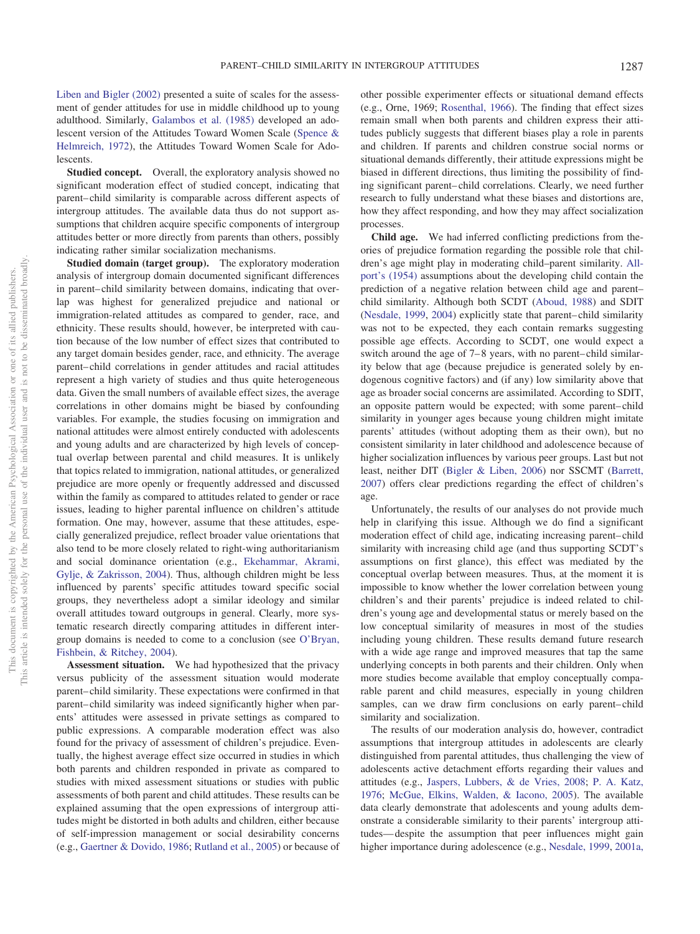[Liben and Bigler \(2002\)](#page-24-18) presented a suite of scales for the assessment of gender attitudes for use in middle childhood up to young adulthood. Similarly, [Galambos et al. \(1985\)](#page-23-13) developed an adolescent version of the Attitudes Toward Women Scale [\(Spence &](#page-26-16) [Helmreich, 1972\)](#page-26-16), the Attitudes Toward Women Scale for Adolescents.

**Studied concept.** Overall, the exploratory analysis showed no significant moderation effect of studied concept, indicating that parent–child similarity is comparable across different aspects of intergroup attitudes. The available data thus do not support assumptions that children acquire specific components of intergroup attitudes better or more directly from parents than others, possibly indicating rather similar socialization mechanisms.

**Studied domain (target group).** The exploratory moderation analysis of intergroup domain documented significant differences in parent–child similarity between domains, indicating that overlap was highest for generalized prejudice and national or immigration-related attitudes as compared to gender, race, and ethnicity. These results should, however, be interpreted with caution because of the low number of effect sizes that contributed to any target domain besides gender, race, and ethnicity. The average parent–child correlations in gender attitudes and racial attitudes represent a high variety of studies and thus quite heterogeneous data. Given the small numbers of available effect sizes, the average correlations in other domains might be biased by confounding variables. For example, the studies focusing on immigration and national attitudes were almost entirely conducted with adolescents and young adults and are characterized by high levels of conceptual overlap between parental and child measures. It is unlikely that topics related to immigration, national attitudes, or generalized prejudice are more openly or frequently addressed and discussed within the family as compared to attitudes related to gender or race issues, leading to higher parental influence on children's attitude formation. One may, however, assume that these attitudes, especially generalized prejudice, reflect broader value orientations that also tend to be more closely related to right-wing authoritarianism and social dominance orientation (e.g., [Ekehammar, Akrami,](#page-22-16) [Gylje, & Zakrisson, 2004\)](#page-22-16). Thus, although children might be less influenced by parents' specific attitudes toward specific social groups, they nevertheless adopt a similar ideology and similar overall attitudes toward outgroups in general. Clearly, more systematic research directly comparing attitudes in different intergroup domains is needed to come to a conclusion (see [O'Bryan,](#page-25-15) [Fishbein, & Ritchey, 2004\)](#page-25-15).

**Assessment situation.** We had hypothesized that the privacy versus publicity of the assessment situation would moderate parent–child similarity. These expectations were confirmed in that parent–child similarity was indeed significantly higher when parents' attitudes were assessed in private settings as compared to public expressions. A comparable moderation effect was also found for the privacy of assessment of children's prejudice. Eventually, the highest average effect size occurred in studies in which both parents and children responded in private as compared to studies with mixed assessment situations or studies with public assessments of both parent and child attitudes. These results can be explained assuming that the open expressions of intergroup attitudes might be distorted in both adults and children, either because of self-impression management or social desirability concerns (e.g., [Gaertner & Dovido, 1986;](#page-23-22) [Rutland et al., 2005\)](#page-26-6) or because of other possible experimenter effects or situational demand effects (e.g., Orne, 1969; [Rosenthal, 1966\)](#page-26-18). The finding that effect sizes remain small when both parents and children express their attitudes publicly suggests that different biases play a role in parents and children. If parents and children construe social norms or situational demands differently, their attitude expressions might be biased in different directions, thus limiting the possibility of finding significant parent–child correlations. Clearly, we need further research to fully understand what these biases and distortions are, how they affect responding, and how they may affect socialization processes.

**Child age.** We had inferred conflicting predictions from theories of prejudice formation regarding the possible role that children's age might play in moderating child–parent similarity. [All](#page-21-0)[port's \(1954\)](#page-21-0) assumptions about the developing child contain the prediction of a negative relation between child age and parent– child similarity. Although both SCDT [\(Aboud, 1988\)](#page-20-0) and SDIT [\(Nesdale, 1999,](#page-25-2) [2004\)](#page-25-1) explicitly state that parent–child similarity was not to be expected, they each contain remarks suggesting possible age effects. According to SCDT, one would expect a switch around the age of 7–8 years, with no parent–child similarity below that age (because prejudice is generated solely by endogenous cognitive factors) and (if any) low similarity above that age as broader social concerns are assimilated. According to SDIT, an opposite pattern would be expected; with some parent–child similarity in younger ages because young children might imitate parents' attitudes (without adopting them as their own), but no consistent similarity in later childhood and adolescence because of higher socialization influences by various peer groups. Last but not least, neither DIT [\(Bigler & Liben, 2006\)](#page-21-2) nor SSCMT [\(Barrett,](#page-21-4) [2007\)](#page-21-4) offers clear predictions regarding the effect of children's age.

Unfortunately, the results of our analyses do not provide much help in clarifying this issue. Although we do find a significant moderation effect of child age, indicating increasing parent–child similarity with increasing child age (and thus supporting SCDT's assumptions on first glance), this effect was mediated by the conceptual overlap between measures. Thus, at the moment it is impossible to know whether the lower correlation between young children's and their parents' prejudice is indeed related to children's young age and developmental status or merely based on the low conceptual similarity of measures in most of the studies including young children. These results demand future research with a wide age range and improved measures that tap the same underlying concepts in both parents and their children. Only when more studies become available that employ conceptually comparable parent and child measures, especially in young children samples, can we draw firm conclusions on early parent–child similarity and socialization.

The results of our moderation analysis do, however, contradict assumptions that intergroup attitudes in adolescents are clearly distinguished from parental attitudes, thus challenging the view of adolescents active detachment efforts regarding their values and attitudes (e.g., [Jaspers, Lubbers, & de Vries, 2008;](#page-24-8) [P. A. Katz,](#page-24-5) [1976;](#page-24-5) [McGue, Elkins, Walden, & Iacono, 2005\)](#page-25-9). The available data clearly demonstrate that adolescents and young adults demonstrate a considerable similarity to their parents' intergroup attitudes—despite the assumption that peer influences might gain higher importance during adolescence (e.g., [Nesdale, 1999,](#page-25-2) [2001a,](#page-25-3)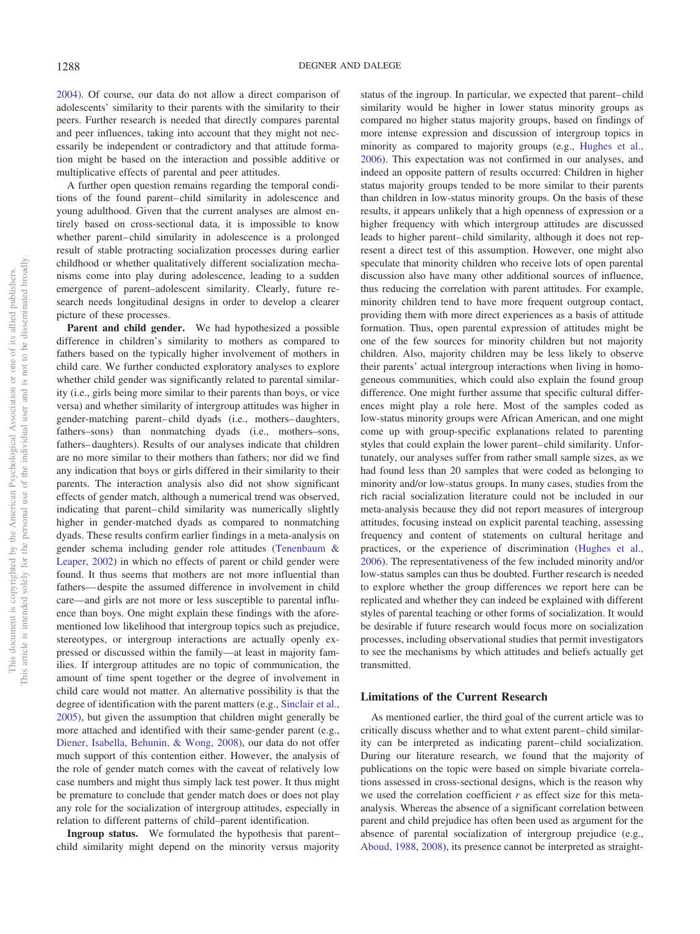[2004\).](#page-25-1) Of course, our data do not allow a direct comparison of adolescents' similarity to their parents with the similarity to their peers. Further research is needed that directly compares parental and peer influences, taking into account that they might not necessarily be independent or contradictory and that attitude formation might be based on the interaction and possible additive or multiplicative effects of parental and peer attitudes.

A further open question remains regarding the temporal conditions of the found parent–child similarity in adolescence and young adulthood. Given that the current analyses are almost entirely based on cross-sectional data, it is impossible to know whether parent–child similarity in adolescence is a prolonged result of stable protracting socialization processes during earlier childhood or whether qualitatively different socialization mechanisms come into play during adolescence, leading to a sudden emergence of parent–adolescent similarity. Clearly, future research needs longitudinal designs in order to develop a clearer picture of these processes.

**Parent and child gender.** We had hypothesized a possible difference in children's similarity to mothers as compared to fathers based on the typically higher involvement of mothers in child care. We further conducted exploratory analyses to explore whether child gender was significantly related to parental similarity (i.e., girls being more similar to their parents than boys, or vice versa) and whether similarity of intergroup attitudes was higher in gender-matching parent–child dyads (i.e., mothers–daughters, fathers–sons) than nonmatching dyads (i.e., mothers–sons, fathers–daughters). Results of our analyses indicate that children are no more similar to their mothers than fathers; nor did we find any indication that boys or girls differed in their similarity to their parents. The interaction analysis also did not show significant effects of gender match, although a numerical trend was observed, indicating that parent–child similarity was numerically slightly higher in gender-matched dyads as compared to nonmatching dyads. These results confirm earlier findings in a meta-analysis on gender schema including gender role attitudes [\(Tenenbaum &](#page-26-9) [Leaper, 2002\)](#page-26-9) in which no effects of parent or child gender were found. It thus seems that mothers are not more influential than fathers—despite the assumed difference in involvement in child care—and girls are not more or less susceptible to parental influence than boys. One might explain these findings with the aforementioned low likelihood that intergroup topics such as prejudice, stereotypes, or intergroup interactions are actually openly expressed or discussed within the family—at least in majority families. If intergroup attitudes are no topic of communication, the amount of time spent together or the degree of involvement in child care would not matter. An alternative possibility is that the degree of identification with the parent matters (e.g., [Sinclair et al.,](#page-26-15) [2005\)](#page-26-15), but given the assumption that children might generally be more attached and identified with their same-gender parent (e.g., [Diener, Isabella, Behunin, & Wong, 2008\)](#page-22-17), our data do not offer much support of this contention either. However, the analysis of the role of gender match comes with the caveat of relatively low case numbers and might thus simply lack test power. It thus might be premature to conclude that gender match does or does not play any role for the socialization of intergroup attitudes, especially in relation to different patterns of child–parent identification.

**Ingroup status.** We formulated the hypothesis that parent– child similarity might depend on the minority versus majority

status of the ingroup. In particular, we expected that parent–child similarity would be higher in lower status minority groups as compared no higher status majority groups, based on findings of more intense expression and discussion of intergroup topics in minority as compared to majority groups (e.g., [Hughes et al.,](#page-24-11) [2006\)](#page-24-11). This expectation was not confirmed in our analyses, and indeed an opposite pattern of results occurred: Children in higher status majority groups tended to be more similar to their parents than children in low-status minority groups. On the basis of these results, it appears unlikely that a high openness of expression or a higher frequency with which intergroup attitudes are discussed leads to higher parent–child similarity, although it does not represent a direct test of this assumption. However, one might also speculate that minority children who receive lots of open parental discussion also have many other additional sources of influence, thus reducing the correlation with parent attitudes. For example, minority children tend to have more frequent outgroup contact, providing them with more direct experiences as a basis of attitude formation. Thus, open parental expression of attitudes might be one of the few sources for minority children but not majority children. Also, majority children may be less likely to observe their parents' actual intergroup interactions when living in homogeneous communities, which could also explain the found group difference. One might further assume that specific cultural differences might play a role here. Most of the samples coded as low-status minority groups were African American, and one might come up with group-specific explanations related to parenting styles that could explain the lower parent–child similarity. Unfortunately, our analyses suffer from rather small sample sizes, as we had found less than 20 samples that were coded as belonging to minority and/or low-status groups. In many cases, studies from the rich racial socialization literature could not be included in our meta-analysis because they did not report measures of intergroup attitudes, focusing instead on explicit parental teaching, assessing frequency and content of statements on cultural heritage and practices, or the experience of discrimination [\(Hughes et al.,](#page-24-11) [2006\)](#page-24-11). The representativeness of the few included minority and/or low-status samples can thus be doubted. Further research is needed to explore whether the group differences we report here can be replicated and whether they can indeed be explained with different styles of parental teaching or other forms of socialization. It would be desirable if future research would focus more on socialization processes, including observational studies that permit investigators to see the mechanisms by which attitudes and beliefs actually get transmitted.

#### **Limitations of the Current Research**

As mentioned earlier, the third goal of the current article was to critically discuss whether and to what extent parent–child similarity can be interpreted as indicating parent–child socialization. During our literature research, we found that the majority of publications on the topic were based on simple bivariate correlations assessed in cross-sectional designs, which is the reason why we used the correlation coefficient *r* as effect size for this metaanalysis. Whereas the absence of a significant correlation between parent and child prejudice has often been used as argument for the absence of parental socialization of intergroup prejudice (e.g., [Aboud, 1988,](#page-20-0) [2008\)](#page-20-1), its presence cannot be interpreted as straight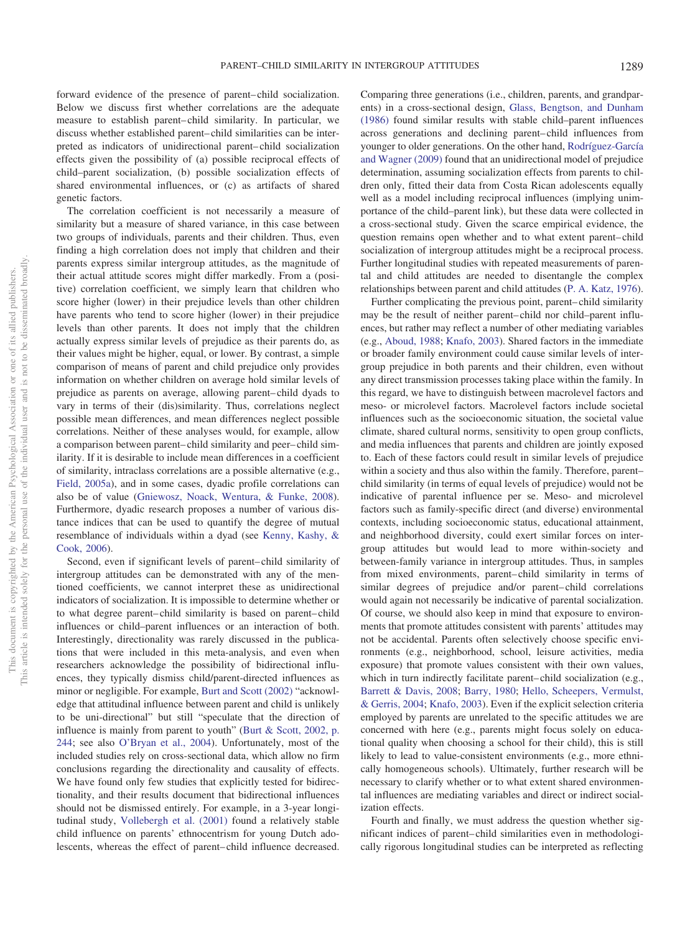forward evidence of the presence of parent–child socialization. Below we discuss first whether correlations are the adequate measure to establish parent–child similarity. In particular, we discuss whether established parent–child similarities can be interpreted as indicators of unidirectional parent–child socialization effects given the possibility of (a) possible reciprocal effects of child–parent socialization, (b) possible socialization effects of shared environmental influences, or (c) as artifacts of shared genetic factors.

The correlation coefficient is not necessarily a measure of similarity but a measure of shared variance, in this case between two groups of individuals, parents and their children. Thus, even finding a high correlation does not imply that children and their parents express similar intergroup attitudes, as the magnitude of their actual attitude scores might differ markedly. From a (positive) correlation coefficient, we simply learn that children who score higher (lower) in their prejudice levels than other children have parents who tend to score higher (lower) in their prejudice levels than other parents. It does not imply that the children actually express similar levels of prejudice as their parents do, as their values might be higher, equal, or lower. By contrast, a simple comparison of means of parent and child prejudice only provides information on whether children on average hold similar levels of prejudice as parents on average, allowing parent–child dyads to vary in terms of their (dis)similarity. Thus, correlations neglect possible mean differences, and mean differences neglect possible correlations. Neither of these analyses would, for example, allow a comparison between parent–child similarity and peer–child similarity. If it is desirable to include mean differences in a coefficient of similarity, intraclass correlations are a possible alternative (e.g., [Field, 2005a\)](#page-23-23), and in some cases, dyadic profile correlations can also be of value [\(Gniewosz, Noack, Wentura, & Funke, 2008\)](#page-23-24). Furthermore, dyadic research proposes a number of various distance indices that can be used to quantify the degree of mutual resemblance of individuals within a dyad (see [Kenny, Kashy, &](#page-24-19) [Cook, 2006\)](#page-24-19).

Second, even if significant levels of parent–child similarity of intergroup attitudes can be demonstrated with any of the mentioned coefficients, we cannot interpret these as unidirectional indicators of socialization. It is impossible to determine whether or to what degree parent–child similarity is based on parent–child influences or child–parent influences or an interaction of both. Interestingly, directionality was rarely discussed in the publications that were included in this meta-analysis, and even when researchers acknowledge the possibility of bidirectional influences, they typically dismiss child/parent-directed influences as minor or negligible. For example, [Burt and Scott \(2002\)](#page-21-12) "acknowledge that attitudinal influence between parent and child is unlikely to be uni-directional" but still "speculate that the direction of influence is mainly from parent to youth" [\(Burt & Scott, 2002, p.](#page-21-12) [244;](#page-21-12) see also [O'Bryan et al., 2004\)](#page-25-15). Unfortunately, most of the included studies rely on cross-sectional data, which allow no firm conclusions regarding the directionality and causality of effects. We have found only few studies that explicitly tested for bidirectionality, and their results document that bidirectional influences should not be dismissed entirely. For example, in a 3-year longitudinal study, [Vollebergh et al. \(2001\)](#page-27-4) found a relatively stable child influence on parents' ethnocentrism for young Dutch adolescents, whereas the effect of parent–child influence decreased.

Comparing three generations (i.e., children, parents, and grandparents) in a cross-sectional design, [Glass, Bengtson, and Dunham](#page-23-2) [\(1986\)](#page-23-2) found similar results with stable child–parent influences across generations and declining parent–child influences from younger to older generations. On the other hand, [Rodríguez-García](#page-26-19) [and Wagner \(2009\)](#page-26-19) found that an unidirectional model of prejudice determination, assuming socialization effects from parents to children only, fitted their data from Costa Rican adolescents equally well as a model including reciprocal influences (implying unimportance of the child–parent link), but these data were collected in a cross-sectional study. Given the scarce empirical evidence, the question remains open whether and to what extent parent–child socialization of intergroup attitudes might be a reciprocal process. Further longitudinal studies with repeated measurements of parental and child attitudes are needed to disentangle the complex relationships between parent and child attitudes [\(P. A. Katz, 1976\)](#page-24-5).

Further complicating the previous point, parent–child similarity may be the result of neither parent–child nor child–parent influences, but rather may reflect a number of other mediating variables (e.g., [Aboud, 1988;](#page-20-0) [Knafo, 2003\)](#page-24-20). Shared factors in the immediate or broader family environment could cause similar levels of intergroup prejudice in both parents and their children, even without any direct transmission processes taking place within the family. In this regard, we have to distinguish between macrolevel factors and meso- or microlevel factors. Macrolevel factors include societal influences such as the socioeconomic situation, the societal value climate, shared cultural norms, sensitivity to open group conflicts, and media influences that parents and children are jointly exposed to. Each of these factors could result in similar levels of prejudice within a society and thus also within the family. Therefore, parent– child similarity (in terms of equal levels of prejudice) would not be indicative of parental influence per se. Meso- and microlevel factors such as family-specific direct (and diverse) environmental contexts, including socioeconomic status, educational attainment, and neighborhood diversity, could exert similar forces on intergroup attitudes but would lead to more within-society and between-family variance in intergroup attitudes. Thus, in samples from mixed environments, parent–child similarity in terms of similar degrees of prejudice and/or parent–child correlations would again not necessarily be indicative of parental socialization. Of course, we should also keep in mind that exposure to environments that promote attitudes consistent with parents' attitudes may not be accidental. Parents often selectively choose specific environments (e.g., neighborhood, school, leisure activities, media exposure) that promote values consistent with their own values, which in turn indirectly facilitate parent–child socialization (e.g., [Barrett & Davis, 2008;](#page-21-5) [Barry, 1980;](#page-21-22) [Hello, Scheepers, Vermulst,](#page-24-21) [& Gerris, 2004;](#page-24-21) [Knafo, 2003\)](#page-24-20). Even if the explicit selection criteria employed by parents are unrelated to the specific attitudes we are concerned with here (e.g., parents might focus solely on educational quality when choosing a school for their child), this is still likely to lead to value-consistent environments (e.g., more ethnically homogeneous schools). Ultimately, further research will be necessary to clarify whether or to what extent shared environmental influences are mediating variables and direct or indirect socialization effects.

Fourth and finally, we must address the question whether significant indices of parent–child similarities even in methodologically rigorous longitudinal studies can be interpreted as reflecting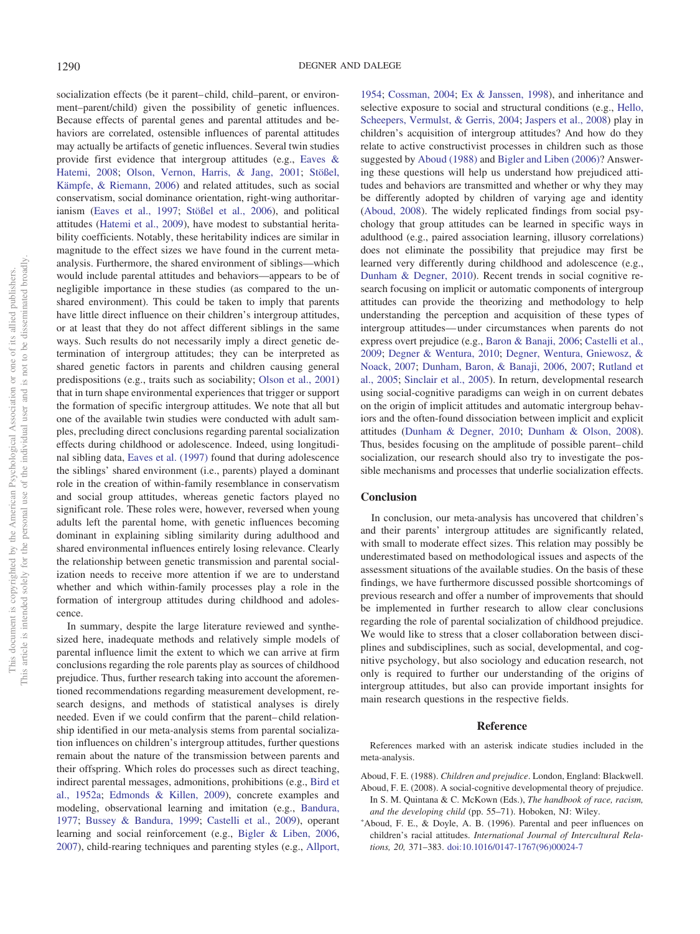<span id="page-20-3"></span>socialization effects (be it parent–child, child–parent, or environment–parent/child) given the possibility of genetic influences. Because effects of parental genes and parental attitudes and behaviors are correlated, ostensible influences of parental attitudes may actually be artifacts of genetic influences. Several twin studies provide first evidence that intergroup attitudes (e.g., [Eaves &](#page-22-18) [Hatemi, 2008;](#page-22-18) [Olson, Vernon, Harris, & Jang, 2001;](#page-25-16) [Stößel,](#page-26-20) [Kämpfe, & Riemann, 2006\)](#page-26-20) and related attitudes, such as social conservatism, social dominance orientation, right-wing authoritarianism [\(Eaves et al., 1997;](#page-22-19) [Stößel et al., 2006\)](#page-26-20), and political attitudes [\(Hatemi et al., 2009\)](#page-24-22), have modest to substantial heritability coefficients. Notably, these heritability indices are similar in magnitude to the effect sizes we have found in the current metaanalysis. Furthermore, the shared environment of siblings—which would include parental attitudes and behaviors—appears to be of negligible importance in these studies (as compared to the unshared environment). This could be taken to imply that parents have little direct influence on their children's intergroup attitudes, or at least that they do not affect different siblings in the same ways. Such results do not necessarily imply a direct genetic determination of intergroup attitudes; they can be interpreted as shared genetic factors in parents and children causing general predispositions (e.g., traits such as sociability; [Olson et al., 2001\)](#page-25-16) that in turn shape environmental experiences that trigger or support the formation of specific intergroup attitudes. We note that all but one of the available twin studies were conducted with adult samples, precluding direct conclusions regarding parental socialization effects during childhood or adolescence. Indeed, using longitudinal sibling data, [Eaves et al. \(1997\)](#page-22-19) found that during adolescence the siblings' shared environment (i.e., parents) played a dominant role in the creation of within-family resemblance in conservatism and social group attitudes, whereas genetic factors played no significant role. These roles were, however, reversed when young adults left the parental home, with genetic influences becoming dominant in explaining sibling similarity during adulthood and shared environmental influences entirely losing relevance. Clearly the relationship between genetic transmission and parental socialization needs to receive more attention if we are to understand whether and which within-family processes play a role in the formation of intergroup attitudes during childhood and adolescence.

In summary, despite the large literature reviewed and synthesized here, inadequate methods and relatively simple models of parental influence limit the extent to which we can arrive at firm conclusions regarding the role parents play as sources of childhood prejudice. Thus, further research taking into account the aforementioned recommendations regarding measurement development, research designs, and methods of statistical analyses is direly needed. Even if we could confirm that the parent–child relationship identified in our meta-analysis stems from parental socialization influences on children's intergroup attitudes, further questions remain about the nature of the transmission between parents and their offspring. Which roles do processes such as direct teaching, indirect parental messages, admonitions, prohibitions (e.g., [Bird et](#page-21-7) [al., 1952a;](#page-21-7) [Edmonds & Killen, 2009\)](#page-22-20), concrete examples and modeling, observational learning and imitation (e.g., [Bandura,](#page-21-6) [1977;](#page-21-6) [Bussey & Bandura, 1999;](#page-21-23) [Castelli et al., 2009\)](#page-21-16), operant learning and social reinforcement (e.g., [Bigler & Liben, 2006,](#page-21-2) [2007\)](#page-21-3), child-rearing techniques and parenting styles (e.g., [Allport,](#page-21-0)

[1954;](#page-21-0) [Cossman, 2004;](#page-21-17) [Ex & Janssen, 1998\)](#page-23-25), and inheritance and selective exposure to social and structural conditions (e.g., [Hello,](#page-24-21) [Scheepers, Vermulst, & Gerris, 2004;](#page-24-21) [Jaspers et al., 2008\)](#page-24-8) play in children's acquisition of intergroup attitudes? And how do they relate to active constructivist processes in children such as those suggested by [Aboud \(1988\)](#page-20-0) and [Bigler and Liben \(2006\)?](#page-21-2) Answering these questions will help us understand how prejudiced attitudes and behaviors are transmitted and whether or why they may be differently adopted by children of varying age and identity [\(Aboud, 2008\)](#page-20-1). The widely replicated findings from social psychology that group attitudes can be learned in specific ways in adulthood (e.g., paired association learning, illusory correlations) does not eliminate the possibility that prejudice may first be learned very differently during childhood and adolescence (e.g., [Dunham & Degner, 2010\)](#page-22-21). Recent trends in social cognitive research focusing on implicit or automatic components of intergroup attitudes can provide the theorizing and methodology to help understanding the perception and acquisition of these types of intergroup attitudes—under circumstances when parents do not express overt prejudice (e.g., [Baron & Banaji, 2006;](#page-21-24) [Castelli et al.,](#page-21-16) [2009;](#page-21-16) [Degner & Wentura, 2010;](#page-22-22) [Degner, Wentura, Gniewosz, &](#page-22-23) [Noack, 2007;](#page-22-23) [Dunham, Baron, & Banaji, 2006,](#page-22-24) [2007;](#page-22-25) [Rutland et](#page-26-6) [al., 2005;](#page-26-6) [Sinclair et al., 2005\)](#page-26-15). In return, developmental research using social-cognitive paradigms can weigh in on current debates on the origin of implicit attitudes and automatic intergroup behaviors and the often-found dissociation between implicit and explicit attitudes [\(Dunham & Degner, 2010;](#page-22-21) [Dunham & Olson, 2008\)](#page-22-26). Thus, besides focusing on the amplitude of possible parent–child socialization, our research should also try to investigate the possible mechanisms and processes that underlie socialization effects.

#### **Conclusion**

In conclusion, our meta-analysis has uncovered that children's and their parents' intergroup attitudes are significantly related, with small to moderate effect sizes. This relation may possibly be underestimated based on methodological issues and aspects of the assessment situations of the available studies. On the basis of these findings, we have furthermore discussed possible shortcomings of previous research and offer a number of improvements that should be implemented in further research to allow clear conclusions regarding the role of parental socialization of childhood prejudice. We would like to stress that a closer collaboration between disciplines and subdisciplines, such as social, developmental, and cognitive psychology, but also sociology and education research, not only is required to further our understanding of the origins of intergroup attitudes, but also can provide important insights for main research questions in the respective fields.

#### **Reference**

References marked with an asterisk indicate studies included in the meta-analysis.

- <span id="page-20-0"></span>Aboud, F. E. (1988). *Children and prejudice*. London, England: Blackwell.
- <span id="page-20-1"></span>Aboud, F. E. (2008). A social-cognitive developmental theory of prejudice. In S. M. Quintana & C. McKown (Eds.), *The handbook of race, racism, and the developing child* (pp. 55–71). Hoboken, NJ: Wiley.
- <span id="page-20-2"></span> Aboud, F. E., & Doyle, A. B. (1996). Parental and peer influences on children's racial attitudes. *International Journal of Intercultural Relations, 20,* 371–383. [doi:10.1016/0147-1767\(96\)00024-7](http://dx.doi.org/10.1016/0147-1767%2896%2900024-7)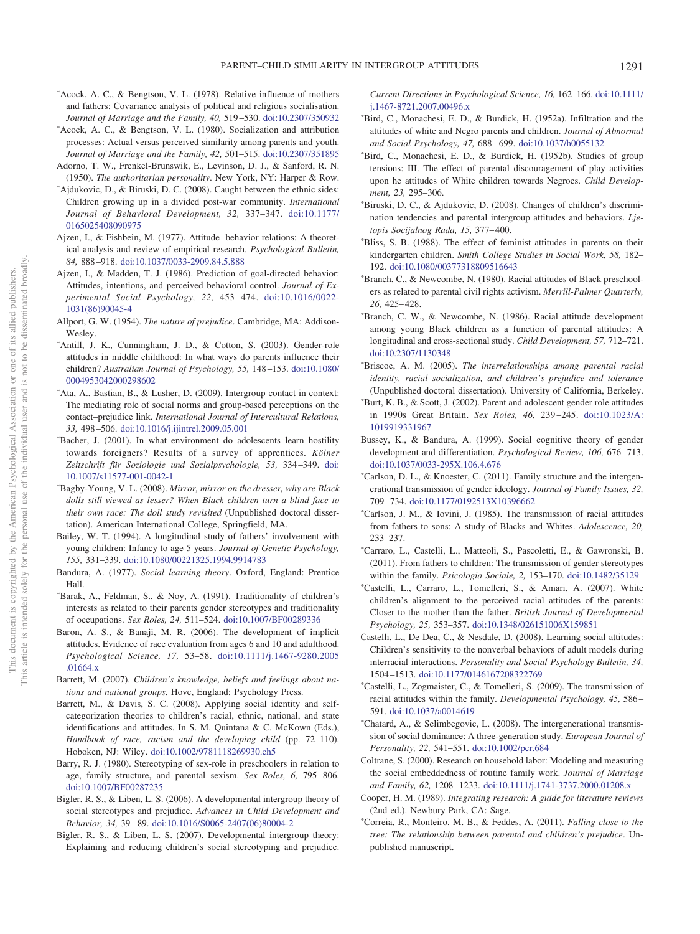- <span id="page-21-17"></span> Acock, A. C., & Bengtson, V. L. (1978). Relative influence of mothers and fathers: Covariance analysis of political and religious socialisation. *Journal of Marriage and the Family, 40,* 519–530. [doi:10.2307/350932](http://dx.doi.org/10.2307/350932)
- <span id="page-21-13"></span> Acock, A. C., & Bengtson, V. L. (1980). Socialization and attribution processes: Actual versus perceived similarity among parents and youth. *Journal of Marriage and the Family, 42,* 501–515. [doi:10.2307/351895](http://dx.doi.org/10.2307/351895)
- <span id="page-21-1"></span>Adorno, T. W., Frenkel-Brunswik, E., Levinson, D. J., & Sanford, R. N. (1950). *The authoritarian personality*. New York, NY: Harper & Row.
- <span id="page-21-25"></span> Ajdukovic, D., & Biruski, D. C. (2008). Caught between the ethnic sides: Children growing up in a divided post-war community. *International Journal of Behavioral Development, 32,* 337–347. [doi:10.1177/](http://dx.doi.org/10.1177/0165025408090975) [0165025408090975](http://dx.doi.org/10.1177/0165025408090975)
- <span id="page-21-19"></span>Ajzen, I., & Fishbein, M. (1977). Attitude–behavior relations: A theoretical analysis and review of empirical research. *Psychological Bulletin, 84,* 888–918. [doi:10.1037/0033-2909.84.5.888](http://dx.doi.org/10.1037/0033-2909.84.5.888)
- <span id="page-21-20"></span>Ajzen, I., & Madden, T. J. (1986). Prediction of goal-directed behavior: Attitudes, intentions, and perceived behavioral control. *Journal of Experimental Social Psychology, 22,* 453–474. [doi:10.1016/0022-](http://dx.doi.org/10.1016/0022-1031%2886%2990045-4) [1031\(86\)90045-4](http://dx.doi.org/10.1016/0022-1031%2886%2990045-4)
- <span id="page-21-0"></span>Allport, G. W. (1954). *The nature of prejudice*. Cambridge, MA: Addison-Wesley.
- <span id="page-21-26"></span> Antill, J. K., Cunningham, J. D., & Cotton, S. (2003). Gender-role attitudes in middle childhood: In what ways do parents influence their children? *Australian Journal of Psychology, 55,* 148–153. [doi:10.1080/](http://dx.doi.org/10.1080/0004953042000298602) [0004953042000298602](http://dx.doi.org/10.1080/0004953042000298602)
- <span id="page-21-15"></span> Ata, A., Bastian, B., & Lusher, D. (2009). Intergroup contact in context: The mediating role of social norms and group-based perceptions on the contact–prejudice link. *International Journal of Intercultural Relations, 33,* 498–506. [doi:10.1016/j.ijintrel.2009.05.001](http://dx.doi.org/10.1016/j.ijintrel.2009.05.001)
- <span id="page-21-27"></span> Bacher, J. (2001). In what environment do adolescents learn hostility towards foreigners? Results of a survey of apprentices. *Kölner Zeitschrift für Soziologie und Sozialpsychologie, 53,* 334–349. [doi:](http://dx.doi.org/10.1007/s11577-001-0042-1) [10.1007/s11577-001-0042-1](http://dx.doi.org/10.1007/s11577-001-0042-1)
- <span id="page-21-28"></span> Bagby-Young, V. L. (2008). *Mirror, mirror on the dresser, why are Black dolls still viewed as lesser? When Black children turn a blind face to their own race: The doll study revisited* (Unpublished doctoral dissertation). American International College, Springfield, MA.
- <span id="page-21-10"></span>Bailey, W. T. (1994). A longitudinal study of fathers' involvement with young children: Infancy to age 5 years. *Journal of Genetic Psychology, 155,* 331–339. [doi:10.1080/00221325.1994.9914783](http://dx.doi.org/10.1080/00221325.1994.9914783)
- <span id="page-21-6"></span>Bandura, A. (1977). *Social learning theory*. Oxford, England: Prentice Hall.
- <span id="page-21-29"></span> Barak, A., Feldman, S., & Noy, A. (1991). Traditionality of children's interests as related to their parents gender stereotypes and traditionality of occupations. *Sex Roles, 24,* 511–524. [doi:10.1007/BF00289336](http://dx.doi.org/10.1007/BF00289336)
- <span id="page-21-24"></span>Baron, A. S., & Banaji, M. R. (2006). The development of implicit attitudes. Evidence of race evaluation from ages 6 and 10 and adulthood. *Psychological Science, 17,* 53–58. [doi:10.1111/j.1467-9280.2005](http://dx.doi.org/10.1111/j.1467-9280.2005.01664.x) [.01664.x](http://dx.doi.org/10.1111/j.1467-9280.2005.01664.x)
- <span id="page-21-4"></span>Barrett, M. (2007). *Children's knowledge, beliefs and feelings about nations and national groups*. Hove, England: Psychology Press.
- <span id="page-21-5"></span>Barrett, M., & Davis, S. C. (2008). Applying social identity and selfcategorization theories to children's racial, ethnic, national, and state identifications and attitudes. In S. M. Quintana & C. McKown (Eds.), *Handbook of race, racism and the developing child* (pp. 72–110). Hoboken, NJ: Wiley. [doi:10.1002/9781118269930.ch5](http://dx.doi.org/10.1002/9781118269930.ch5)
- <span id="page-21-22"></span>Barry, R. J. (1980). Stereotyping of sex-role in preschoolers in relation to age, family structure, and parental sexism. *Sex Roles, 6,* 795–806. [doi:10.1007/BF00287235](http://dx.doi.org/10.1007/BF00287235)
- <span id="page-21-2"></span>Bigler, R. S., & Liben, L. S. (2006). A developmental intergroup theory of social stereotypes and prejudice. *Advances in Child Development and Behavior, 34,* 39–89. [doi:10.1016/S0065-2407\(06\)80004-2](http://dx.doi.org/10.1016/S0065-2407%2806%2980004-2)
- <span id="page-21-3"></span>Bigler, R. S., & Liben, L. S. (2007). Developmental intergroup theory: Explaining and reducing children's social stereotyping and prejudice.

*Current Directions in Psychological Science, 16,* 162–166. [doi:10.1111/](http://dx.doi.org/10.1111/j.1467-8721.2007.00496.x) [j.1467-8721.2007.00496.x](http://dx.doi.org/10.1111/j.1467-8721.2007.00496.x)

- <span id="page-21-7"></span> Bird, C., Monachesi, E. D., & Burdick, H. (1952a). Infiltration and the attitudes of white and Negro parents and children. *Journal of Abnormal and Social Psychology, 47,* 688–699. [doi:10.1037/h0055132](http://dx.doi.org/10.1037/h0055132)
- <span id="page-21-30"></span> Bird, C., Monachesi, E. D., & Burdick, H. (1952b). Studies of group tensions: III. The effect of parental discouragement of play activities upon he attitudes of White children towards Negroes. *Child Development, 23,* 295–306.
- <span id="page-21-31"></span> Biruski, D. C., & Ajdukovic, D. (2008). Changes of children's discrimination tendencies and parental intergroup attitudes and behaviors. *Ljetopis Socijalnog Rada, 15,* 377–400.
- <span id="page-21-32"></span> Bliss, S. B. (1988). The effect of feminist attitudes in parents on their kindergarten children. *Smith College Studies in Social Work, 58,* 182– 192. [doi:10.1080/00377318809516643](http://dx.doi.org/10.1080/00377318809516643)
- <span id="page-21-33"></span> Branch, C., & Newcombe, N. (1980). Racial attitudes of Black preschoolers as related to parental civil rights activism. *Merrill-Palmer Quarterly, 26,* 425–428.
- <span id="page-21-8"></span> Branch, C. W., & Newcombe, N. (1986). Racial attitude development among young Black children as a function of parental attitudes: A longitudinal and cross-sectional study. *Child Development, 57,* 712–721. [doi:10.2307/1130348](http://dx.doi.org/10.2307/1130348)
- <span id="page-21-34"></span> Briscoe, A. M. (2005). *The interrelationships among parental racial identity, racial socialization, and children's prejudice and tolerance* (Unpublished doctoral dissertation). University of California, Berkeley.
- <span id="page-21-12"></span> Burt, K. B., & Scott, J. (2002). Parent and adolescent gender role attitudes in 1990s Great Britain. *Sex Roles, 46,* 239–245. [doi:10.1023/A:](http://dx.doi.org/10.1023/A:1019919331967) [1019919331967](http://dx.doi.org/10.1023/A:1019919331967)
- <span id="page-21-23"></span>Bussey, K., & Bandura, A. (1999). Social cognitive theory of gender development and differentiation. *Psychological Review, 106,* 676–713. [doi:10.1037/0033-295X.106.4.676](http://dx.doi.org/10.1037/0033-295X.106.4.676)
- <span id="page-21-36"></span> Carlson, D. L., & Knoester, C. (2011). Family structure and the intergenerational transmission of gender ideology. *Journal of Family Issues, 32,* 709–734. [doi:10.1177/0192513X10396662](http://dx.doi.org/10.1177/0192513X10396662)
- <span id="page-21-9"></span> Carlson, J. M., & Iovini, J. (1985). The transmission of racial attitudes from fathers to sons: A study of Blacks and Whites. *Adolescence, 20,* 233–237.
- <span id="page-21-35"></span> Carraro, L., Castelli, L., Matteoli, S., Pascoletti, E., & Gawronski, B. (2011). From fathers to children: The transmission of gender stereotypes within the family. *Psicologia Sociale, 2,* 153–170. [doi:10.1482/35129](http://dx.doi.org/10.1482/35129)
- <span id="page-21-14"></span> Castelli, L., Carraro, L., Tomelleri, S., & Amari, A. (2007). White children's alignment to the perceived racial attitudes of the parents: Closer to the mother than the father. *British Journal of Developmental Psychology, 25,* 353–357. [doi:10.1348/026151006X159851](http://dx.doi.org/10.1348/026151006X159851)
- <span id="page-21-21"></span>Castelli, L., De Dea, C., & Nesdale, D. (2008). Learning social attitudes: Children's sensitivity to the nonverbal behaviors of adult models during interracial interactions. *Personality and Social Psychology Bulletin, 34,* 1504–1513. [doi:10.1177/0146167208322769](http://dx.doi.org/10.1177/0146167208322769)
- <span id="page-21-16"></span> Castelli, L., Zogmaister, C., & Tomelleri, S. (2009). The transmission of racial attitudes within the family. *Developmental Psychology, 45,* 586– 591. [doi:10.1037/a0014619](http://dx.doi.org/10.1037/a0014619)
- <span id="page-21-37"></span> Chatard, A., & Selimbegovic, L. (2008). The intergenerational transmission of social dominance: A three-generation study. *European Journal of Personality, 22,* 541–551. [doi:10.1002/per.684](http://dx.doi.org/10.1002/per.684)
- <span id="page-21-11"></span>Coltrane, S. (2000). Research on household labor: Modeling and measuring the social embeddedness of routine family work. *Journal of Marriage and Family, 62,* 1208–1233. [doi:10.1111/j.1741-3737.2000.01208.x](http://dx.doi.org/10.1111/j.1741-3737.2000.01208.x)
- <span id="page-21-18"></span>Cooper, H. M. (1989). *Integrating research: A guide for literature reviews* (2nd ed.). Newbury Park, CA: Sage.
- <span id="page-21-38"></span> Correia, R., Monteiro, M. B., & Feddes, A. (2011). *Falling close to the tree: The relationship between parental and children's prejudice*. Unpublished manuscript.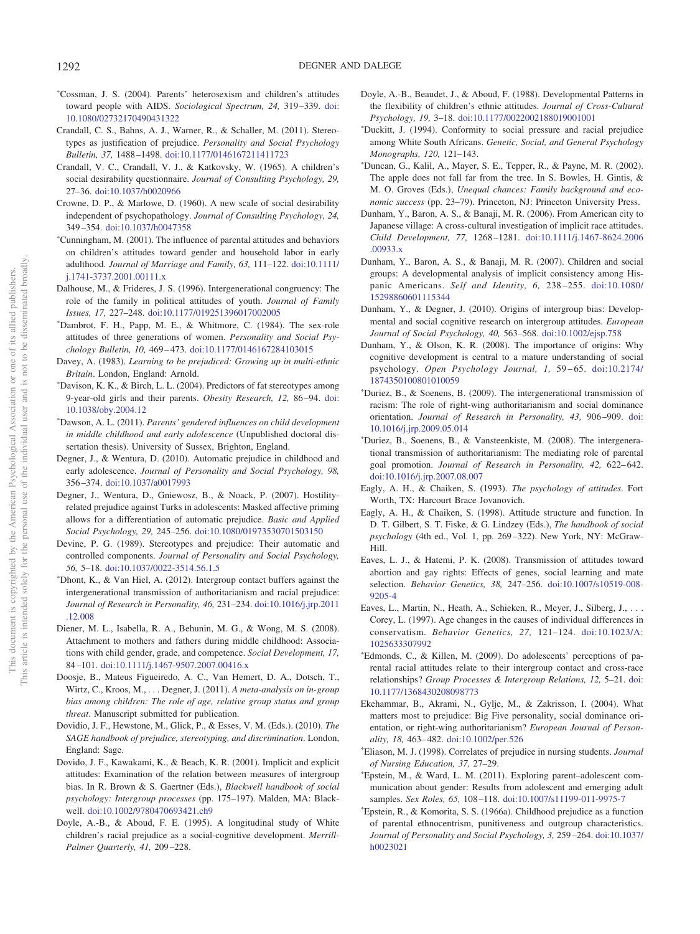- <span id="page-22-12"></span> Cossman, J. S. (2004). Parents' heterosexism and children's attitudes toward people with AIDS. *Sociological Spectrum, 24,* 319–339. [doi:](http://dx.doi.org/10.1080/02732170490431322) [10.1080/02732170490431322](http://dx.doi.org/10.1080/02732170490431322)
- <span id="page-22-7"></span>Crandall, C. S., Bahns, A. J., Warner, R., & Schaller, M. (2011). Stereotypes as justification of prejudice. *Personality and Social Psychology Bulletin, 37,* 1488–1498. [doi:10.1177/0146167211411723](http://dx.doi.org/10.1177/0146167211411723)
- <span id="page-22-9"></span>Crandall, V. C., Crandall, V. J., & Katkovsky, W. (1965). A children's social desirability questionnaire. *Journal of Consulting Psychology, 29,* 27–36. [doi:10.1037/h0020966](http://dx.doi.org/10.1037/h0020966)
- <span id="page-22-10"></span>Crowne, D. P., & Marlowe, D. (1960). A new scale of social desirability independent of psychopathology. *Journal of Consulting Psychology, 24,* 349–354. [doi:10.1037/h0047358](http://dx.doi.org/10.1037/h0047358)
- <span id="page-22-11"></span> Cunningham, M. (2001). The influence of parental attitudes and behaviors on children's attitudes toward gender and household labor in early adulthood. *Journal of Marriage and Family, 63,* 111–122. [doi:10.1111/](http://dx.doi.org/10.1111/j.1741-3737.2001.00111.x) [j.1741-3737.2001.00111.x](http://dx.doi.org/10.1111/j.1741-3737.2001.00111.x)
- <span id="page-22-4"></span>Dalhouse, M., & Frideres, J. S. (1996). Intergenerational congruency: The role of the family in political attitudes of youth. *Journal of Family Issues, 17,* 227–248. [doi:10.1177/019251396017002005](http://dx.doi.org/10.1177/019251396017002005)
- <span id="page-22-27"></span> Dambrot, F. H., Papp, M. E., & Whitmore, C. (1984). The sex-role attitudes of three generations of women. *Personality and Social Psychology Bulletin, 10,* 469–473. [doi:10.1177/0146167284103015](http://dx.doi.org/10.1177/0146167284103015)
- <span id="page-22-5"></span>Davey, A. (1983). *Learning to be prejudiced: Growing up in multi-ethnic Britain*. London, England: Arnold.
- <span id="page-22-28"></span> Davison, K. K., & Birch, L. L. (2004). Predictors of fat stereotypes among 9-year-old girls and their parents. *Obesity Research, 12,* 86–94. [doi:](http://dx.doi.org/10.1038/oby.2004.12) [10.1038/oby.2004.12](http://dx.doi.org/10.1038/oby.2004.12)
- <span id="page-22-0"></span> Dawson, A. L. (2011). *Parents' gendered influences on child development in middle childhood and early adolescence* (Unpublished doctoral dissertation thesis). University of Sussex, Brighton, England.
- <span id="page-22-22"></span>Degner, J., & Wentura, D. (2010). Automatic prejudice in childhood and early adolescence. *Journal of Personality and Social Psychology, 98,* 356–374. [doi:10.1037/a0017993](http://dx.doi.org/10.1037/a0017993)
- <span id="page-22-23"></span>Degner, J., Wentura, D., Gniewosz, B., & Noack, P. (2007). Hostilityrelated prejudice against Turks in adolescents: Masked affective priming allows for a differentiation of automatic prejudice. *Basic and Applied Social Psychology, 29,* 245–256. [doi:10.1080/01973530701503150](http://dx.doi.org/10.1080/01973530701503150)
- <span id="page-22-3"></span>Devine, P. G. (1989). Stereotypes and prejudice: Their automatic and controlled components. *Journal of Personality and Social Psychology, 56,* 5–18. [doi:10.1037/0022-3514.56.1.5](http://dx.doi.org/10.1037/0022-3514.56.1.5)
- <span id="page-22-29"></span> Dhont, K., & Van Hiel, A. (2012). Intergroup contact buffers against the intergenerational transmission of authoritarianism and racial prejudice: *Journal of Research in Personality, 46,* 231–234. [doi:10.1016/j.jrp.2011](http://dx.doi.org/10.1016/j.jrp.2011.12.008) [.12.008](http://dx.doi.org/10.1016/j.jrp.2011.12.008)
- <span id="page-22-17"></span>Diener, M. L., Isabella, R. A., Behunin, M. G., & Wong, M. S. (2008). Attachment to mothers and fathers during middle childhood: Associations with child gender, grade, and competence. *Social Development, 17,* 84–101. [doi:10.1111/j.1467-9507.2007.00416.x](http://dx.doi.org/10.1111/j.1467-9507.2007.00416.x)
- <span id="page-22-1"></span>Doosje, B., Mateus Figueiredo, A. C., Van Hemert, D. A., Dotsch, T., Wirtz, C., Kroos, M.,... Degner, J. (2011). *A meta-analysis on in-group bias among children: The role of age, relative group status and group threat*. Manuscript submitted for publication.
- <span id="page-22-2"></span>Dovidio, J. F., Hewstone, M., Glick, P., & Esses, V. M. (Eds.). (2010). *The SAGE handbook of prejudice, stereotyping, and discrimination*. London, England: Sage.
- <span id="page-22-15"></span>Dovido, J. F., Kawakami, K., & Beach, K. R. (2001). Implicit and explicit attitudes: Examination of the relation between measures of intergroup bias. In R. Brown & S. Gaertner (Eds.), *Blackwell handbook of social psychology: Intergroup processes* (pp. 175–197). Malden, MA: Blackwell. [doi:10.1002/9780470693421.ch9](http://dx.doi.org/10.1002/9780470693421.ch9)
- <span id="page-22-6"></span>Doyle, A.-B., & Aboud, F. E. (1995). A longitudinal study of White children's racial prejudice as a social-cognitive development. *Merrill-Palmer Quarterly, 41,* 209–228.
- <span id="page-22-8"></span>Doyle, A.-B., Beaudet, J., & Aboud, F. (1988). Developmental Patterns in the flexibility of children's ethnic attitudes. *Journal of Cross-Cultural Psychology, 19,* 3–18. [doi:10.1177/0022002188019001001](http://dx.doi.org/10.1177/0022002188019001001)
- <span id="page-22-30"></span> Duckitt, J. (1994). Conformity to social pressure and racial prejudice among White South Africans. *Genetic, Social, and General Psychology Monographs, 120,* 121–143.
- <span id="page-22-31"></span> Duncan, G., Kalil, A., Mayer, S. E., Tepper, R., & Payne, M. R. (2002). The apple does not fall far from the tree. In S. Bowles, H. Gintis, & M. O. Groves (Eds.), *Unequal chances: Family background and economic success* (pp. 23–79). Princeton, NJ: Princeton University Press.
- <span id="page-22-24"></span>Dunham, Y., Baron, A. S., & Banaji, M. R. (2006). From American city to Japanese village: A cross-cultural investigation of implicit race attitudes. *Child Development, 77,* 1268–1281. [doi:10.1111/j.1467-8624.2006](http://dx.doi.org/10.1111/j.1467-8624.2006.00933.x) [.00933.x](http://dx.doi.org/10.1111/j.1467-8624.2006.00933.x)
- <span id="page-22-25"></span>Dunham, Y., Baron, A. S., & Banaji, M. R. (2007). Children and social groups: A developmental analysis of implicit consistency among Hispanic Americans. *Self and Identity, 6,* 238–255. [doi:10.1080/](http://dx.doi.org/10.1080/15298860601115344) [15298860601115344](http://dx.doi.org/10.1080/15298860601115344)
- <span id="page-22-21"></span>Dunham, Y., & Degner, J. (2010). Origins of intergroup bias: Developmental and social cognitive research on intergroup attitudes. *European Journal of Social Psychology, 40,* 563–568. [doi:10.1002/ejsp.758](http://dx.doi.org/10.1002/ejsp.758)
- <span id="page-22-26"></span>Dunham, Y., & Olson, K. R. (2008). The importance of origins: Why cognitive development is central to a mature understanding of social psychology. *Open Psychology Journal, 1,* 59–65. [doi:10.2174/](http://dx.doi.org/10.2174/1874350100801010059) [1874350100801010059](http://dx.doi.org/10.2174/1874350100801010059)
- <span id="page-22-32"></span> Duriez, B., & Soenens, B. (2009). The intergenerational transmission of racism: The role of right-wing authoritarianism and social dominance orientation. *Journal of Research in Personality, 43,* 906–909. [doi:](http://dx.doi.org/10.1016/j.jrp.2009.05.014) [10.1016/j.jrp.2009.05.014](http://dx.doi.org/10.1016/j.jrp.2009.05.014)
- Duriez, B., Soenens, B., & Vansteenkiste, M. (2008). The intergenerational transmission of authoritarianism: The mediating role of parental goal promotion. *Journal of Research in Personality, 42,* 622–642. [doi:10.1016/j.jrp.2007.08.007](http://dx.doi.org/10.1016/j.jrp.2007.08.007)
- <span id="page-22-13"></span>Eagly, A. H., & Chaiken, S. (1993). *The psychology of attitudes*. Fort Worth, TX: Harcourt Brace Jovanovich.
- <span id="page-22-14"></span>Eagly, A. H., & Chaiken, S. (1998). Attitude structure and function. In D. T. Gilbert, S. T. Fiske, & G. Lindzey (Eds.), *The handbook of social psychology* (4th ed., Vol. 1, pp. 269–322). New York, NY: McGraw-Hill.
- <span id="page-22-18"></span>Eaves, L. J., & Hatemi, P. K. (2008). Transmission of attitudes toward abortion and gay rights: Effects of genes, social learning and mate selection. *Behavior Genetics, 38,* 247–256. [doi:10.1007/s10519-008-](http://dx.doi.org/10.1007/s10519-008-9205-4) [9205-4](http://dx.doi.org/10.1007/s10519-008-9205-4)
- <span id="page-22-19"></span>Eaves, L., Martin, N., Heath, A., Schieken, R., Meyer, J., Silberg, J., ... Corey, L. (1997). Age changes in the causes of individual differences in conservatism. *Behavior Genetics, 27,* 121–124. [doi:10.1023/A:](http://dx.doi.org/10.1023/A:1025633307992) [1025633307992](http://dx.doi.org/10.1023/A:1025633307992)
- <span id="page-22-20"></span> Edmonds, C., & Killen, M. (2009). Do adolescents' perceptions of parental racial attitudes relate to their intergroup contact and cross-race relationships? *Group Processes & Intergroup Relations, 12,* 5–21. [doi:](http://dx.doi.org/10.1177/1368430208098773) [10.1177/1368430208098773](http://dx.doi.org/10.1177/1368430208098773)
- <span id="page-22-16"></span>Ekehammar, B., Akrami, N., Gylje, M., & Zakrisson, I. (2004). What matters most to prejudice: Big Five personality, social dominance orientation, or right-wing authoritarianism? *European Journal of Personality, 18,* 463–482. [doi:10.1002/per.526](http://dx.doi.org/10.1002/per.526)
- <span id="page-22-33"></span> Eliason, M. J. (1998). Correlates of prejudice in nursing students. *Journal of Nursing Education, 37,* 27–29.
- <span id="page-22-35"></span> Epstein, M., & Ward, L. M. (2011). Exploring parent–adolescent communication about gender: Results from adolescent and emerging adult samples. *Sex Roles, 65,* 108–118. [doi:10.1007/s11199-011-9975-7](http://dx.doi.org/10.1007/s11199-011-9975-7)
- <span id="page-22-34"></span> Epstein, R., & Komorita, S. S. (1966a). Childhood prejudice as a function of parental ethnocentrism, punitiveness and outgroup characteristics. *Journal of Personality and Social Psychology, 3,* 259–264. [doi:10.1037/](http://dx.doi.org/10.1037/h0023021) [h0023021](http://dx.doi.org/10.1037/h0023021)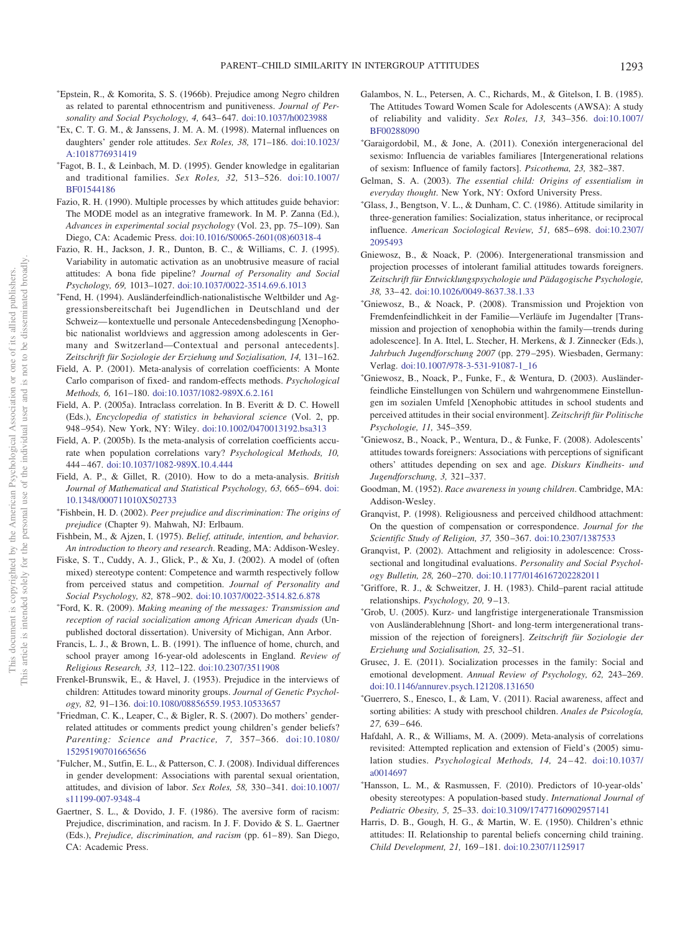- <span id="page-23-7"></span> Epstein, R., & Komorita, S. S. (1966b). Prejudice among Negro children as related to parental ethnocentrism and punitiveness. *Journal of Personality and Social Psychology, 4,* 643–647. [doi:10.1037/h0023988](http://dx.doi.org/10.1037/h0023988)
- <span id="page-23-25"></span> Ex, C. T. G. M., & Janssens, J. M. A. M. (1998). Maternal influences on daughters' gender role attitudes. *Sex Roles, 38,* 171–186. [doi:10.1023/](http://dx.doi.org/10.1023/A:1018776931419) [A:1018776931419](http://dx.doi.org/10.1023/A:1018776931419)
- <span id="page-23-26"></span> Fagot, B. I., & Leinbach, M. D. (1995). Gender knowledge in egalitarian and traditional families. *Sex Roles, 32,* 513–526. [doi:10.1007/](http://dx.doi.org/10.1007/BF01544186) [BF01544186](http://dx.doi.org/10.1007/BF01544186)
- <span id="page-23-19"></span>Fazio, R. H. (1990). Multiple processes by which attitudes guide behavior: The MODE model as an integrative framework. In M. P. Zanna (Ed.), *Advances in experimental social psychology* (Vol. 23, pp. 75–109). San Diego, CA: Academic Press. [doi:10.1016/S0065-2601\(08\)60318-4](http://dx.doi.org/10.1016/S0065-2601%2808%2960318-4)
- <span id="page-23-21"></span>Fazio, R. H., Jackson, J. R., Dunton, B. C., & Williams, C. J. (1995). Variability in automatic activation as an unobtrusive measure of racial attitudes: A bona fide pipeline? *Journal of Personality and Social Psychology, 69,* 1013–1027. [doi:10.1037/0022-3514.69.6.1013](http://dx.doi.org/10.1037/0022-3514.69.6.1013)
- <span id="page-23-27"></span> Fend, H. (1994). Ausländerfeindlich-nationalistische Weltbilder und Aggressionsbereitschaft bei Jugendlichen in Deutschland und der Schweiz—kontextuelle und personale Antecedensbedingung [Xenophobic nationalist worldviews and aggression among adolescents in Germany and Switzerland—Contextual and personal antecedents]. *Zeitschrift für Soziologie der Erziehung und Sozialisation, 14,* 131–162.
- <span id="page-23-14"></span>Field, A. P. (2001). Meta-analysis of correlation coefficients: A Monte Carlo comparison of fixed- and random-effects methods. *Psychological Methods, 6,* 161–180. [doi:10.1037/1082-989X.6.2.161](http://dx.doi.org/10.1037/1082-989X.6.2.161)
- <span id="page-23-23"></span>Field, A. P. (2005a). Intraclass correlation. In B. Everitt & D. C. Howell (Eds.), *Encyclopedia of statistics in behavioral science* (Vol. 2, pp. 948–954). New York, NY: Wiley. [doi:10.1002/0470013192.bsa313](http://dx.doi.org/10.1002/0470013192.bsa313)
- <span id="page-23-15"></span>Field, A. P. (2005b). Is the meta-analysis of correlation coefficients accurate when population correlations vary? *Psychological Methods, 10,* 444–467. [doi:10.1037/1082-989X.10.4.444](http://dx.doi.org/10.1037/1082-989X.10.4.444)
- <span id="page-23-17"></span>Field, A. P., & Gillet, R. (2010). How to do a meta-analysis. *British Journal of Mathematical and Statistical Psychology, 63,* 665–694. [doi:](http://dx.doi.org/10.1348/000711010X502733) [10.1348/000711010X502733](http://dx.doi.org/10.1348/000711010X502733)
- <span id="page-23-8"></span> Fishbein, H. D. (2002). *Peer prejudice and discrimination: The origins of prejudice* (Chapter 9). Mahwah, NJ: Erlbaum.
- <span id="page-23-20"></span>Fishbein, M., & Ajzen, I. (1975). *Belief, attitude, intention, and behavior. An introduction to theory and research*. Reading, MA: Addison-Wesley.
- <span id="page-23-12"></span>Fiske, S. T., Cuddy, A. J., Glick, P., & Xu, J. (2002). A model of (often mixed) stereotype content: Competence and warmth respectively follow from perceived status and competition. *Journal of Personality and Social Psychology, 82,* 878–902. [doi:10.1037/0022-3514.82.6.878](http://dx.doi.org/10.1037/0022-3514.82.6.878)
- <span id="page-23-28"></span> Ford, K. R. (2009). *Making meaning of the messages: Transmission and reception of racial socialization among African American dyads* (Unpublished doctoral dissertation). University of Michigan, Ann Arbor.
- <span id="page-23-5"></span>Francis, L. J., & Brown, L. B. (1991). The influence of home, church, and school prayer among 16-year-old adolescents in England. *Review of Religious Research, 33,* 112–122. [doi:10.2307/3511908](http://dx.doi.org/10.2307/3511908)
- <span id="page-23-9"></span>Frenkel-Brunswik, E., & Havel, J. (1953). Prejudice in the interviews of children: Attitudes toward minority groups. *Journal of Genetic Psychology, 82,* 91–136. [doi:10.1080/08856559.1953.10533657](http://dx.doi.org/10.1080/08856559.1953.10533657)
- <span id="page-23-29"></span> Friedman, C. K., Leaper, C., & Bigler, R. S. (2007). Do mothers' genderrelated attitudes or comments predict young children's gender beliefs? *Parenting: Science and Practice, 7,* 357–366. [doi:10.1080/](http://dx.doi.org/10.1080/15295190701665656) [15295190701665656](http://dx.doi.org/10.1080/15295190701665656)
- <span id="page-23-30"></span> Fulcher, M., Sutfin, E. L., & Patterson, C. J. (2008). Individual differences in gender development: Associations with parental sexual orientation, attitudes, and division of labor. *Sex Roles, 58,* 330–341. [doi:10.1007/](http://dx.doi.org/10.1007/s11199-007-9348-4) [s11199-007-9348-4](http://dx.doi.org/10.1007/s11199-007-9348-4)
- <span id="page-23-22"></span>Gaertner, S. L., & Dovido, J. F. (1986). The aversive form of racism: Prejudice, discrimination, and racism. In J. F. Dovido & S. L. Gaertner (Eds.), *Prejudice, discrimination, and racism* (pp. 61–89). San Diego, CA: Academic Press.
- <span id="page-23-13"></span>Galambos, N. L., Petersen, A. C., Richards, M., & Gitelson, I. B. (1985). The Attitudes Toward Women Scale for Adolescents (AWSA): A study of reliability and validity. *Sex Roles, 13,* 343–356. [doi:10.1007/](http://dx.doi.org/10.1007/BF00288090) [BF00288090](http://dx.doi.org/10.1007/BF00288090)
- <span id="page-23-31"></span> Garaigordobil, M., & Jone, A. (2011). Conexión intergeneracional del sexismo: Influencia de variables familiares [Intergenerational relations of sexism: Influence of family factors]. *Psicothema, 23,* 382–387.
- <span id="page-23-1"></span>Gelman, S. A. (2003). *The essential child: Origins of essentialism in everyday thought*. New York, NY: Oxford University Press.
- <span id="page-23-2"></span> Glass, J., Bengtson, V. L., & Dunham, C. C. (1986). Attitude similarity in three-generation families: Socialization, status inheritance, or reciprocal influence. *American Sociological Review, 51,* 685–698. [doi:10.2307/](http://dx.doi.org/10.2307/2095493) [2095493](http://dx.doi.org/10.2307/2095493)
- <span id="page-23-0"></span>Gniewosz, B., & Noack, P. (2006). Intergenerational transmission and projection processes of intolerant familial attitudes towards foreigners. *Zeitschrift für Entwicklungspsychologie und Pädagogische Psychologie, 38,* 33–42. [doi:10.1026/0049-8637.38.1.33](http://dx.doi.org/10.1026/0049-8637.38.1.33)
- <span id="page-23-32"></span> Gniewosz, B., & Noack, P. (2008). Transmission und Projektion von Fremdenfeindlichkeit in der Familie—Verläufe im Jugendalter [Transmission and projection of xenophobia within the family—trends during adolescence]. In A. Ittel, L. Stecher, H. Merkens, & J. Zinnecker (Eds.), *Jahrbuch Jugendforschung 2007* (pp. 279–295). Wiesbaden, Germany: Verlag. [doi:10.1007/978-3-531-91087-1\\_16](http://dx.doi.org/10.1007/978-3-531-91087-1_16)
- <span id="page-23-18"></span> Gniewosz, B., Noack, P., Funke, F., & Wentura, D. (2003). Ausländerfeindliche Einstellungen von Schülern und wahrgenommene Einstellungen im sozialen Umfeld [Xenophobic attitudes in school students and perceived attitudes in their social environment]. *Zeitschrift für Politische Psychologie, 11,* 345–359.
- <span id="page-23-24"></span> Gniewosz, B., Noack, P., Wentura, D., & Funke, F. (2008). Adolescents' attitudes towards foreigners: Associations with perceptions of significant others' attitudes depending on sex and age. *Diskurs Kindheits- und Jugendforschung, 3,* 321–337.
- <span id="page-23-10"></span>Goodman, M. (1952). *Race awareness in young children*. Cambridge, MA: Addison-Wesley.
- <span id="page-23-3"></span>Granqvist, P. (1998). Religiousness and perceived childhood attachment: On the question of compensation or correspondence. *Journal for the Scientific Study of Religion, 37,* 350–367. [doi:10.2307/1387533](http://dx.doi.org/10.2307/1387533)
- <span id="page-23-4"></span>Granqvist, P. (2002). Attachment and religiosity in adolescence: Crosssectional and longitudinal evaluations. *Personality and Social Psychology Bulletin, 28,* 260–270. [doi:10.1177/0146167202282011](http://dx.doi.org/10.1177/0146167202282011)
- <span id="page-23-33"></span> Griffore, R. J., & Schweitzer, J. H. (1983). Child–parent racial attitude relationships. *Psychology, 20,* 9–13.
- <span id="page-23-34"></span> Grob, U. (2005). Kurz- und langfristige intergenerationale Transmission von Ausländerablehnung [Short- and long-term intergenerational transmission of the rejection of foreigners]. *Zeitschrift für Soziologie der Erziehung und Sozialisation, 25,* 32–51.
- <span id="page-23-6"></span>Grusec, J. E. (2011). Socialization processes in the family: Social and emotional development. *Annual Review of Psychology, 62,* 243–269. [doi:10.1146/annurev.psych.121208.131650](http://dx.doi.org/10.1146/annurev.psych.121208.131650)
- <span id="page-23-35"></span> Guerrero, S., Enesco, I., & Lam, V. (2011). Racial awareness, affect and sorting abilities: A study with preschool children. *Anales de Psicología, 27,* 639–646.
- <span id="page-23-16"></span>Hafdahl, A. R., & Williams, M. A. (2009). Meta-analysis of correlations revisited: Attempted replication and extension of Field's (2005) simulation studies. *Psychological Methods, 14,* 24–42. [doi:10.1037/](http://dx.doi.org/10.1037/a0014697) [a0014697](http://dx.doi.org/10.1037/a0014697)
- <span id="page-23-36"></span> Hansson, L. M., & Rasmussen, F. (2010). Predictors of 10-year-olds' obesity stereotypes: A population-based study. *International Journal of Pediatric Obesity, 5,* 25–33. [doi:10.3109/17477160902957141](http://dx.doi.org/10.3109/17477160902957141)
- <span id="page-23-11"></span>Harris, D. B., Gough, H. G., & Martin, W. E. (1950). Children's ethnic attitudes: II. Relationship to parental beliefs concerning child training. *Child Development, 21,* 169–181. [doi:10.2307/1125917](http://dx.doi.org/10.2307/1125917)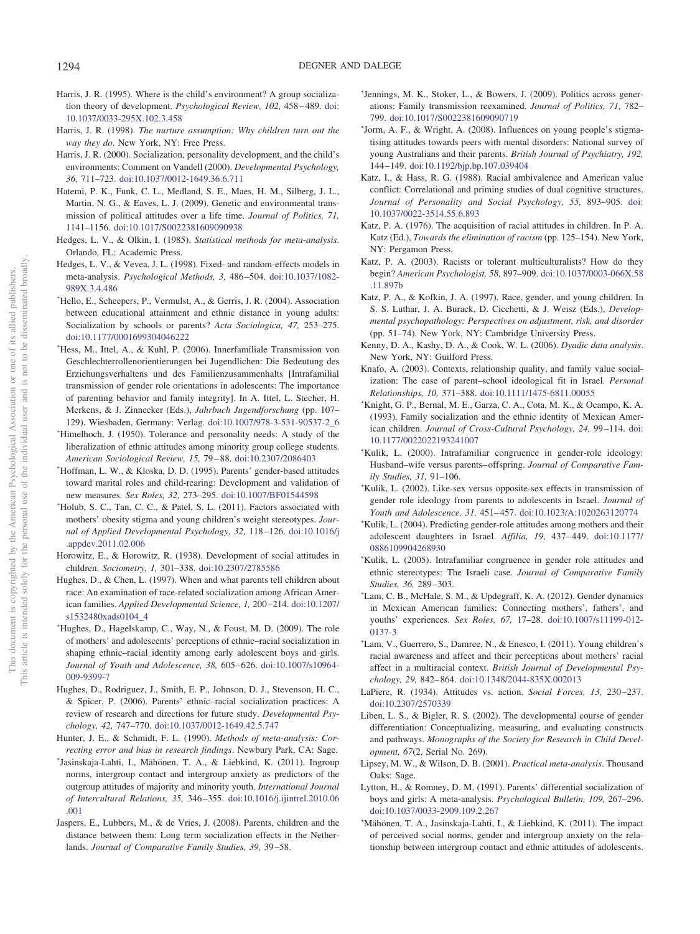- Harris, J. R. (1995). Where is the child's environment? A group socialization theory of development. *Psychological Review, 102,* 458–489. [doi:](http://dx.doi.org/10.1037/0033-295X.102.3.458) [10.1037/0033-295X.102.3.458](http://dx.doi.org/10.1037/0033-295X.102.3.458)
- <span id="page-24-2"></span>Harris, J. R. (1998). *The nurture assumption: Why children turn out the way they do*. New York, NY: Free Press.
- <span id="page-24-3"></span>Harris, J. R. (2000). Socialization, personality development, and the child's environments: Comment on Vandell (2000). *Developmental Psychology, 36,* 711–723. [doi:10.1037/0012-1649.36.6.711](http://dx.doi.org/10.1037/0012-1649.36.6.711)
- <span id="page-24-22"></span>Hatemi, P. K., Funk, C. L., Medland, S. E., Maes, H. M., Silberg, J. L., Martin, N. G., & Eaves, L. J. (2009). Genetic and environmental transmission of political attitudes over a life time. *Journal of Politics, 71,* 1141–1156. [doi:10.1017/S0022381609090938](http://dx.doi.org/10.1017/S0022381609090938)
- <span id="page-24-14"></span>Hedges, L. V., & Olkin, I. (1985). *Statistical methods for meta-analysis*. Orlando, FL: Academic Press.
- <span id="page-24-16"></span>Hedges, L. V., & Vevea, J. L. (1998). Fixed- and random-effects models in meta-analysis. *Psychological Methods, 3,* 486–504. [doi:10.1037/1082-](http://dx.doi.org/10.1037/1082-989X.3.4.486) [989X.3.4.486](http://dx.doi.org/10.1037/1082-989X.3.4.486)
- <span id="page-24-21"></span> Hello, E., Scheepers, P., Vermulst, A., & Gerris, J. R. (2004). Association between educational attainment and ethnic distance in young adults: Socialization by schools or parents? *Acta Sociologica, 47,* 253–275. [doi:10.1177/0001699304046222](http://dx.doi.org/10.1177/0001699304046222)
- <span id="page-24-23"></span> Hess, M., Ittel, A., & Kuhl, P. (2006). Innerfamiliale Transmission von Geschlechterrollenorientierungen bei Jugendlichen: Die Bedeutung des Erziehungsverhaltens und des Familienzusammenhalts [Intrafamilial transmission of gender role orientations in adolescents: The importance of parenting behavior and family integrity]. In A. Ittel, L. Stecher, H. Merkens, & J. Zinnecker (Eds.), *Jahrbuch Jugendforschung* (pp. 107– 129). Wiesbaden, Germany: Verlag. [doi:10.1007/978-3-531-90537-2\\_6](http://dx.doi.org/10.1007/978-3-531-90537-2_6)
- <span id="page-24-24"></span> Himelhoch, J. (1950). Tolerance and personality needs: A study of the liberalization of ethnic attitudes among minority group college students. *American Sociological Review, 15,* 79–88. [doi:10.2307/2086403](http://dx.doi.org/10.2307/2086403)
- <span id="page-24-25"></span> Hoffman, L. W., & Kloska, D. D. (1995). Parents' gender-based attitudes toward marital roles and child-rearing: Development and validation of new measures. *Sex Roles, 32,* 273–295. [doi:10.1007/BF01544598](http://dx.doi.org/10.1007/BF01544598)
- <span id="page-24-26"></span> Holub, S. C., Tan, C. C., & Patel, S. L. (2011). Factors associated with mothers' obesity stigma and young children's weight stereotypes. *Journal of Applied Developmental Psychology, 32,* 118–126. [doi:10.1016/j](http://dx.doi.org/10.1016/j.appdev.2011.02.006) [.appdev.2011.02.006](http://dx.doi.org/10.1016/j.appdev.2011.02.006)
- <span id="page-24-4"></span>Horowitz, E., & Horowitz, R. (1938). Development of social attitudes in children. *Sociometry, 1,* 301–338. [doi:10.2307/2785586](http://dx.doi.org/10.2307/2785586)
- <span id="page-24-10"></span>Hughes, D., & Chen, L. (1997). When and what parents tell children about race: An examination of race-related socialization among African American families. *Applied Developmental Science, 1,* 200–214. [doi:10.1207/](http://dx.doi.org/10.1207/s1532480xads0104_4) [s1532480xads0104\\_4](http://dx.doi.org/10.1207/s1532480xads0104_4)
- <span id="page-24-27"></span> Hughes, D., Hagelskamp, C., Way, N., & Foust, M. D. (2009). The role of mothers' and adolescents' perceptions of ethnic–racial socialization in shaping ethnic–racial identity among early adolescent boys and girls. *Journal of Youth and Adolescence, 38,* 605–626. [doi:10.1007/s10964-](http://dx.doi.org/10.1007/s10964-009-9399-7) [009-9399-7](http://dx.doi.org/10.1007/s10964-009-9399-7)
- <span id="page-24-11"></span>Hughes, D., Rodriguez, J., Smith, E. P., Johnson, D. J., Stevenson, H. C., & Spicer, P. (2006). Parents' ethnic–racial socialization practices: A review of research and directions for future study. *Developmental Psychology, 42,* 747–770. [doi:10.1037/0012-1649.42.5.747](http://dx.doi.org/10.1037/0012-1649.42.5.747)
- <span id="page-24-15"></span>Hunter, J. E., & Schmidt, F. L. (1990). *Methods of meta-analysis: Correcting error and bias in research findings*. Newbury Park, CA: Sage.
- <span id="page-24-28"></span> Jasinskaja-Lahti, I., Mähönen, T. A., & Liebkind, K. (2011). Ingroup norms, intergroup contact and intergroup anxiety as predictors of the outgroup attitudes of majority and minority youth. *International Journal of Intercultural Relations, 35,* 346–355. [doi:10.1016/j.ijintrel.2010.06](http://dx.doi.org/10.1016/j.ijintrel.2010.06.001) [.001](http://dx.doi.org/10.1016/j.ijintrel.2010.06.001)
- <span id="page-24-8"></span>Jaspers, E., Lubbers, M., & de Vries, J. (2008). Parents, children and the distance between them: Long term socialization effects in the Netherlands. *Journal of Comparative Family Studies, 39,* 39–58.
- <span id="page-24-1"></span> Jennings, M. K., Stoker, L., & Bowers, J. (2009). Politics across generations: Family transmission reexamined. *Journal of Politics, 71,* 782– 799. [doi:10.1017/S0022381609090719](http://dx.doi.org/10.1017/S0022381609090719)
- <span id="page-24-29"></span> Jorm, A. F., & Wright, A. (2008). Influences on young people's stigmatising attitudes towards peers with mental disorders: National survey of young Australians and their parents. *British Journal of Psychiatry, 192,* 144–149. [doi:10.1192/bjp.bp.107.039404](http://dx.doi.org/10.1192/bjp.bp.107.039404)
- <span id="page-24-7"></span>Katz, I., & Hass, R. G. (1988). Racial ambivalence and American value conflict: Correlational and priming studies of dual cognitive structures. *Journal of Personality and Social Psychology, 55,* 893–905. [doi:](http://dx.doi.org/10.1037/0022-3514.55.6.893) [10.1037/0022-3514.55.6.893](http://dx.doi.org/10.1037/0022-3514.55.6.893)
- <span id="page-24-5"></span>Katz, P. A. (1976). The acquisition of racial attitudes in children. In P. A. Katz (Ed.), *Towards the elimination of racism* (pp. 125–154). New York, NY: Pergamon Press.
- <span id="page-24-0"></span>Katz, P. A. (2003). Racists or tolerant multiculturalists? How do they begin? *American Psychologist, 58,* 897–909. [doi:10.1037/0003-066X.58](http://dx.doi.org/10.1037/0003-066X.58.11.897b) [.11.897b](http://dx.doi.org/10.1037/0003-066X.58.11.897b)
- <span id="page-24-6"></span>Katz, P. A., & Kofkin, J. A. (1997). Race, gender, and young children. In S. S. Luthar, J. A. Burack, D. Cicchetti, & J. Weisz (Eds.), *Developmental psychopathology: Perspectives on adjustment, risk, and disorder* (pp. 51–74). New York, NY: Cambridge University Press.
- <span id="page-24-19"></span>Kenny, D. A., Kashy, D. A., & Cook, W. L. (2006). *Dyadic data analysis*. New York, NY: Guilford Press.
- <span id="page-24-20"></span>Knafo, A. (2003). Contexts, relationship quality, and family value socialization: The case of parent–school ideological fit in Israel. *Personal Relationships, 10,* 371–388. [doi:10.1111/1475-6811.00055](http://dx.doi.org/10.1111/1475-6811.00055)
- <span id="page-24-30"></span> Knight, G. P., Bernal, M. E., Garza, C. A., Cota, M. K., & Ocampo, K. A. (1993). Family socialization and the ethnic identity of Mexican American children. *Journal of Cross-Cultural Psychology, 24,* 99–114. [doi:](http://dx.doi.org/10.1177/0022022193241007) [10.1177/0022022193241007](http://dx.doi.org/10.1177/0022022193241007)
- <span id="page-24-31"></span> Kulik, L. (2000). Intrafamiliar congruence in gender-role ideology: Husband–wife versus parents–offspring. *Journal of Comparative Family Studies, 31,* 91–106.
- <span id="page-24-12"></span> Kulik, L. (2002). Like-sex versus opposite-sex effects in transmission of gender role ideology from parents to adolescents in Israel. *Journal of Youth and Adolescence, 31,* 451–457. [doi:10.1023/A:1020263120774](http://dx.doi.org/10.1023/A:1020263120774)
- <span id="page-24-32"></span> Kulik, L. (2004). Predicting gender-role attitudes among mothers and their adolescent daughters in Israel. *Affilia, 19,* 437–449. [doi:10.1177/](http://dx.doi.org/10.1177/0886109904268930) [0886109904268930](http://dx.doi.org/10.1177/0886109904268930)
- <span id="page-24-33"></span> Kulik, L. (2005). Intrafamiliar congruence in gender role attitudes and ethnic stereotypes: The Israeli case. *Journal of Comparative Family Studies, 36,* 289–303.
- <span id="page-24-34"></span> Lam, C. B., McHale, S. M., & Updegraff, K. A. (2012). Gender dynamics in Mexican American families: Connecting mothers', fathers', and youths' experiences. *Sex Roles, 67,* 17–28. [doi:10.1007/s11199-012-](http://dx.doi.org/10.1007/s11199-012-0137-3) [0137-3](http://dx.doi.org/10.1007/s11199-012-0137-3)
- <span id="page-24-35"></span> Lam, V., Guerrero, S., Damree, N., & Enesco, I. (2011). Young children's racial awareness and affect and their perceptions about mothers' racial affect in a multiracial context. *British Journal of Developmental Psychology, 29,* 842–864. [doi:10.1348/2044-835X.002013](http://dx.doi.org/10.1348/2044-835X.002013)
- <span id="page-24-17"></span>LaPiere, R. (1934). Attitudes vs. action. *Social Forces, 13,* 230–237. [doi:10.2307/2570339](http://dx.doi.org/10.2307/2570339)
- <span id="page-24-18"></span>Liben, L. S., & Bigler, R. S. (2002). The developmental course of gender differentiation: Conceptualizing, measuring, and evaluating constructs and pathways. *Monographs of the Society for Research in Child Development, 67*(2, Serial No. 269).
- <span id="page-24-13"></span>Lipsey, M. W., & Wilson, D. B. (2001). *Practical meta-analysis*. Thousand Oaks: Sage.
- <span id="page-24-9"></span>Lytton, H., & Romney, D. M. (1991). Parents' differential socialization of boys and girls: A meta-analysis. *Psychological Bulletin, 109,* 267–296. [doi:10.1037/0033-2909.109.2.267](http://dx.doi.org/10.1037/0033-2909.109.2.267)
- <span id="page-24-36"></span> Mähönen, T. A., Jasinskaja-Lahti, I., & Liebkind, K. (2011). The impact of perceived social norms, gender and intergroup anxiety on the relationship between intergroup contact and ethnic attitudes of adolescents.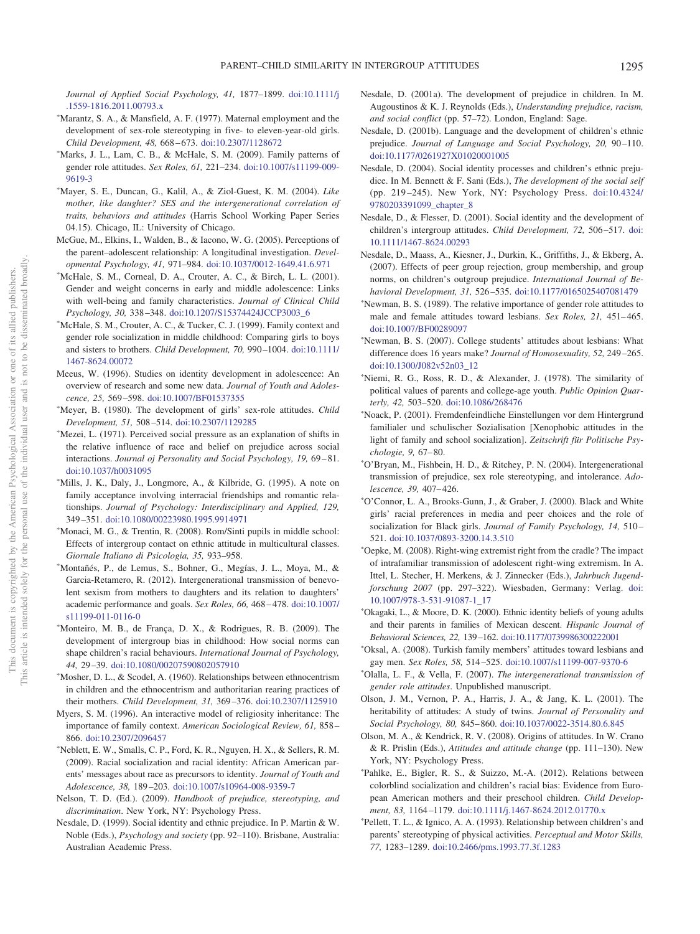<span id="page-25-36"></span>*Journal of Applied Social Psychology, 41,* 1877–1899. [doi:10.1111/j](http://dx.doi.org/10.1111/j.1559-1816.2011.00793.x) [.1559-1816.2011.00793.x](http://dx.doi.org/10.1111/j.1559-1816.2011.00793.x)

- <span id="page-25-18"></span> Marantz, S. A., & Mansfield, A. F. (1977). Maternal employment and the development of sex-role stereotyping in five- to eleven-year-old girls. *Child Development, 48,* 668–673. [doi:10.2307/1128672](http://dx.doi.org/10.2307/1128672)
- <span id="page-25-17"></span> Marks, J. L., Lam, C. B., & McHale, S. M. (2009). Family patterns of gender role attitudes. *Sex Roles, 61,* 221–234. [doi:10.1007/s11199-009-](http://dx.doi.org/10.1007/s11199-009-9619-3) [9619-3](http://dx.doi.org/10.1007/s11199-009-9619-3)
- <span id="page-25-19"></span> Mayer, S. E., Duncan, G., Kalil, A., & Ziol-Guest, K. M. (2004). *Like mother, like daughter? SES and the intergenerational correlation of traits, behaviors and attitudes* (Harris School Working Paper Series 04.15). Chicago, IL: University of Chicago.
- <span id="page-25-9"></span>McGue, M., Elkins, I., Walden, B., & Iacono, W. G. (2005). Perceptions of the parent–adolescent relationship: A longitudinal investigation. *Developmental Psychology, 41,* 971–984. [doi:10.1037/0012-1649.41.6.971](http://dx.doi.org/10.1037/0012-1649.41.6.971)
- <span id="page-25-20"></span> McHale, S. M., Corneal, D. A., Crouter, A. C., & Birch, L. L. (2001). Gender and weight concerns in early and middle adolescence: Links with well-being and family characteristics. *Journal of Clinical Child Psychology, 30,* 338–348. [doi:10.1207/S15374424JCCP3003\\_6](http://dx.doi.org/10.1207/S15374424JCCP3003_6)
- <span id="page-25-21"></span> McHale, S. M., Crouter, A. C., & Tucker, C. J. (1999). Family context and gender role socialization in middle childhood: Comparing girls to boys and sisters to brothers. *Child Development, 70,* 990–1004. [doi:10.1111/](http://dx.doi.org/10.1111/1467-8624.00072) [1467-8624.00072](http://dx.doi.org/10.1111/1467-8624.00072)
- <span id="page-25-10"></span>Meeus, W. (1996). Studies on identity development in adolescence: An overview of research and some new data. *Journal of Youth and Adolescence, 25,* 569–598. [doi:10.1007/BF01537355](http://dx.doi.org/10.1007/BF01537355)
- <span id="page-25-12"></span> Meyer, B. (1980). The development of girls' sex-role attitudes. *Child Development, 51,* 508–514. [doi:10.2307/1129285](http://dx.doi.org/10.2307/1129285)
- <span id="page-25-14"></span> Mezei, L. (1971). Perceived social pressure as an explanation of shifts in the relative influence of race and belief on prejudice across social interactions. *Journal oj Personality and Social Psychology, 19,* 69–81. [doi:10.1037/h0031095](http://dx.doi.org/10.1037/h0031095)
- <span id="page-25-23"></span> Mills, J. K., Daly, J., Longmore, A., & Kilbride, G. (1995). A note on family acceptance involving interracial friendships and romantic relationships. *Journal of Psychology: Interdisciplinary and Applied, 129,* 349–351. [doi:10.1080/00223980.1995.9914971](http://dx.doi.org/10.1080/00223980.1995.9914971)
- <span id="page-25-11"></span> Monaci, M. G., & Trentin, R. (2008). Rom/Sinti pupils in middle school: Effects of intergroup contact on ethnic attitude in multicultural classes. *Giornale Italiano di Psicologia, 35,* 933–958.
- <span id="page-25-22"></span> Montañés, P., de Lemus, S., Bohner, G., Megías, J. L., Moya, M., & Garcia-Retamero, R. (2012). Intergenerational transmission of benevolent sexism from mothers to daughters and its relation to daughters' academic performance and goals. *Sex Roles, 66,* 468–478. [doi:10.1007/](http://dx.doi.org/10.1007/s11199-011-0116-0) [s11199-011-0116-0](http://dx.doi.org/10.1007/s11199-011-0116-0)
- <span id="page-25-13"></span> Monteiro, M. B., de França, D. X., & Rodrigues, R. B. (2009). The development of intergroup bias in childhood: How social norms can shape children's racial behaviours. *International Journal of Psychology, 44,* 29–39. [doi:10.1080/00207590802057910](http://dx.doi.org/10.1080/00207590802057910)
- <span id="page-25-7"></span> Mosher, D. L., & Scodel, A. (1960). Relationships between ethnocentrism in children and the ethnocentrism and authoritarian rearing practices of their mothers. *Child Development, 31,* 369–376. [doi:10.2307/1125910](http://dx.doi.org/10.2307/1125910)
- <span id="page-25-6"></span>Myers, S. M. (1996). An interactive model of religiosity inheritance: The importance of family context. *American Sociological Review, 61,* 858– 866. [doi:10.2307/2096457](http://dx.doi.org/10.2307/2096457)
- <span id="page-25-24"></span> Neblett, E. W., Smalls, C. P., Ford, K. R., Nguyen, H. X., & Sellers, R. M. (2009). Racial socialization and racial identity: African American parents' messages about race as precursors to identity. *Journal of Youth and Adolescence, 38,* 189–203. [doi:10.1007/s10964-008-9359-7](http://dx.doi.org/10.1007/s10964-008-9359-7)
- <span id="page-25-0"></span>Nelson, T. D. (Ed.). (2009). *Handbook of prejudice, stereotyping, and discrimination*. New York, NY: Psychology Press.
- <span id="page-25-2"></span>Nesdale, D. (1999). Social identity and ethnic prejudice. In P. Martin & W. Noble (Eds.), *Psychology and society* (pp. 92–110). Brisbane, Australia: Australian Academic Press.
- <span id="page-25-3"></span>Nesdale, D. (2001a). The development of prejudice in children. In M. Augoustinos & K. J. Reynolds (Eds.), *Understanding prejudice, racism, and social conflict* (pp. 57–72). London, England: Sage.
- <span id="page-25-8"></span>Nesdale, D. (2001b). Language and the development of children's ethnic prejudice. *Journal of Language and Social Psychology, 20,* 90–110. [doi:10.1177/0261927X01020001005](http://dx.doi.org/10.1177/0261927X01020001005)
- <span id="page-25-1"></span>Nesdale, D. (2004). Social identity processes and children's ethnic prejudice. In M. Bennett & F. Sani (Eds.), *The development of the social self* (pp. 219–245). New York, NY: Psychology Press. [doi:10.4324/](http://dx.doi.org/10.4324/9780203391099_chapter_8) [9780203391099\\_chapter\\_8](http://dx.doi.org/10.4324/9780203391099_chapter_8)
- <span id="page-25-5"></span>Nesdale, D., & Flesser, D. (2001). Social identity and the development of children's intergroup attitudes. *Child Development, 72,* 506–517. [doi:](http://dx.doi.org/10.1111/1467-8624.00293) [10.1111/1467-8624.00293](http://dx.doi.org/10.1111/1467-8624.00293)
- <span id="page-25-4"></span>Nesdale, D., Maass, A., Kiesner, J., Durkin, K., Griffiths, J., & Ekberg, A. (2007). Effects of peer group rejection, group membership, and group norms, on children's outgroup prejudice. *International Journal of Behavioral Development, 31,* 526–535. [doi:10.1177/0165025407081479](http://dx.doi.org/10.1177/0165025407081479)
- <span id="page-25-25"></span> Newman, B. S. (1989). The relative importance of gender role attitudes to male and female attitudes toward lesbians. *Sex Roles, 21,* 451–465. [doi:10.1007/BF00289097](http://dx.doi.org/10.1007/BF00289097)
- <span id="page-25-26"></span> Newman, B. S. (2007). College students' attitudes about lesbians: What difference does 16 years make? *Journal of Homosexuality, 52,* 249–265. [doi:10.1300/J082v52n03\\_12](http://dx.doi.org/10.1300/J082v52n03_12)
- <span id="page-25-27"></span> Niemi, R. G., Ross, R. D., & Alexander, J. (1978). The similarity of political values of parents and college-age youth. *Public Opinion Quarterly, 42,* 503–520. [doi:10.1086/268476](http://dx.doi.org/10.1086/268476)
- <span id="page-25-28"></span> Noack, P. (2001). Fremdenfeindliche Einstellungen vor dem Hintergrund familialer und schulischer Sozialisation [Xenophobic attitudes in the light of family and school socialization]. *Zeitschrift für Politische Psychologie, 9,* 67–80.
- <span id="page-25-15"></span> O'Bryan, M., Fishbein, H. D., & Ritchey, P. N. (2004). Intergenerational transmission of prejudice, sex role stereotyping, and intolerance. *Adolescence, 39,* 407–426.
- <span id="page-25-29"></span> O'Connor, L. A., Brooks-Gunn, J., & Graber, J. (2000). Black and White girls' racial preferences in media and peer choices and the role of socialization for Black girls. *Journal of Family Psychology, 14,* 510– 521. [doi:10.1037/0893-3200.14.3.510](http://dx.doi.org/10.1037/0893-3200.14.3.510)
- <span id="page-25-30"></span> Oepke, M. (2008). Right-wing extremist right from the cradle? The impact of intrafamiliar transmission of adolescent right-wing extremism. In A. Ittel, L. Stecher, H. Merkens, & J. Zinnecker (Eds.), *Jahrbuch Jugendforschung 2007* (pp. 297–322). Wiesbaden, Germany: Verlag. [doi:](http://dx.doi.org/10.1007/978-3-531-91087-1_17) [10.1007/978-3-531-91087-1\\_17](http://dx.doi.org/10.1007/978-3-531-91087-1_17)
- <span id="page-25-31"></span> Okagaki, L., & Moore, D. K. (2000). Ethnic identity beliefs of young adults and their parents in families of Mexican descent. *Hispanic Journal of Behavioral Sciences, 22,* 139–162. [doi:10.1177/0739986300222001](http://dx.doi.org/10.1177/0739986300222001)
- <span id="page-25-32"></span> Oksal, A. (2008). Turkish family members' attitudes toward lesbians and gay men. *Sex Roles, 58,* 514–525. [doi:10.1007/s11199-007-9370-6](http://dx.doi.org/10.1007/s11199-007-9370-6)
- <span id="page-25-33"></span> Olalla, L. F., & Vella, F. (2007). *The intergenerational transmission of gender role attitudes*. Unpublished manuscript.
- <span id="page-25-16"></span>Olson, J. M., Vernon, P. A., Harris, J. A., & Jang, K. L. (2001). The heritability of attitudes: A study of twins. *Journal of Personality and Social Psychology, 80,* 845–860. [doi:10.1037/0022-3514.80.6.845](http://dx.doi.org/10.1037/0022-3514.80.6.845)
- Olson, M. A., & Kendrick, R. V. (2008). Origins of attitudes. In W. Crano & R. Prislin (Eds.), *Attitudes and attitude change* (pp. 111–130). New York, NY: Psychology Press.
- <span id="page-25-34"></span> Pahlke, E., Bigler, R. S., & Suizzo, M.-A. (2012). Relations between colorblind socialization and children's racial bias: Evidence from European American mothers and their preschool children. *Child Development, 83,* 1164–1179. [doi:10.1111/j.1467-8624.2012.01770.x](http://dx.doi.org/10.1111/j.1467-8624.2012.01770.x)
- <span id="page-25-35"></span> Pellett, T. L., & Ignico, A. A. (1993). Relationship between children's and parents' stereotyping of physical activities. *Perceptual and Motor Skills, 77,* 1283–1289. [doi:10.2466/pms.1993.77.3f.1283](http://dx.doi.org/10.2466/pms.1993.77.3f.1283)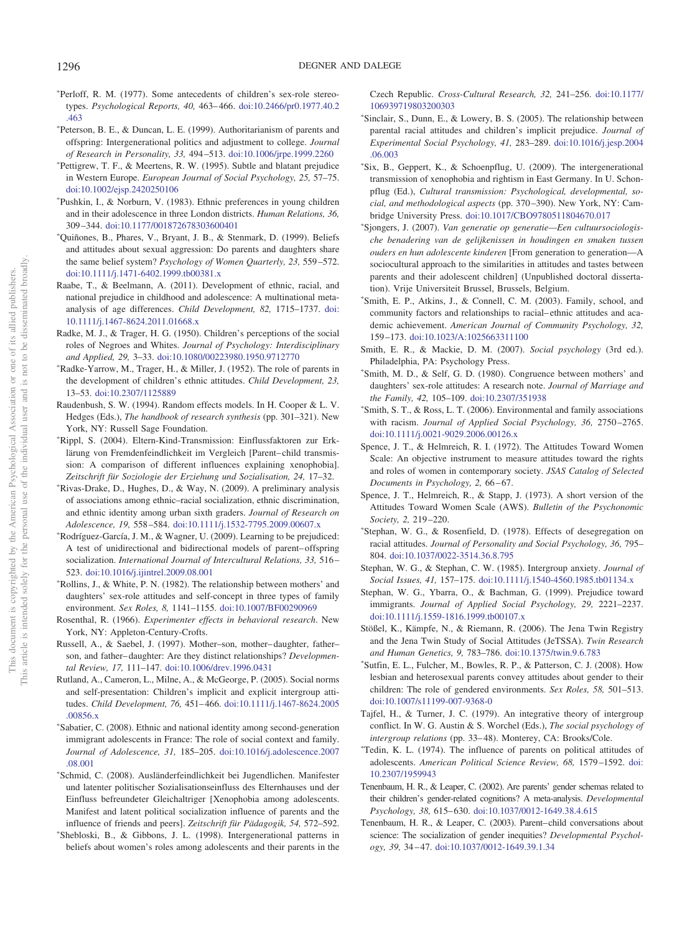#### 1296 DEGNER AND DALEGE

- <span id="page-26-36"></span> Perloff, R. M. (1977). Some antecedents of children's sex-role stereotypes. *Psychological Reports, 40,* 463–466. [doi:10.2466/pr0.1977.40.2](http://dx.doi.org/10.2466/pr0.1977.40.2.463) [.463](http://dx.doi.org/10.2466/pr0.1977.40.2.463)
- <span id="page-26-21"></span> Peterson, B. E., & Duncan, L. E. (1999). Authoritarianism of parents and offspring: Intergenerational politics and adjustment to college. *Journal of Research in Personality, 33,* 494–513. [doi:10.1006/jrpe.1999.2260](http://dx.doi.org/10.1006/jrpe.1999.2260)
- <span id="page-26-10"></span> Pettigrew, T. F., & Meertens, R. W. (1995). Subtle and blatant prejudice in Western Europe. *European Journal of Social Psychology, 25,* 57–75. [doi:10.1002/ejsp.2420250106](http://dx.doi.org/10.1002/ejsp.2420250106)
- <span id="page-26-3"></span> Pushkin, I., & Norburn, V. (1983). Ethnic preferences in young children and in their adolescence in three London districts. *Human Relations, 36,* 309–344. [doi:10.1177/001872678303600401](http://dx.doi.org/10.1177/001872678303600401)
- <span id="page-26-22"></span> Quiñones, B., Phares, V., Bryant, J. B., & Stenmark, D. (1999). Beliefs and attitudes about sexual aggression: Do parents and daughters share the same belief system? *Psychology of Women Quarterly, 23,* 559–572. [doi:10.1111/j.1471-6402.1999.tb00381.x](http://dx.doi.org/10.1111/j.1471-6402.1999.tb00381.x)
- <span id="page-26-0"></span>Raabe, T., & Beelmann, A. (2011). Development of ethnic, racial, and national prejudice in childhood and adolescence: A multinational metaanalysis of age differences. *Child Development, 82,* 1715–1737. [doi:](http://dx.doi.org/10.1111/j.1467-8624.2011.01668.x) [10.1111/j.1467-8624.2011.01668.x](http://dx.doi.org/10.1111/j.1467-8624.2011.01668.x)
- <span id="page-26-4"></span>Radke, M. J., & Trager, H. G. (1950). Children's perceptions of the social roles of Negroes and Whites. *Journal of Psychology: Interdisciplinary and Applied, 29,* 3–33. [doi:10.1080/00223980.1950.9712770](http://dx.doi.org/10.1080/00223980.1950.9712770)
- <span id="page-26-5"></span> Radke-Yarrow, M., Trager, H., & Miller, J. (1952). The role of parents in the development of children's ethnic attitudes. *Child Development, 23,* 13–53. [doi:10.2307/1125889](http://dx.doi.org/10.2307/1125889)
- <span id="page-26-17"></span>Raudenbush, S. W. (1994). Random effects models. In H. Cooper & L. V. Hedges (Eds.), *The handbook of research synthesis* (pp. 301–321). New York, NY: Russell Sage Foundation.
- <span id="page-26-23"></span> Rippl, S. (2004). Eltern-Kind-Transmission: Einflussfaktoren zur Erklärung von Fremdenfeindlichkeit im Vergleich [Parent–child transmission: A comparison of different influences explaining xenophobia]. *Zeitschrift für Soziologie der Erziehung und Sozialisation, 24,* 17–32.
- <span id="page-26-24"></span> Rivas-Drake, D., Hughes, D., & Way, N. (2009). A preliminary analysis of associations among ethnic–racial socialization, ethnic discrimination, and ethnic identity among urban sixth graders. *Journal of Research on Adolescence, 19,* 558–584. [doi:10.1111/j.1532-7795.2009.00607.x](http://dx.doi.org/10.1111/j.1532-7795.2009.00607.x)
- <span id="page-26-19"></span> Rodríguez-García, J. M., & Wagner, U. (2009). Learning to be prejudiced: A test of unidirectional and bidirectional models of parent–offspring socialization. *International Journal of Intercultural Relations, 33,* 516– 523. [doi:10.1016/j.ijintrel.2009.08.001](http://dx.doi.org/10.1016/j.ijintrel.2009.08.001)
- <span id="page-26-25"></span> Rollins, J., & White, P. N. (1982). The relationship between mothers' and daughters' sex-role attitudes and self-concept in three types of family environment. *Sex Roles, 8,* 1141–1155. [doi:10.1007/BF00290969](http://dx.doi.org/10.1007/BF00290969)
- <span id="page-26-18"></span>Rosenthal, R. (1966). *Experimenter effects in behavioral research*. New York, NY: Appleton-Century-Crofts.
- <span id="page-26-8"></span>Russell, A., & Saebel, J. (1997). Mother–son, mother–daughter, father– son, and father–daughter: Are they distinct relationships? *Developmental Review, 17,* 111–147. [doi:10.1006/drev.1996.0431](http://dx.doi.org/10.1006/drev.1996.0431)
- <span id="page-26-6"></span>Rutland, A., Cameron, L., Milne, A., & McGeorge, P. (2005). Social norms and self-presentation: Children's implicit and explicit intergroup attitudes. *Child Development, 76,* 451–466. [doi:10.1111/j.1467-8624.2005](http://dx.doi.org/10.1111/j.1467-8624.2005.00856.x) [.00856.x](http://dx.doi.org/10.1111/j.1467-8624.2005.00856.x)
- <span id="page-26-26"></span> Sabatier, C. (2008). Ethnic and national identity among second-generation immigrant adolescents in France: The role of social context and family. *Journal of Adolescence, 31,* 185–205. [doi:10.1016/j.adolescence.2007](http://dx.doi.org/10.1016/j.adolescence.2007.08.001) [.08.001](http://dx.doi.org/10.1016/j.adolescence.2007.08.001)
- <span id="page-26-27"></span> Schmid, C. (2008). Ausländerfeindlichkeit bei Jugendlichen. Manifester und latenter politischer Sozialisationseinfluss des Elternhauses und der Einfluss befreundeter Gleichaltriger [Xenophobia among adolescents. Manifest and latent political socialization influence of parents and the influence of friends and peers]. *Zeitschrift für Pädagogik, 54,* 572–592.
- <span id="page-26-12"></span> Shebloski, B., & Gibbons, J. L. (1998). Intergenerational patterns in beliefs about women's roles among adolescents and their parents in the

Czech Republic. *Cross-Cultural Research, 32,* 241–256. [doi:10.1177/](http://dx.doi.org/10.1177/106939719803200303) [106939719803200303](http://dx.doi.org/10.1177/106939719803200303)

- <span id="page-26-15"></span> Sinclair, S., Dunn, E., & Lowery, B. S. (2005). The relationship between parental racial attitudes and children's implicit prejudice. *Journal of Experimental Social Psychology, 41,* 283–289. [doi:10.1016/j.jesp.2004](http://dx.doi.org/10.1016/j.jesp.2004.06.003) [.06.003](http://dx.doi.org/10.1016/j.jesp.2004.06.003)
- <span id="page-26-32"></span> Six, B., Geppert, K., & Schoenpflug, U. (2009). The intergenerational transmission of xenophobia and rightism in East Germany. In U. Schonpflug (Ed.), *Cultural transmission: Psychological, developmental, social, and methodological aspects* (pp. 370–390). New York, NY: Cambridge University Press. [doi:10.1017/CBO9780511804670.017](http://dx.doi.org/10.1017/CBO9780511804670.017)
- <span id="page-26-28"></span> Sjongers, J. (2007). *Van generatie op generatie—Een cultuursociologische benadering van de gelijkenissen in houdingen en smaken tussen ouders en hun adolescente kinderen* [From generation to generation-A sociocultural approach to the similarities in attitudes and tastes between parents and their adolescent children] (Unpublished doctoral dissertation). Vrije Universiteit Brussel, Brussels, Belgium.
- <span id="page-26-29"></span> Smith, E. P., Atkins, J., & Connell, C. M. (2003). Family, school, and community factors and relationships to racial–ethnic attitudes and academic achievement. *American Journal of Community Psychology, 32,* 159–173. [doi:10.1023/A:1025663311100](http://dx.doi.org/10.1023/A:1025663311100)
- <span id="page-26-1"></span>Smith, E. R., & Mackie, D. M. (2007). *Social psychology* (3rd ed.). Philadelphia, PA: Psychology Press.
- <span id="page-26-31"></span> Smith, M. D., & Self, G. D. (1980). Congruence between mothers' and daughters' sex-role attitudes: A research note. *Journal of Marriage and the Family, 42,* 105–109. [doi:10.2307/351938](http://dx.doi.org/10.2307/351938)
- <span id="page-26-30"></span> Smith, S. T., & Ross, L. T. (2006). Environmental and family associations with racism. *Journal of Applied Social Psychology, 36,* 2750–2765. [doi:10.1111/j.0021-9029.2006.00126.x](http://dx.doi.org/10.1111/j.0021-9029.2006.00126.x)
- <span id="page-26-16"></span>Spence, J. T., & Helmreich, R. I. (1972). The Attitudes Toward Women Scale: An objective instrument to measure attitudes toward the rights and roles of women in contemporary society. *JSAS Catalog of Selected Documents in Psychology, 2,* 66–67.
- <span id="page-26-11"></span>Spence, J. T., Helmreich, R., & Stapp, J. (1973). A short version of the Attitudes Toward Women Scale (AWS). *Bulletin of the Psychonomic Society, 2,* 219–220.
- <span id="page-26-33"></span> Stephan, W. G., & Rosenfield, D. (1978). Effects of desegregation on racial attitudes. *Journal of Personality and Social Psychology, 36,* 795– 804. [doi:10.1037/0022-3514.36.8.795](http://dx.doi.org/10.1037/0022-3514.36.8.795)
- <span id="page-26-13"></span>Stephan, W. G., & Stephan, C. W. (1985). Intergroup anxiety. *Journal of Social Issues, 41,* 157–175. [doi:10.1111/j.1540-4560.1985.tb01134.x](http://dx.doi.org/10.1111/j.1540-4560.1985.tb01134.x)
- <span id="page-26-14"></span>Stephan, W. G., Ybarra, O., & Bachman, G. (1999). Prejudice toward immigrants. *Journal of Applied Social Psychology, 29,* 2221–2237. [doi:10.1111/j.1559-1816.1999.tb00107.x](http://dx.doi.org/10.1111/j.1559-1816.1999.tb00107.x)
- <span id="page-26-20"></span>Stößel, K., Kämpfe, N., & Riemann, R. (2006). The Jena Twin Registry and the Jena Twin Study of Social Attitudes (JeTSSA). *Twin Research and Human Genetics, 9,* 783–786. [doi:10.1375/twin.9.6.783](http://dx.doi.org/10.1375/twin.9.6.783)
- <span id="page-26-34"></span> Sutfin, E. L., Fulcher, M., Bowles, R. P., & Patterson, C. J. (2008). How lesbian and heterosexual parents convey attitudes about gender to their children: The role of gendered environments. *Sex Roles, 58,* 501–513. [doi:10.1007/s11199-007-9368-0](http://dx.doi.org/10.1007/s11199-007-9368-0)
- <span id="page-26-2"></span>Tajfel, H., & Turner, J. C. (1979). An integrative theory of intergroup conflict. In W. G. Austin & S. Worchel (Eds.), *The social psychology of intergroup relations* (pp. 33–48). Monterey, CA: Brooks/Cole.
- <span id="page-26-35"></span> Tedin, K. L. (1974). The influence of parents on political attitudes of adolescents. *American Political Science Review, 68,* 1579–1592. [doi:](http://dx.doi.org/10.2307/1959943) [10.2307/1959943](http://dx.doi.org/10.2307/1959943)
- <span id="page-26-9"></span>Tenenbaum, H. R., & Leaper, C. (2002). Are parents' gender schemas related to their children's gender-related cognitions? A meta-analysis. *Developmental Psychology, 38,* 615–630. [doi:10.1037/0012-1649.38.4.615](http://dx.doi.org/10.1037/0012-1649.38.4.615)
- <span id="page-26-7"></span>Tenenbaum, H. R., & Leaper, C. (2003). Parent–child conversations about science: The socialization of gender inequities? *Developmental Psychology, 39,* 34–47. [doi:10.1037/0012-1649.39.1.34](http://dx.doi.org/10.1037/0012-1649.39.1.34)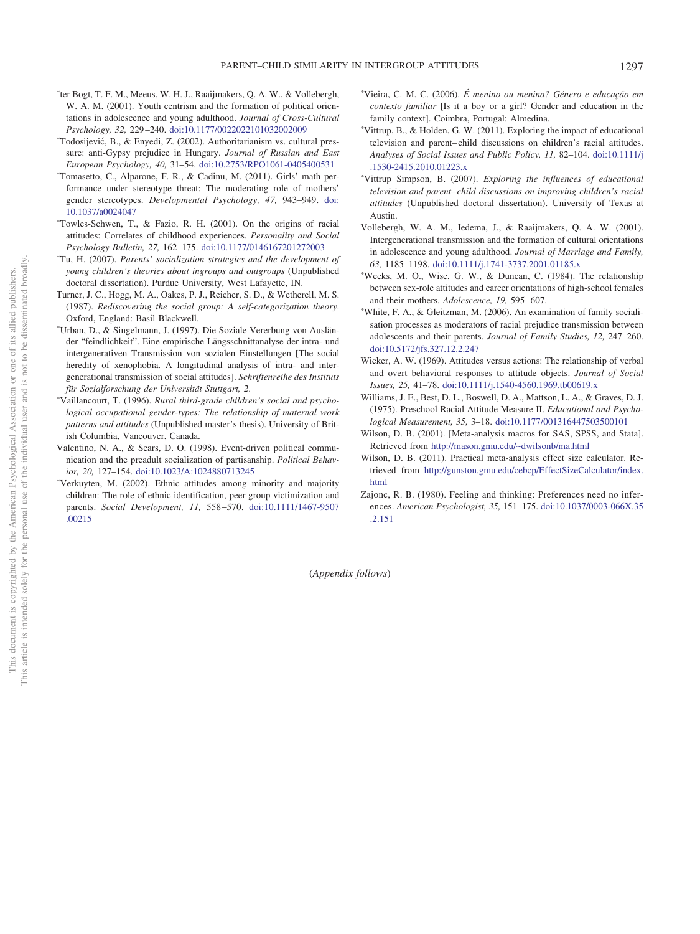- ter Bogt, T. F. M., Meeus, W. H. J., Raaijmakers, Q. A. W., & Vollebergh, W. A. M. (2001). Youth centrism and the formation of political orientations in adolescence and young adulthood. *Journal of Cross-Cultural Psychology, 32,* 229–240. [doi:10.1177/0022022101032002009](http://dx.doi.org/10.1177/0022022101032002009)
- <span id="page-27-9"></span> Todosijevic, B., & Enyedi, Z. (2002). Authoritarianism vs. cultural pres- ´ sure: anti-Gypsy prejudice in Hungary. *Journal of Russian and East European Psychology, 40,* 31–54. [doi:10.2753/RPO1061-0405400531](http://dx.doi.org/10.2753/RPO1061-0405400531)
- <span id="page-27-10"></span> Tomasetto, C., Alparone, F. R., & Cadinu, M. (2011). Girls' math performance under stereotype threat: The moderating role of mothers' gender stereotypes. *Developmental Psychology, 47,* 943–949. [doi:](http://dx.doi.org/10.1037/a0024047) [10.1037/a0024047](http://dx.doi.org/10.1037/a0024047)
- <span id="page-27-11"></span> Towles-Schwen, T., & Fazio, R. H. (2001). On the origins of racial attitudes: Correlates of childhood experiences. *Personality and Social Psychology Bulletin, 27,* 162–175. [doi:10.1177/0146167201272003](http://dx.doi.org/10.1177/0146167201272003)
- <span id="page-27-12"></span> Tu, H. (2007). *Parents' socialization strategies and the development of young children's theories about ingroups and outgroups* (Unpublished doctoral dissertation). Purdue University, West Lafayette, IN.
- <span id="page-27-0"></span>Turner, J. C., Hogg, M. A., Oakes, P. J., Reicher, S. D., & Wetherell, M. S. (1987). *Rediscovering the social group: A self-categorization theory*. Oxford, England: Basil Blackwell.
- <span id="page-27-13"></span> Urban, D., & Singelmann, J. (1997). Die Soziale Vererbung von Ausländer "feindlichkeit". Eine empirische Längsschnittanalyse der intra- und intergenerativen Transmission von sozialen Einstellungen [The social heredity of xenophobia. A longitudinal analysis of intra- and intergenerational transmission of social attitudes]. *Schriftenreihe des Instituts für Sozialforschung der Universität Stuttgart, 2*.
- <span id="page-27-14"></span> Vaillancourt, T. (1996). *Rural third-grade children's social and psychological occupational gender-types: The relationship of maternal work patterns and attitudes* (Unpublished master's thesis). University of British Columbia, Vancouver, Canada.
- <span id="page-27-1"></span>Valentino, N. A., & Sears, D. O. (1998). Event-driven political communication and the preadult socialization of partisanship. *Political Behavior, 20,* 127–154. [doi:10.1023/A:1024880713245](http://dx.doi.org/10.1023/A:1024880713245)
- <span id="page-27-15"></span> Verkuyten, M. (2002). Ethnic attitudes among minority and majority children: The role of ethnic identification, peer group victimization and parents. *Social Development, 11,* 558–570. [doi:10.1111/1467-9507](http://dx.doi.org/10.1111/1467-9507.00215) [.00215](http://dx.doi.org/10.1111/1467-9507.00215)
- <span id="page-27-16"></span> Vieira, C. M. C. (2006). *É menino ou menina? Género e educação em contexto familiar* [Is it a boy or a girl? Gender and education in the family context]. Coimbra, Portugal: Almedina.
- <span id="page-27-5"></span> Vittrup, B., & Holden, G. W. (2011). Exploring the impact of educational television and parent–child discussions on children's racial attitudes. *Analyses of Social Issues and Public Policy, 11,* 82–104. [doi:10.1111/j](http://dx.doi.org/10.1111/j.1530-2415.2010.01223.x) [.1530-2415.2010.01223.x](http://dx.doi.org/10.1111/j.1530-2415.2010.01223.x)
- <span id="page-27-17"></span> Vittrup Simpson, B. (2007). *Exploring the influences of educational television and parent– child discussions on improving children's racial attitudes* (Unpublished doctoral dissertation). University of Texas at Austin.
- <span id="page-27-4"></span>Vollebergh, W. A. M., Iedema, J., & Raaijmakers, Q. A. W. (2001). Intergenerational transmission and the formation of cultural orientations in adolescence and young adulthood. *Journal of Marriage and Family, 63,* 1185–1198. [doi:10.1111/j.1741-3737.2001.01185.x](http://dx.doi.org/10.1111/j.1741-3737.2001.01185.x)
- <span id="page-27-18"></span> Weeks, M. O., Wise, G. W., & Duncan, C. (1984). The relationship between sex-role attitudes and career orientations of high-school females and their mothers. *Adolescence, 19,* 595–607.
- <span id="page-27-19"></span> White, F. A., & Gleitzman, M. (2006). An examination of family socialisation processes as moderators of racial prejudice transmission between adolescents and their parents. *Journal of Family Studies, 12,* 247–260. [doi:10.5172/jfs.327.12.2.247](http://dx.doi.org/10.5172/jfs.327.12.2.247)
- <span id="page-27-8"></span>Wicker, A. W. (1969). Attitudes versus actions: The relationship of verbal and overt behavioral responses to attitude objects. *Journal of Social Issues, 25,* 41–78. [doi:10.1111/j.1540-4560.1969.tb00619.x](http://dx.doi.org/10.1111/j.1540-4560.1969.tb00619.x)
- <span id="page-27-2"></span>Williams, J. E., Best, D. L., Boswell, D. A., Mattson, L. A., & Graves, D. J. (1975). Preschool Racial Attitude Measure II. *Educational and Psychological Measurement, 35,* 3–18. [doi:10.1177/001316447503500101](http://dx.doi.org/10.1177/001316447503500101)
- <span id="page-27-6"></span>Wilson, D. B. (2001). [Meta-analysis macros for SAS, SPSS, and Stata]. Retrieved from [http://mason.gmu.edu/~dwilsonb/ma.html](http://mason.gmu.edu/%7Edwilsonb/ma.html)
- <span id="page-27-7"></span>Wilson, D. B. (2011). Practical meta-analysis effect size calculator. Retrieved from [http://gunston.gmu.edu/cebcp/EffectSizeCalculator/index.](http://gunston.gmu.edu/cebcp/EffectSizeCalculator/index.html) [html](http://gunston.gmu.edu/cebcp/EffectSizeCalculator/index.html)
- <span id="page-27-3"></span>Zajonc, R. B. (1980). Feeling and thinking: Preferences need no inferences. *American Psychologist, 35,* 151–175. [doi:10.1037/0003-066X.35](http://dx.doi.org/10.1037/0003-066X.35.2.151) [.2.151](http://dx.doi.org/10.1037/0003-066X.35.2.151)

(*Appendix follows*)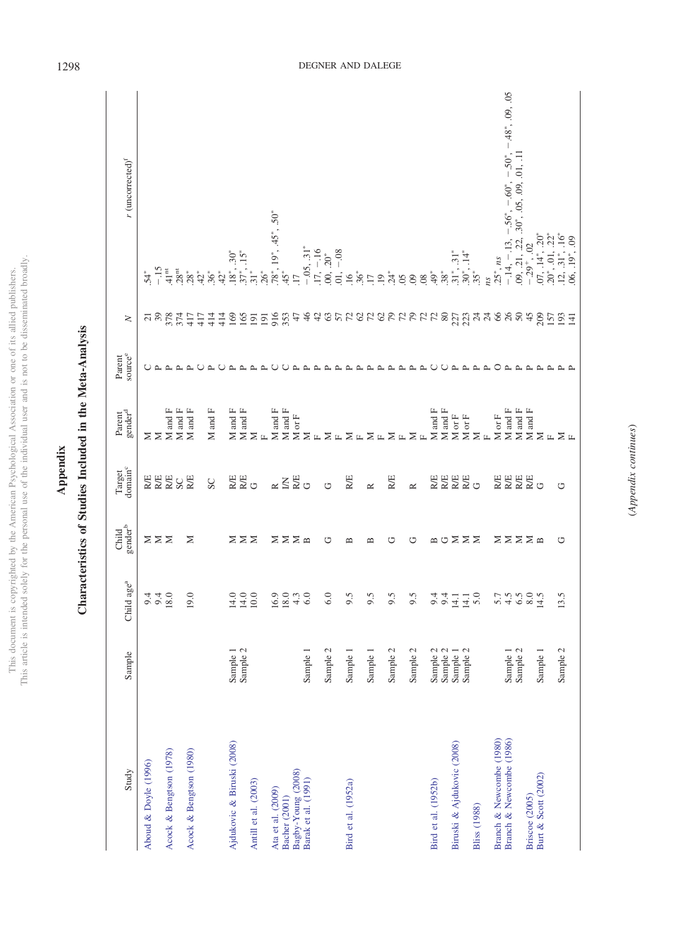This document is copyrighted by the American Psychological Association or one of its allied publishers.<br>This article is intended solely for the personal use of the individual user and is not to be disseminated broadly. This article is intended solely for the personal use of the individual user and is not to be disseminated broadly. This document is copyrighted by the American Psychological Association or one of its allied publishers.

## **Appendix**

# Characteristics of Studies Included in the Meta-Analysis **Characteristics of Studies Included in the Meta-Analysis**

| Study                                                | Sample                                       | Child age <sup>a</sup> | $g$ ender $b$<br>Child  | domain <sup>e</sup><br>Target | $\text{gender}^{\text{d}}$<br>Parent                          | source <sup>e</sup><br>Parent | z                  | $r$ (uncorrected) <sup><math>r</math></sup>                                                      |
|------------------------------------------------------|----------------------------------------------|------------------------|-------------------------|-------------------------------|---------------------------------------------------------------|-------------------------------|--------------------|--------------------------------------------------------------------------------------------------|
| Aboud & Doyle (1996)                                 |                                              | 9.4                    | $\mathbb{Z} \mathbb{Z}$ | R/E<br>RÆ                     | $\Sigma \Sigma$                                               |                               | $\frac{21}{2}$     | 54                                                                                               |
| Acock & Bengtson (1978)                              |                                              | 18.0                   | $\geq$                  | R/E                           |                                                               | ≏                             |                    | $-15$<br>41 <sup>nt</sup>                                                                        |
|                                                      |                                              |                        |                         | $\rm SC$                      | $\rm M$ and $\rm F$ $\rm M$ and $\rm F$ $\rm M$ and $\rm F$   |                               | 374<br>374<br>417  | 28 <sup>nt</sup>                                                                                 |
| Acock & Bengtson (1980)                              |                                              | 19.0                   | ⋝                       | R/E                           |                                                               |                               |                    | $28^{*}$                                                                                         |
|                                                      |                                              |                        |                         | SC                            | M and F                                                       |                               | 414<br>417         | $42^*$<br>$36*$                                                                                  |
|                                                      |                                              |                        |                         |                               |                                                               |                               | 414                | $42*$                                                                                            |
| Ajdukovic & Biruski (2008)                           | Sample 1                                     | 14.0                   |                         | R/E                           |                                                               |                               | 169                | $.18^*$ , $.30^*$<br>$.37^*$ , $.15^*$                                                           |
|                                                      | Sample 2                                     | 14.0                   | $\Sigma \Sigma$         | RÆ                            |                                                               |                               | 165                |                                                                                                  |
| Antill et al. (2003)                                 |                                              | $10.0$                 | $\geq$                  | $\circ$                       | $\frac{\text{M}}{\text{M}}$ and F $\frac{\text{F}}{\text{F}}$ |                               | 191                | $\frac{1}{3}$                                                                                    |
|                                                      |                                              | 16.9                   | z                       |                               | M and F                                                       |                               | 191                | $.78^*$ , $19^*$ , $.45^*$ , $.50^*$<br>$26^*$                                                   |
| Ata et al. (2009)<br>Bacher (2001)                   |                                              | 18.0                   | $\geq$                  | $\approx \frac{Z}{M}$         | $\mathbf M$ and $\mathbf F$                                   |                               | 916                | $45^*$                                                                                           |
|                                                      |                                              | 4.3                    | $\geq$                  | RÆ                            | $M$ or $F$                                                    | മ                             | 47                 | $\overline{17}$                                                                                  |
| Bagby-Young (2008)<br>Barak et al. (1991)            | Sample 1                                     | 6.0                    | $\mathbf{r}$            | $\circ$                       | $\geq$                                                        | ≏                             | $\frac{4}{6}$      | $-.05, .31*$                                                                                     |
|                                                      |                                              |                        |                         |                               | $\boxed{1}$                                                   |                               | $\ddot{c}$         | $.17, -.16$<br>$.00, 00^*$                                                                       |
|                                                      | Sample 2                                     | 6.0                    | ゥ                       | O                             | ⋝                                                             |                               | $\mathfrak{S}$     |                                                                                                  |
|                                                      |                                              |                        |                         |                               | EΣ                                                            |                               |                    | $-0.08$<br>$\overline{01}$                                                                       |
| Bird et al. (1952a)                                  | Sample 1                                     | 9.5                    | ≃                       | RÆ                            |                                                               |                               |                    | .16                                                                                              |
|                                                      |                                              |                        |                         |                               | $\boxed{\phantom{a}}$                                         |                               |                    | $36*$                                                                                            |
|                                                      | Sample 1                                     | 9.5                    | ≃                       | $\approx$                     | Σ                                                             |                               |                    | $\overline{17}$                                                                                  |
|                                                      |                                              |                        |                         |                               | $\mathbb{L}$                                                  |                               |                    | $\overline{.}19$                                                                                 |
|                                                      | Sample 2                                     | 9.5                    | ゥ                       | RÆ                            | $\geq$                                                        |                               |                    | $.24*$                                                                                           |
|                                                      |                                              |                        |                         |                               | $\Box$                                                        |                               |                    | 05                                                                                               |
|                                                      | Sample 2                                     | 9.5                    | ゥ                       | $\approx$                     | Σ<br>$\Box$                                                   |                               | ERGRGRRRRR SHURATE | $08$<br>$\overline{0}$                                                                           |
|                                                      |                                              |                        |                         |                               |                                                               |                               |                    |                                                                                                  |
| Bird et al. (1952b)                                  | Sample 2<br>Sample 2<br>Sample 1<br>Sample 2 | 9.4<br>9.4             | ↺<br>Б                  | RÆ                            | M and F<br>M and F                                            |                               |                    | $.38*$<br>$49*$                                                                                  |
| Biruski & Ajdukovic (2008)                           |                                              | 14.1                   |                         |                               |                                                               |                               |                    |                                                                                                  |
|                                                      |                                              | 14.1                   | $\Sigma \Sigma$         | EEE                           | $\frac{\mathbbmss{M}}{\mathbbmss{M}}$ or $\mathbbmss{F}$      |                               |                    | $.31^*$ , $.31^*$<br>$.30^*$ , $.14^*$                                                           |
| Bliss (1988)                                         |                                              | 5.0                    | Σ                       | O                             | $\geq$                                                        |                               |                    | $35^{*}$                                                                                         |
|                                                      |                                              |                        |                         |                               | $\boxed{\mathbf{L}}$                                          |                               |                    | ns                                                                                               |
| Branch & Newcombe (1980)<br>Branch & Newcombe (1986) |                                              | 5.7                    |                         | R/E<br>R/E                    | $M$ or $F$                                                    | ○                             |                    | $25^*$ , $ns$                                                                                    |
|                                                      |                                              | 4.5                    | $\Sigma \Sigma$         |                               | M and F                                                       | $\sim$                        |                    | $-14, -13, -56^*$ , $-60^*$ , $-50^*$ , $-48^*$ , $09, 05$<br>09, 21, 22, 30, 05, 05, 09, 01, 11 |
|                                                      | Sample 1<br>Sample 2                         | 6.5                    |                         | R/E<br>R/E                    | M and F                                                       | $\sim$                        | 884                |                                                                                                  |
| Briscoe (2005)                                       |                                              | 8.0                    | $\geq$ $\approx$        |                               | M and F                                                       | $\sim$                        |                    | $-0.29$ , $0.02$                                                                                 |
| Burt & Scott (2002)                                  | Sample 1                                     | 14.5                   |                         | $\circ$                       | $\geq$                                                        | ௨                             | 209                | $07, 14^{\circ}, 20^{\circ}$                                                                     |
|                                                      |                                              |                        |                         |                               | $\Box$                                                        |                               | 157                | $.20^{\circ}, .01, .22^{\circ}$                                                                  |
|                                                      | Sample 2                                     | 13.5                   | ゥ                       | ゥ                             | $\Sigma$ in                                                   | <u>പ പ</u>                    | $\frac{193}{141}$  | $\ldots$ $\ldots$ i $\cdot$ .16" $\ldots$ .06, 19"                                               |
|                                                      |                                              |                        |                         |                               |                                                               |                               |                    |                                                                                                  |

(Appendix continues) (*Appendix continues*)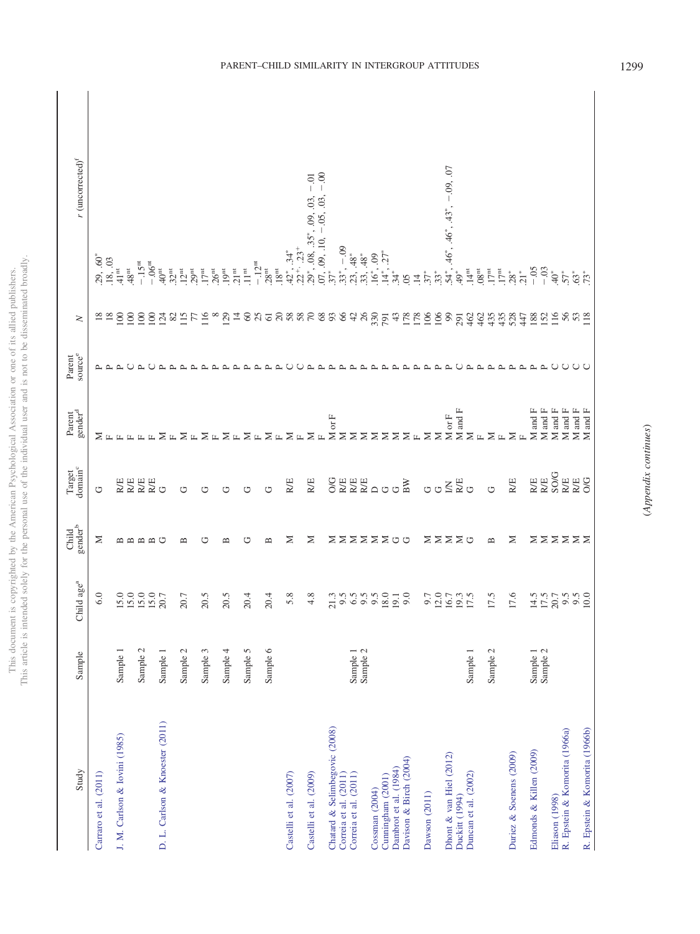|                          | ¢                    |
|--------------------------|----------------------|
| í                        |                      |
| ò                        |                      |
| ₫                        |                      |
| ō<br>ï                   |                      |
|                          |                      |
|                          | í                    |
|                          |                      |
|                          |                      |
|                          |                      |
|                          |                      |
|                          |                      |
|                          | <b>CONTRACTOR</b>    |
|                          | ;                    |
| ì                        |                      |
|                          |                      |
|                          | j                    |
|                          |                      |
|                          |                      |
|                          |                      |
|                          |                      |
| r one                    |                      |
| j                        |                      |
|                          |                      |
|                          |                      |
| ₫<br>١                   |                      |
|                          |                      |
| j                        |                      |
|                          |                      |
|                          |                      |
|                          | l user               |
|                          |                      |
|                          |                      |
|                          |                      |
| Ë                        |                      |
| j<br>ì                   | $\ddot{\phantom{a}}$ |
| J<br>I<br>)              |                      |
| ł<br>ì                   | $\ddot{\phantom{a}}$ |
| ł<br>١                   |                      |
| j                        |                      |
| $\frac{1}{2}$            |                      |
|                          |                      |
|                          |                      |
| I                        | $-250$               |
|                          |                      |
| can                      | <b>Contract</b>      |
|                          |                      |
| é                        |                      |
| i<br>c                   | ¢                    |
|                          |                      |
|                          |                      |
|                          | いきくこう                |
|                          |                      |
| de                       |                      |
| $\frac{1}{2}$<br>I       |                      |
|                          | ihe pr               |
|                          | ł                    |
|                          | i                    |
| ź<br>ć                   | j<br>i               |
| ì<br>š<br>j              |                      |
| ł<br>J<br>$\overline{)}$ | ۰                    |
|                          | ł                    |
| <b>DATI</b>              | ļU,                  |
| í<br>í                   |                      |
| $\overline{\phantom{a}}$ |                      |
| ł                        |                      |
|                          |                      |
|                          |                      |
|                          | <b>A</b> Column 4    |
| š                        |                      |
| ma                       |                      |
|                          |                      |
|                          |                      |
| j<br>١                   |                      |
|                          | ز                    |
|                          | Ŝ<br>₿               |
|                          |                      |
| <b>Linus</b>             | ì                    |
|                          | $\overline{m}$       |
|                          |                      |
|                          | Ĭ<br>۰               |
|                          |                      |

| Study                           | Sample               | Child age <sup>a</sup>     | gender <sup>b</sup><br>Child | domain <sup>c</sup><br>Target | $g$ ender <sup>d</sup><br>Parent              | source <sup>e</sup><br>Parent | $\succ$          | $r$ (uncorrected) <sup><math>f</math></sup>                                            |
|---------------------------------|----------------------|----------------------------|------------------------------|-------------------------------|-----------------------------------------------|-------------------------------|------------------|----------------------------------------------------------------------------------------|
| Carraro et al. (2011)           |                      | 6.0                        | Z                            | U                             | Σ                                             |                               | $\approx$        | $.29, .60*$                                                                            |
| J. M. Carlson & Iovini (1985)   | Sample 1             | 15.0                       | ≃                            | R/E                           |                                               |                               | 100<br>$\approx$ | .18, .03<br>41 <sup>nt</sup>                                                           |
|                                 |                      | 15.0                       | $\mathbf{r}$                 | R/E                           |                                               |                               | 100              | 48 <sup>nt</sup>                                                                       |
|                                 | Sample 2             | 15.0                       |                              | R/E                           |                                               |                               | 100              | $-15$ <sup>nt</sup>                                                                    |
|                                 |                      | 15.0                       |                              | R/E                           |                                               |                               | 100              | $-0.06^{\rm nt}$                                                                       |
| D. L. Carlson & Knoester (2011) | Sample 1             | 20.7                       |                              | O                             | ⋝                                             |                               | $\overline{24}$  | 40 <sup>nt</sup><br>32 <sup>nt</sup>                                                   |
|                                 |                      |                            |                              | O                             |                                               |                               | $\infty$         | $12^{\rm nt}$                                                                          |
|                                 | Sample 2             | 20.7                       | ≏                            |                               | ⋝                                             |                               | 15<br>F          | 29 <sup>nt</sup>                                                                       |
|                                 | Sample 3             | 20.5                       | O                            | ゥ                             | ⋝                                             |                               | 16               | 17 <sup>nt</sup>                                                                       |
|                                 |                      |                            |                              |                               |                                               |                               | $\infty$         | $26^{\rm nt}$                                                                          |
|                                 | Sample 4             | 20.5                       | ≃                            | ゥ                             | ⋝                                             |                               | 129              | 19 <sup>nt</sup>                                                                       |
|                                 |                      |                            |                              |                               |                                               |                               | $\overline{1}$   | 21 <sup>nt</sup>                                                                       |
|                                 | Sample 5             | 20.4                       | ↺                            | C                             | Σ                                             |                               | $\otimes$        | 11 <sup>nt</sup>                                                                       |
|                                 |                      |                            |                              |                               | $\boxed{\mathbf{L}}$                          |                               | 25               | $-.12^{\rm nt}$                                                                        |
|                                 | Sample 6             | 20.4                       | ≏                            | C                             | Σ                                             | ≏                             | 61               | $28^{\rm nt}$                                                                          |
|                                 |                      |                            |                              |                               | $\Box$                                        |                               |                  | $18^{\rm nt}$                                                                          |
| Castelli et al. (2007)          |                      | 5.8                        | ⋝                            | R/E                           | ⋝                                             |                               | 8888             | $42^*$ , $34^*$<br>$22^+$ , $23^+$                                                     |
|                                 |                      |                            |                              |                               | $\Box$                                        |                               |                  |                                                                                        |
| Castelli et al. (2009)          |                      | 4.8                        | ⋝                            | R/E                           | ⋝                                             |                               |                  | $-0.01$<br>$29^*$ , $08$ , $35^*$ , $09$ , $03$ ,                                      |
|                                 |                      |                            |                              |                               | $\Box$                                        |                               | 68               | $-0.00$<br>$-.05, .03,$<br>$.07, .09, .10, -37*$                                       |
| Chatard & Selimbegovic (2008)   |                      |                            | ΣΣ                           |                               | $\mathbf M$ or $\mathbf F$                    |                               | 93               |                                                                                        |
| Correia et al. (2011)           |                      | 1356558<br>1366558         |                              | <b>OCEE</b><br>REE            | Σ                                             |                               | 84885            | $.33^*$ , $-.09$<br>$.23, .48^*$                                                       |
| Correia et al. (2011)           | Sample 1             |                            | Σ                            |                               | Σ                                             |                               |                  |                                                                                        |
|                                 | Sample 2             |                            | Σ                            |                               | Σ                                             |                               |                  | 33, .48*                                                                               |
| Cossman (2004)                  |                      |                            | Σ                            | $\Delta$                      | Σ                                             |                               |                  | $16^*$ , 09                                                                            |
| Cunningham (2001)               |                      |                            | Σ                            | $\circ$                       | Σ                                             |                               |                  | $, 27^*$<br>$14^*$                                                                     |
| Dambrot et al. (1984)           |                      | 19.1                       | UU                           | $\circ$                       | Σ                                             |                               | 43               | $34*$                                                                                  |
| Davison & Birch (2004)          |                      | 9.0                        |                              | BW                            | ⋝                                             |                               | 178              | 65                                                                                     |
|                                 |                      |                            |                              |                               | $\Box$                                        |                               |                  | $\overline{14}$                                                                        |
| Dawson (2011)                   |                      | 9.7                        | ⊠                            | O                             | $\geq$                                        |                               | 106              | $37*$                                                                                  |
|                                 |                      | 12.0                       | $\geq$                       | O                             | $\geq$                                        |                               | 106              | $33*$                                                                                  |
| Dhont & van Hiel (2012)         |                      | $16.7$<br>$19.3$<br>$17.5$ | $\geq$                       | <b>KE</b>                     | $\mathbf M$ or $\mathbf F$                    |                               | 66               | $.54^{\degree}$ , $.46^{\degree}$ , $.46^{\degree}$ , $.43^{\degree}$ , $-.09$ , $.07$ |
| Duckitt (1994)                  |                      |                            | Σ                            |                               | $M$ and $F$                                   |                               | 291              | $49*$                                                                                  |
| Duncan et al. (2002)            | Sample 1             |                            | ℧                            | $\circ$                       | Σ                                             |                               | 462              | $14^{\rm nt}$                                                                          |
|                                 |                      |                            |                              |                               | L                                             |                               |                  | $08^{\rm nt}$                                                                          |
|                                 | Sample 2             | 17.5                       | $\mathbf{D}$                 | Ò                             | Σ                                             |                               |                  | $17^{\rm nt}$                                                                          |
|                                 |                      |                            |                              |                               | $\boxed{\mathbf{L}}$                          |                               | 435847           | 17 <sup>nt</sup>                                                                       |
| Duriez & Soenens (2009)         |                      | 17.6                       | ⋝                            | R/E                           | $\geq$                                        |                               |                  | $.28*$                                                                                 |
|                                 |                      |                            |                              |                               |                                               |                               |                  | $21*$                                                                                  |
| Edmonds & Killen (2009)         | Sample 1<br>Sample 2 |                            | ⋝                            |                               | $\mathbf M$ and $\mathbf F$ M and $\mathbf F$ |                               |                  | $-0.5$                                                                                 |
|                                 |                      |                            | ⋝                            | R/E<br>R/E<br>SO/G            |                                               |                               |                  | $-0.3$                                                                                 |
| Eliason (1998)                  |                      |                            | $\Sigma$                     |                               | M and F                                       | ◡                             | 38216            | $40*$                                                                                  |
| R. Epstein & Komorita (1966a)   |                      |                            |                              | <b>R/E</b>                    | $\mathbf M$ and $\mathbf F$<br>M and F        | ◡                             |                  | $57*$<br>$63*$                                                                         |
| R. Epstein & Komorita (1966b)   |                      |                            | $\Sigma$ $\square$           | R/E<br>O/G                    | and $\mathbb F$<br>$\geq$                     |                               | 53               | $73*$                                                                                  |
|                                 |                      |                            |                              |                               |                                               |                               |                  |                                                                                        |

#### PARENT–CHILD SIMILARITY IN INTERGROUP ATTITUDES 1299

(*Appendix continues*)

(Appendix continues)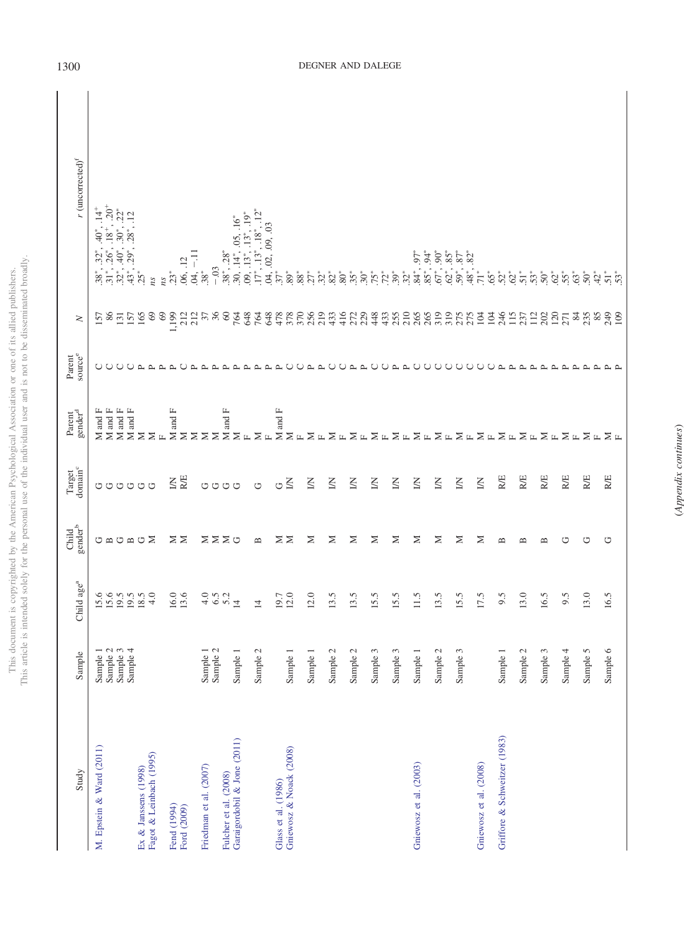This document is copyrighted by the American Psychological Association or one of its allied publishers.<br>This article is intended solely for the personal use of the individual user and is not to be disseminated broadly. This article is intended solely for the personal use of the individual user and is not to be disseminated broadly. This document is copyrighted by the American Psychological Association or one of its allied publishers.

| $r$ (uncorrected) <sup><math>f</math></sup> |                          |                  |          |                                                                                                                                                                                                                                               |                      |                         |    |                                           |                                          |                |                        |                                                                                                                                                           |                             |     |                                                                                                                                                                    |                                |                         |                              |          |                            |          |     |          |                  |          |        |          |        |                        |      |          |          |                        |       |                              |          |          |          |                                                                                                                |                                                                                                                                                                                                                        |            |  |
|---------------------------------------------|--------------------------|------------------|----------|-----------------------------------------------------------------------------------------------------------------------------------------------------------------------------------------------------------------------------------------------|----------------------|-------------------------|----|-------------------------------------------|------------------------------------------|----------------|------------------------|-----------------------------------------------------------------------------------------------------------------------------------------------------------|-----------------------------|-----|--------------------------------------------------------------------------------------------------------------------------------------------------------------------|--------------------------------|-------------------------|------------------------------|----------|----------------------------|----------|-----|----------|------------------|----------|--------|----------|--------|------------------------|------|----------|----------|------------------------|-------|------------------------------|----------|----------|----------|----------------------------------------------------------------------------------------------------------------|------------------------------------------------------------------------------------------------------------------------------------------------------------------------------------------------------------------------|------------|--|
|                                             |                          |                  |          |                                                                                                                                                                                                                                               |                      | ns                      | ns | $23*$                                     | $\frac{06}{04}$ , $\frac{12}{-1}$<br>38* | $\overline{a}$ |                        | $-03$<br>$.38^*$ , $.28^*$<br>$.30$ , $.14^*$ , $.05$ , $.16^*$<br>$.09$ , $.13^*$ , $.13^*$ , $.18^*$ , $.12^*$<br>$.17^*$ , $.13^*$ , $.18^*$ , $.12^*$ |                             |     |                                                                                                                                                                    | $.04, .02, .09, .03$<br>$.37*$ | $.89*$                  |                              |          | នៃ ភ្នំ ដូច<br>និង ដូច្នេះ |          |     |          | $35^*$<br>$30^*$ |          | $.72*$ | $.39*$   | $.32*$ |                        |      |          |          | $\overline{71}^*$      | $65*$ |                              |          |          |          | ភ្លុំ ភ្នំ ភ្លុំ ភ្លុំ ភ្លុំ ភ្លុំ ភ្លុំ ភ្លុំ ភ្លុំ ភ្លុំ ភ្លុំ ភ្លុំ ភ្លុំ ភ្លុំ ភ្លុំ ភ្លុំ ភ្លុំ ភ្នំ ភ្លុ | ية الله عليه الله عليه الله عليه الله عليه الله عليه الله عليه الله عليه الله عليه الله عليه الله عل<br>والله عليه الله عليه الله عليه الله عليه الله عليه الله عليه الله عليه الله عليه الله عليه الله عليه الله عليه |            |  |
| $\geq$                                      | 157<br>86                |                  | 131      | 157                                                                                                                                                                                                                                           |                      | $69$<br>69              |    | $1.199$<br>$212$<br>$712$<br>$56$<br>$68$ |                                          |                |                        |                                                                                                                                                           | 764                         | 648 | 648<br>764                                                                                                                                                         |                                |                         | $\frac{478}{378}$            | 256      | 219                        | 433      | 416 |          |                  |          |        |          |        |                        |      |          |          |                        |       |                              |          |          |          |                                                                                                                |                                                                                                                                                                                                                        |            |  |
| Parent<br>source <sup>e</sup>               |                          |                  |          | UUUUAAAAUAAAAAAAAUU                                                                                                                                                                                                                           |                      |                         |    |                                           |                                          |                |                        |                                                                                                                                                           |                             |     |                                                                                                                                                                    |                                |                         |                              |          |                            |          |     |          |                  |          |        |          |        |                        |      |          |          |                        |       |                              |          |          |          | A A U U A A U U A A U U U U U U U U A A A A A A A A A A A                                                      |                                                                                                                                                                                                                        |            |  |
| Parent<br>gender <sup>d</sup>               |                          |                  |          | $\begin{array}{lcl} \mathbf{M} & \mathbf{and} \ \mathbf{F} \\ \mathbf{M} & \mathbf{and} \ \mathbf{F} \\ \mathbf{M} & \mathbf{and} \ \mathbf{F} \\ \mathbf{M} & \mathbf{and} \ \mathbf{F} \\ \mathbf{M} & \mathbf{M} \ \mathbf{M} \end{array}$ |                      |                         |    | $\frac{\rm M}{\rm M}$ and F $\rm M$       |                                          |                |                        |                                                                                                                                                           |                             |     | $\begin{aligned} \mathbb{X}\mathbb{X}\mathbb{X}\mathbb{X}\to\mathbb{X}\mathbb{H} \\ \mathbb{X}\mathbb{X}\mathbb{X}\mathbb{X}\to\mathbb{X}\mathbb{H} \end{aligned}$ |                                |                         | Mand<br>Mand<br>Mand<br>Mand |          |                            |          |     |          |                  |          |        |          |        |                        |      |          |          |                        |       |                              |          |          |          | <b>SH SH SH SH SH SH SH SH SH SH SH</b>                                                                        |                                                                                                                                                                                                                        |            |  |
| Target<br>domain <sup>c</sup>               |                          |                  |          | 000000                                                                                                                                                                                                                                        |                      |                         |    | $\sum_{R}$                                |                                          |                | UU                     | <b>しし</b>                                                                                                                                                 |                             |     | ٣                                                                                                                                                                  | $\circ$                        | $\leq$                  |                              | $\leq$   |                            | $\leq$   |     | $\leq$   |                  | $\leq$   |        | $\leq$   |        | $\leq$                 | K    |          | $\leq$   | $\leq$                 |       | R/E                          |          | R/E      | R/E      |                                                                                                                | <b>R/E</b>                                                                                                                                                                                                             | <b>R/E</b> |  |
| Child<br>gender <sup>b</sup>                |                          | じゅじ              |          | $\circ$                                                                                                                                                                                                                                       |                      | Σ                       |    | ΣΣ                                        |                                          |                | ΣΣ                     | ⊠ ⊘                                                                                                                                                       |                             |     | $\mathbf{\Omega}$                                                                                                                                                  |                                | ΣZ                      |                              | ⋝        |                            | Z        |     | ⊠        |                  | ⋝        |        | ⋝        |        | Z                      | ⋝    |          | ⋝        | Z                      |       | ≃                            |          | ≃        | ≃        |                                                                                                                | ↺                                                                                                                                                                                                                      | ↺          |  |
| Child age <sup>a</sup>                      |                          | $15.6$<br>$19.5$ |          | $19.5$<br>$4.0$<br>$4.0$                                                                                                                                                                                                                      |                      |                         |    | 16.0<br>13.6                              |                                          |                |                        | $\frac{4}{9}$ $\frac{6}{9}$ $\frac{3}{14}$                                                                                                                |                             |     | $\overline{1}$                                                                                                                                                     | 19.7                           | 12.0                    |                              | 12.0     |                            | 13.5     |     | 13.5     |                  | 15.5     |        | 15.5     |        | 11.5                   | 13.5 |          | 15.5     | 17.5                   |       | 9.5                          |          | 13.0     | 16.5     |                                                                                                                | 9.5                                                                                                                                                                                                                    | 13.0       |  |
| Sample                                      | Sample 1                 | Sample 2         | Sample 3 | Sample 4                                                                                                                                                                                                                                      |                      |                         |    |                                           |                                          |                | Sample 1<br>Sample 2   |                                                                                                                                                           | Sample 1                    |     | Sample 2                                                                                                                                                           |                                | Sample 1                |                              | Sample 1 |                            | Sample 2 |     | Sample 2 |                  | Sample 3 |        | Sample 3 |        | Sample 1               |      | Sample 2 | Sample 3 |                        |       |                              | Sample 1 | Sample 2 | Sample 3 |                                                                                                                | Sample 4                                                                                                                                                                                                               | Sample 5   |  |
| Study                                       | M. Epstein & Ward (2011) |                  |          |                                                                                                                                                                                                                                               | Ex & Janssens (1998) | Fagot & Leinbach (1995) |    | Fend (1994)                               | Ford (2009)                              |                | Friedman et al. (2007) | Fulcher et al. (2008)                                                                                                                                     | Garaigordobil & Jone (2011) |     |                                                                                                                                                                    | Glass et al. (1986)            | Gniewosz & Noack (2008) |                              |          |                            |          |     |          |                  |          |        |          |        | Gniewosz et al. (2003) |      |          |          | Gniewosz et al. (2008) |       | Griffore & Schweitzer (1983) |          |          |          |                                                                                                                |                                                                                                                                                                                                                        |            |  |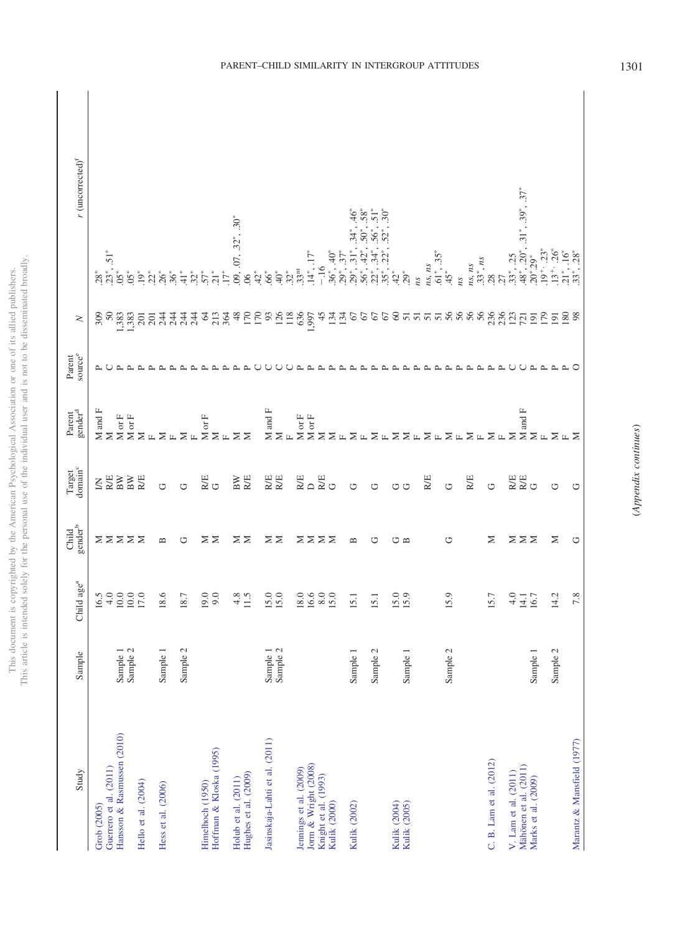| ĵ<br>ĭ<br>í       | i              |
|-------------------|----------------|
| ē                 |                |
|                   |                |
| ζ<br>ï            |                |
| i                 |                |
|                   | í              |
|                   |                |
|                   |                |
|                   |                |
| Í                 |                |
|                   | i              |
|                   | ;              |
|                   |                |
| ì                 |                |
|                   |                |
|                   |                |
|                   |                |
|                   |                |
| J                 |                |
|                   |                |
| i                 |                |
|                   |                |
|                   |                |
|                   | Ę              |
|                   |                |
|                   |                |
|                   | j              |
|                   |                |
|                   |                |
|                   | ļ              |
|                   |                |
| ¢                 |                |
| j<br>ì            |                |
| j<br>)            |                |
| j<br>۹            |                |
|                   |                |
|                   |                |
|                   |                |
|                   |                |
| ≏                 |                |
|                   |                |
| š                 | b              |
| ĭ                 |                |
| i                 |                |
|                   |                |
|                   |                |
|                   |                |
|                   |                |
| ł                 |                |
| $\frac{1}{2}$     |                |
|                   |                |
| i                 |                |
|                   |                |
| ł<br>j            |                |
| ì<br>j            |                |
| ł<br>I<br>Û       |                |
|                   |                |
| í.                |                |
| and with and<br>ł |                |
| İ<br>١            |                |
|                   |                |
|                   |                |
|                   |                |
|                   |                |
| ĵ<br>I            |                |
|                   |                |
|                   |                |
| í                 |                |
| j                 | j              |
| ţ                 | З              |
|                   | í              |
|                   |                |
| thus<br>Ĭ         | $\overline{1}$ |
|                   | i              |
|                   |                |

 $\overline{\phantom{a}}$ 

| Study                                | Sample               | Child age <sup>a</sup> | $\operatorname*{Child}\nolimits_{\operatorname*{gender}\nolimits^{\operatorname*{b}\nolimits}}$ | Target<br>domain <sup>c</sup> | Parent<br>gender <sup>d</sup> | $\begin{array}{ll} \text{Parent} \\ \text{source}^e \end{array}$ | $\geq$                           | $r$ (uncorrected) <sup><math>f</math></sup>                                                        |
|--------------------------------------|----------------------|------------------------|-------------------------------------------------------------------------------------------------|-------------------------------|-------------------------------|------------------------------------------------------------------|----------------------------------|----------------------------------------------------------------------------------------------------|
| Grob (2005)                          |                      | 6.5                    |                                                                                                 | $\leq$                        | M and F                       |                                                                  | 309                              | $28^{\degree}$                                                                                     |
| Guerrero et al. (2011)               |                      | 4.0                    |                                                                                                 | <b>R/E</b>                    | $\geq$                        |                                                                  | $50\,$                           | $51*$<br>$.23^{*}, 05^{*}$                                                                         |
| Hansson & Rasmussen (2010)           | Sample 1<br>Sample 2 | 10.0                   | ⋝⋜⋜⋜                                                                                            | BW                            | $\mathbf M$ or $\mathbf F$    |                                                                  | $\frac{1,383}{1,383}$            |                                                                                                    |
|                                      |                      | 10.0                   |                                                                                                 | BW                            | $\mathbf M$ or $\mathbf F$    |                                                                  |                                  | $\tilde{\mathcal{S}}$ 0.                                                                           |
| Hello et al. (2004)                  |                      | 17.0                   | ⊠                                                                                               | RÆ                            | $\geq$                        |                                                                  |                                  | $.19*$                                                                                             |
|                                      |                      |                        |                                                                                                 |                               | $\Box$                        |                                                                  | 201                              | $22*$                                                                                              |
| Hess et al. (2006)                   | Sample 1             | 18.6                   | $\mathbf{\Omega}$                                                                               | O                             | $\geq$<br>$\Box$              |                                                                  | 244<br>244                       | $26*$<br>$36*$                                                                                     |
|                                      |                      |                        |                                                                                                 |                               |                               |                                                                  |                                  |                                                                                                    |
|                                      | Sample 2             | 18.7                   | ↺                                                                                               | ت                             | Σ<br>$\boxed{\phantom{1}}$    |                                                                  | 244<br>244                       | $\ddot{4}$<br>$32*$                                                                                |
| Himelhoch (1950)                     |                      | 19.0                   | ⋝                                                                                               | <b>R/E</b>                    | M or F                        |                                                                  | $\mathcal{L}$                    | 57                                                                                                 |
| Hoffman & Kloska (1995)              |                      | 9.0                    | Σ                                                                                               | O                             | $\sum$                        |                                                                  |                                  | $\overline{21}^*$                                                                                  |
|                                      |                      |                        |                                                                                                 |                               | $\square$                     |                                                                  | 213<br>364                       | $.17*$                                                                                             |
| Holub et al. (2011)                  |                      | 4.8                    | ≍                                                                                               | BW                            | $\geq$                        |                                                                  | 48                               | $.09, .07, .32^*, .30^*$                                                                           |
| Hughes et al. (2009)                 |                      | 11.5                   | Σ                                                                                               | RÆ                            | Σ                             |                                                                  | 170                              | $\sim$                                                                                             |
|                                      |                      |                        |                                                                                                 |                               |                               |                                                                  | 170                              | $42*$                                                                                              |
| Jasinskaja-Lahti et al. (2011)       | Sample 1             | 15.0                   | ⋝                                                                                               | <b>R/E</b>                    | M and F                       |                                                                  | 93                               | $.66*$                                                                                             |
|                                      | Sample 2             | 15.0                   | Σ                                                                                               | R/E                           | Σ                             |                                                                  | 126                              | $40^*$                                                                                             |
|                                      |                      |                        |                                                                                                 |                               | $\Box$                        |                                                                  | 118                              | $32*$                                                                                              |
| Jennings et al. (2009)               |                      | 18.0                   | ≅                                                                                               | <b>R/E</b>                    |                               |                                                                  | 636                              | 33 <sup>nt</sup>                                                                                   |
| Jorm & Wright (2008)                 |                      | 16.6                   | Σ                                                                                               | $\Delta$                      | $M$ or $F$<br>M or $F$        |                                                                  |                                  | $17^*$<br>$14^{*}$ ,                                                                               |
|                                      |                      | 8.0                    | Σ                                                                                               | R/E                           | Σ                             |                                                                  | 1,997<br>45                      | $-16$                                                                                              |
| Knight et al. (1993)<br>Kulik (2000) |                      | 15.0                   | Σ                                                                                               | O                             | Σ                             |                                                                  | 134                              | $.36^*$ , $.40^*$                                                                                  |
|                                      |                      |                        |                                                                                                 |                               |                               |                                                                  | 134                              | $.37*$<br>29 <sup>*</sup>                                                                          |
| Kulik (2002)                         | Sample 1             | 15.1                   | ≏                                                                                               | O                             | Σ                             |                                                                  | 67                               | $\mathcal{A}^*$<br>34.<br>$.31*$ ,<br>$.29^{*}$                                                    |
|                                      |                      |                        |                                                                                                 |                               |                               |                                                                  | 67                               | $\,$ .58 $\,$<br>$\cdot$ .50 $\cdot$<br>, 42,<br>.56 <sup>*</sup> ,                                |
|                                      | Sample 2             | 15.1                   | ↺                                                                                               | ٣                             | Σ                             |                                                                  | 67                               | $\overline{51}^*$<br>.56 <sup>*</sup> ,<br>$.34^{*}$ .<br>$\ddot{\phantom{0}}$<br>.22 <sup>*</sup> |
|                                      |                      |                        |                                                                                                 |                               |                               |                                                                  | 67                               | $.30*$<br>52 <sup>*</sup><br>$.35^*$ ,                                                             |
|                                      |                      |                        | ロ                                                                                               | ت                             | Σ                             |                                                                  | $\odot$                          | $42*$                                                                                              |
| Kulik (2004)<br>Kulik (2005)         | Sample 1             | 15.0                   | $\approx$                                                                                       | ひ                             | $\geq$                        |                                                                  |                                  | $29*$                                                                                              |
|                                      |                      |                        |                                                                                                 |                               | $\boxed{\mathbf{L}}$          |                                                                  | $\overline{5}$<br>$\overline{1}$ | ns                                                                                                 |
|                                      |                      |                        |                                                                                                 | R/E                           | Σ                             |                                                                  |                                  | ns, ns                                                                                             |
|                                      |                      |                        |                                                                                                 |                               | $\boxed{\mathbf{L}}$          |                                                                  |                                  | $, .35^*$<br>$61^*$                                                                                |
|                                      | Sample 2             | 15.9                   | ゥ                                                                                               | O                             | $\geq$                        |                                                                  |                                  | $45*$                                                                                              |
|                                      |                      |                        |                                                                                                 |                               | $\Box$                        |                                                                  |                                  | ns                                                                                                 |
|                                      |                      |                        |                                                                                                 | <b>R/E</b>                    | Σ                             |                                                                  | 558888                           | ns, ns                                                                                             |
|                                      |                      |                        |                                                                                                 |                               | $\Box$                        |                                                                  |                                  | $.33^*$ , ns<br>$.28$                                                                              |
| C. B. Lam et al. (2012)              |                      | 15.7                   | ⋝                                                                                               | Ò                             | Σ                             |                                                                  |                                  |                                                                                                    |
|                                      |                      |                        |                                                                                                 |                               |                               |                                                                  | 236<br>236<br>123                | 27                                                                                                 |
| V. Lam et al. (2011)                 |                      | 4.0                    | ⋝                                                                                               | RÆ                            | Σ                             |                                                                  |                                  | $.33^*$ , $.25$<br>$.48^*$ , $.20^*$ , $.31^*$ , $.39^*$ , $.37^*$                                 |
| Mähönen et al. (2011)                |                      | 14.1                   | $\geq$ $\geq$                                                                                   | RÆ                            | $M$ and $F$                   |                                                                  | 721                              |                                                                                                    |
| Marks et al. (2009)                  | Sample 1             | 16.7                   |                                                                                                 | O                             | $\geq$                        | $\Delta$                                                         | 191                              | $20^*29^*$                                                                                         |
|                                      |                      |                        |                                                                                                 |                               |                               | $\Delta$                                                         | 179                              | $.19^{+. .23*}$                                                                                    |
|                                      | Sample 2             | 14.2                   | ⊠                                                                                               | O                             | ⋝                             | ≏                                                                | 191                              | $.13^{+. .26^{*}}$                                                                                 |
|                                      |                      |                        |                                                                                                 |                               | ∟ Σ                           | ≏                                                                | 180<br>98                        | $.16$ <sup>*</sup><br>$21^*$                                                                       |
| Marantz & Mansfield (1977)           |                      | 7.8                    | O                                                                                               | ت                             |                               |                                                                  |                                  | $28^{\circ}$<br>$33^{*}$                                                                           |

PARENT–CHILD SIMILARITY IN INTERGROUP ATTITUDES 1301

(*Appendix continues*)

(Appendix continues)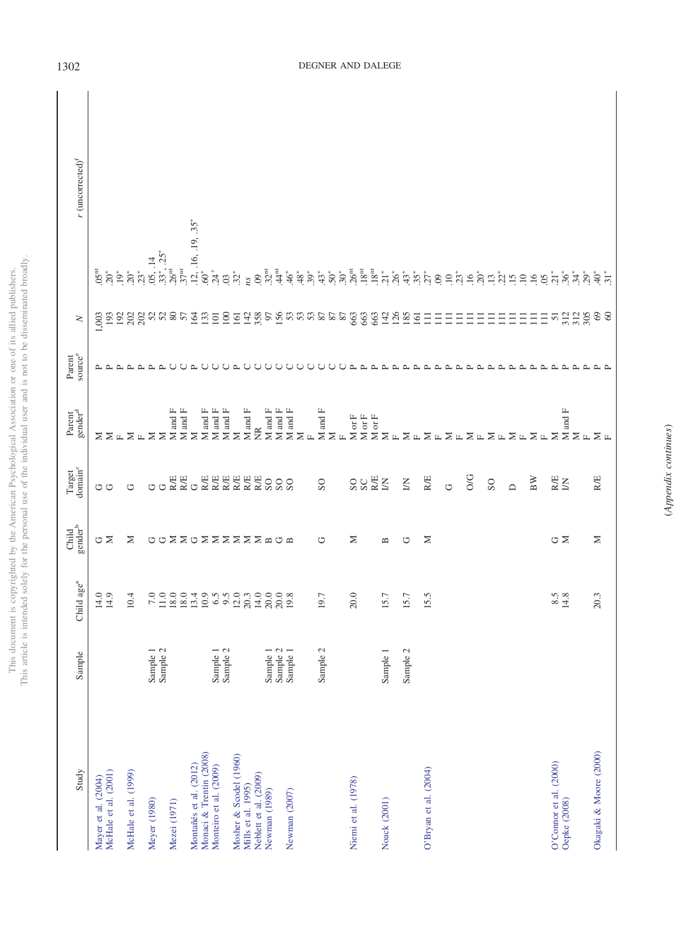This document is copyrighted by the American Psychological Association or one of its allied publishers.<br>This article is intended solely for the personal use of the individual user and is not to be disseminated broadly. This article is intended solely for the personal use of the individual user and is not to be disseminated broadly. This document is copyrighted by the American Psychological Association or one of its allied publishers.

| Study                                       | Sample               | Child age <sup>a</sup>  | $\operatorname*{Child}\nolimits_{\operatorname*{gender}\nolimits^{\operatorname*{b}\nolimits}}$ | Target<br>domain <sup>c</sup> | Parent<br>gender <sup>d</sup> | $\begin{array}{ll} \text{Parent} \\ \text{source}^e \end{array}$ | $\geq$                 | $r$ (uncorrected) <sup><math>f</math></sup> |
|---------------------------------------------|----------------------|-------------------------|-------------------------------------------------------------------------------------------------|-------------------------------|-------------------------------|------------------------------------------------------------------|------------------------|---------------------------------------------|
| McHale et al. (2001)<br>Mayer et al. (2004) |                      | 14.9<br>14.0            | $\circ$ $\geq$                                                                                  | υ υ                           | ΣΣ                            |                                                                  | 193<br>1,003           | 05 <sup>nt</sup><br>$20*$                   |
|                                             |                      |                         |                                                                                                 |                               |                               |                                                                  | 192                    | $.19*$                                      |
| McHale et al. (1999)                        |                      | 10.4                    | Σ                                                                                               | U                             | ≅<br>$\boxed{1}$              |                                                                  | 202<br>202             | $20^*$<br>$23*$                             |
| Meyer (1980)                                | Sample 1             | 7.0                     | ت                                                                                               | ت                             | Σ                             |                                                                  | 52                     | .05, .14                                    |
| Mezei (1971)                                | Sample 2             | 18.0<br>$11.0\,$        | ⊠<br>℧                                                                                          | R/E<br>O                      | M and F<br>$\geq$             |                                                                  | $80\,$<br>52           | $33^*$ , $25^*$<br>.26 <sup>nt</sup>        |
|                                             |                      | 18.0                    | $\geq$                                                                                          | RÆ                            | $\mathbf M$ and $\mathbf F$   |                                                                  | 57                     | 37 <sup>nt</sup>                            |
| Montañés et al. (2012)                      |                      | 13.4                    | U                                                                                               | $\circ$                       | $\geq$                        |                                                                  | 164                    | $.12, .16, .19, .35^*$<br>$.60^*$           |
| Monaci & Trentin (2008)                     |                      | 10.9                    | $\geq$                                                                                          | RÆ                            | M and F                       |                                                                  | 133                    |                                             |
| Monteiro et al. (2009)                      | Sample 1<br>Sample 2 |                         |                                                                                                 | RÆ<br>R/E                     | M and F<br>M and F            |                                                                  | 100<br>10 <sub>1</sub> | $74 +$<br>03                                |
| Mosher & Scodel (1960)                      |                      | $6.5$<br>$9.5$<br>$0.2$ | $\Sigma \Sigma \Sigma$                                                                          |                               | $\geq$                        |                                                                  | 161                    | $.32*$                                      |
| Mills et al. 1995)                          |                      | 20.3                    |                                                                                                 | R/E<br>R/E                    | M and F                       |                                                                  | 142                    | ns                                          |
| Neblett et al. (2009)                       |                      | 14.0                    | $\sum$                                                                                          |                               | $\widetilde{\Xi}$             |                                                                  | 358                    | 09                                          |
| Newman (1989)                               | Sample 1             | 20.0                    | $\mathbf{\underline{\smash{\sim}}}$                                                             | <b>ESSS</b>                   | M and F                       |                                                                  | 60                     | .32 <sup>nt</sup>                           |
| Newman (2007)                               | Sample 2<br>Sample 1 | 19.8                    | U<br>$\mathbf{m}$                                                                               |                               | M and F<br>M and F            |                                                                  | 156<br>53              | $44^{\rm nt}$<br>$46*$                      |
|                                             |                      |                         |                                                                                                 |                               | ≍                             |                                                                  | 53                     | $48^*$                                      |
|                                             |                      |                         |                                                                                                 |                               | LL.                           |                                                                  | 53                     | $.39*$                                      |
|                                             | Sample 2             | 19.7                    | ٣                                                                                               | S <sub>O</sub>                | $M$ and $F$                   |                                                                  | 87                     | $43*$                                       |
|                                             |                      |                         |                                                                                                 |                               | Σ                             |                                                                  | 87                     | $50^*$                                      |
|                                             |                      |                         |                                                                                                 |                               | $\boxed{1}$                   |                                                                  | $87\,$                 | $30*$                                       |
| Niemi et al. (1978)                         |                      | $20.0\,$                | Σ                                                                                               |                               | $M$ or $F$                    |                                                                  | 663                    | $26^{\rm nt}$                               |
|                                             |                      |                         |                                                                                                 | SSE                           | $M$ or $F$<br>M or ${\rm F}$  |                                                                  | 663<br>663             | $18^{\rm nt}$<br>$18^{\rm nt}$              |
| Noack (2001)                                | Sample 1             | 15.7                    | $\mathbf{\Omega}$                                                                               |                               | Σ                             |                                                                  | 142                    | $21*$                                       |
|                                             |                      |                         |                                                                                                 |                               |                               |                                                                  | 126                    | $.26*$                                      |
|                                             | Sample 2             | 15.7                    | U                                                                                               | $\leq$                        | ⋝                             |                                                                  | 185                    | $43*$                                       |
|                                             |                      |                         |                                                                                                 |                               |                               |                                                                  | 161                    | $35^*$                                      |
| O'Bryan et al. (2004)                       |                      | 15.5                    | Σ                                                                                               | R/E                           |                               |                                                                  | Ξ                      | $27*$                                       |
|                                             |                      |                         |                                                                                                 | Ò                             |                               |                                                                  | Ξ<br>Ξ                 | $\overline{0}$<br>$\overline{10}$           |
|                                             |                      |                         |                                                                                                 |                               | $\Box$                        |                                                                  | $\Xi$                  | $23*$                                       |
|                                             |                      |                         |                                                                                                 | O/G                           | ⋝                             |                                                                  | $\Xi$                  | .16                                         |
|                                             |                      |                         |                                                                                                 |                               | LL.                           |                                                                  | Ξ                      | $.20*$                                      |
|                                             |                      |                         |                                                                                                 | SO                            | ⋝                             |                                                                  | Ξ                      | $\overline{13}$                             |
|                                             |                      |                         |                                                                                                 |                               |                               |                                                                  | Ξ                      | $22*$                                       |
|                                             |                      |                         |                                                                                                 | $\triangle$                   | ⋝                             |                                                                  | Ξ                      | $\ddot{.}$                                  |
|                                             |                      |                         |                                                                                                 |                               |                               |                                                                  | Ξ                      | $\overline{10}$                             |
|                                             |                      |                         |                                                                                                 | BW                            | Σ<br>L.                       |                                                                  | Ξ<br>$\Xi$             | 16<br>05                                    |
| O'Comor et al. (2000)                       |                      | 8.5                     |                                                                                                 |                               | Σ                             |                                                                  | $\overline{51}$        | $21*$                                       |
| Oepke (2008)                                |                      | 14.8                    | $\circ$ $\geq$                                                                                  | R/E<br>IN                     | $M$ and $F$                   |                                                                  | 312                    | $36^*$<br>$34^*$                            |
|                                             |                      |                         |                                                                                                 |                               | Σ<br>LL.                      |                                                                  | 305<br>312             | $29*$                                       |
| Okagaki & Moore (2000)                      |                      | 20.3                    | $\geq$                                                                                          | <b>R/E</b>                    | ⋝                             |                                                                  | $69\,$                 |                                             |
|                                             |                      |                         |                                                                                                 |                               |                               |                                                                  | 60                     | $rac{40}{31}$                               |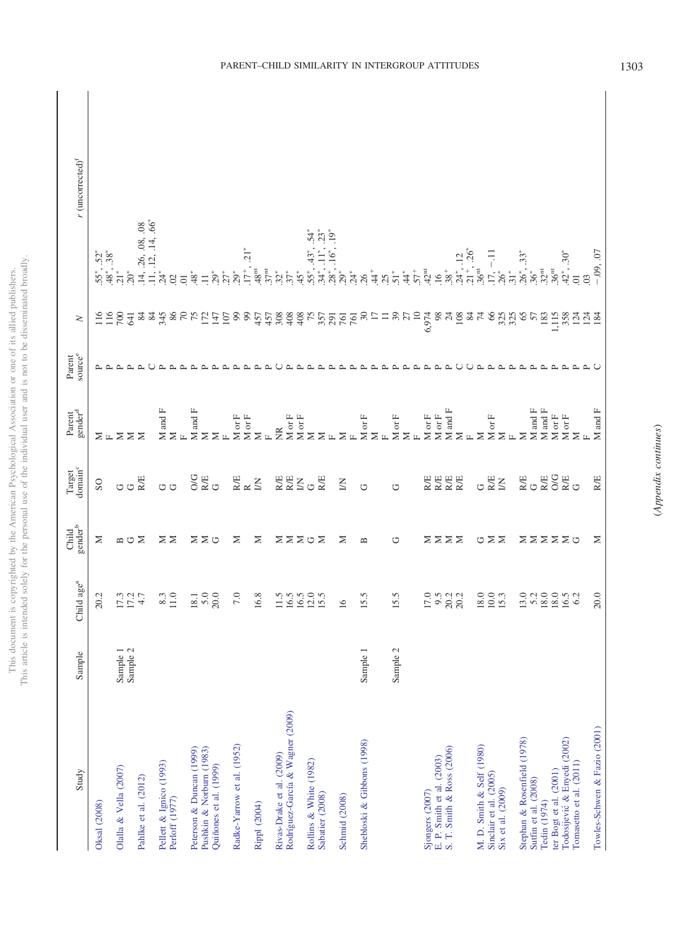|               | į,     |
|---------------|--------|
|               |        |
|               |        |
| š<br>į        | i      |
| ä<br>j        |        |
| ğ             |        |
| ī             |        |
| ï             |        |
|               | í      |
|               | I      |
|               |        |
| I<br>ì        |        |
|               |        |
|               | coo    |
|               |        |
| Ļ.            |        |
|               | Ś      |
|               |        |
|               |        |
|               |        |
|               |        |
|               |        |
|               |        |
|               |        |
|               |        |
| j             | j      |
|               |        |
|               |        |
|               | j      |
|               |        |
|               |        |
|               | Š      |
|               |        |
| ć<br>3        |        |
| j<br>).       |        |
| ł             |        |
| ł<br>ł<br>١   |        |
| j             |        |
| i             |        |
|               |        |
| ≏             |        |
|               |        |
| can           |        |
| ì             |        |
|               |        |
| í<br>Ì        |        |
|               |        |
|               |        |
|               | í      |
| the .         |        |
| ī             |        |
| j             | É<br>ś |
|               |        |
|               | ś      |
| I<br>j        | ï      |
| ŝ             |        |
| l<br>ℷ<br>J   |        |
| é             | ï      |
| i             |        |
| ï<br>i<br>J   |        |
| j<br>ł        |        |
|               | j      |
| È             |        |
|               | Š      |
| i<br>3        |        |
| Í             |        |
| $\frac{1}{2}$ |        |
| í             |        |
|               | ì      |
|               | ₹      |
| his           | ť      |
|               | į<br>ã |
| į             | his    |
|               | í      |
|               | i<br>ł |
|               |        |

| Study                                                  | Sample                               | Child age <sup>a</sup>        | Child<br>gender <sup>b</sup> | domain <sup>c</sup><br>Target | Parent<br>gender <sup>d</sup>                            | $\rm source^{\rm e}$<br>Parent | $\succ$                                   | $r$ (uncorrected) <sup><math>f</math></sup>                    |
|--------------------------------------------------------|--------------------------------------|-------------------------------|------------------------------|-------------------------------|----------------------------------------------------------|--------------------------------|-------------------------------------------|----------------------------------------------------------------|
| <b>Oksal</b> (2008)                                    |                                      | 20.2                          | $\geq$                       | SO                            |                                                          |                                |                                           |                                                                |
|                                                        |                                      |                               |                              |                               | ∑ ⊾                                                      |                                | 116                                       | $.55^{\circ}$ , $.52^{\circ}$<br>$.48^{\circ}$ , $.38^{\circ}$ |
| Olalla & Vella (2007)                                  | Sample 1<br>Sample 2                 | $17.3$<br>$17.4$              | $\Box$                       | U                             | $\Sigma \Sigma$                                          |                                | 700                                       | $21*$                                                          |
|                                                        | Sample                               |                               |                              | $\circ$                       |                                                          |                                | 641                                       | $20^*$                                                         |
| Pahlke et al. (2012)                                   |                                      |                               | Σ                            | R/E                           |                                                          |                                | zzzerczz                                  | 14, 26, 08, 08                                                 |
| Pellett & Ignico (1993)                                |                                      | 8.3                           | ⋝                            | $\circ$                       | $M$ and $F$                                              |                                |                                           | 11, .12, .14, .66*<br>$24$ *                                   |
| Perloff (1977)                                         |                                      | 11.0                          | Σ                            | O                             | Σ                                                        |                                |                                           | $\Omega$                                                       |
|                                                        |                                      |                               |                              |                               | $\Box$                                                   |                                |                                           | $\overline{0}$                                                 |
| Peterson & Duncan (1999)                               |                                      | 18.1                          | ⋝                            |                               | $M$ and $F$                                              |                                |                                           | $48*$                                                          |
| Pushkin & Norburn (1983)                               |                                      | $5.0$<br>20.0                 | Σ Φ                          | SE <sub>U</sub>               | Σ                                                        |                                |                                           | $\equiv$                                                       |
| Quiñones et al. (1999)                                 |                                      |                               |                              |                               | Σ                                                        |                                |                                           | $29*$                                                          |
|                                                        |                                      |                               |                              |                               | $\Box$                                                   |                                | 107                                       | $27*$                                                          |
| Radke-Yarrow et al. (1952)                             |                                      | $7.0\,$                       | ⋝                            | $\mathbb{E}_{\alpha}$ $\leq$  | $M$ or $F$<br>$M$ or $F$                                 |                                | 66<br>66                                  | $\overline{21}^*$<br>$17^{+}$<br>$29*$                         |
|                                                        |                                      |                               |                              |                               | Σ                                                        |                                | 457                                       | .48 <sup>nt</sup>                                              |
| Rippl (2004)                                           |                                      | 16.8                          | Z                            |                               | $\Box$                                                   |                                | 457                                       | 37 <sup>nt</sup>                                               |
| Rivas-Drake et al. (2009)                              |                                      | 11.5                          | z                            |                               | $\widetilde{\Xi}$                                        |                                | 308                                       | $32*$                                                          |
| Rodríguez-García & Wagner (2009)                       |                                      | 16.5                          | Σ                            | <b>NHKHK</b>                  | M or F                                                   |                                |                                           | $37*$                                                          |
|                                                        |                                      | 16.5                          | $\geq$                       |                               | M or ${\rm F}$                                           |                                |                                           | $45^*$                                                         |
| Rollins & White (1982)                                 |                                      |                               | U                            |                               | ≍                                                        |                                |                                           | $.54*$<br>$.55^*$ , $.43^*$ , $.11^*$ ,                        |
| Sabatier (2008)                                        |                                      | 12.5                          | ⋝                            | R/E                           | ⋝                                                        |                                |                                           | $\ddot{\cdot}$ . 11 $\ddot{\cdot}$ .                           |
|                                                        |                                      |                               |                              |                               |                                                          |                                | $408$<br>$407$<br>$707$<br>$701$<br>$701$ | $.19*$<br>$\frac{28^*}{29^*}$ . $16^*$ ,                       |
| Schmid (2008)                                          |                                      | $\overline{16}$               | z                            | K                             | ⋝                                                        |                                |                                           |                                                                |
|                                                        |                                      |                               |                              |                               | $\boxed{1}$                                              |                                | 761                                       | $24$ <sup>*</sup>                                              |
| Shebloski & Gibbons (1998)                             | $\overline{e}$ 1<br>Sample           | 15.5                          | ≃                            | ٣                             | M or F                                                   |                                | 30                                        | 26                                                             |
|                                                        |                                      |                               |                              |                               | Σ                                                        |                                |                                           | $\ddot{ }$                                                     |
|                                                        |                                      |                               |                              |                               | $\Box$                                                   |                                |                                           | $\frac{5}{2}$                                                  |
|                                                        | $\mathcal{L}$<br>$\bullet$<br>Sample | 15.5                          | ロ                            | ゥ                             | $M$ or $F$                                               |                                | 39                                        |                                                                |
|                                                        |                                      |                               |                              |                               | $\geq$<br>$\Box$                                         |                                | $\overline{10}$<br>27                     | $47 +$<br>$57 +$                                               |
| Sjongers (2007)                                        |                                      |                               | ⋝                            |                               | $M$ or $F$                                               |                                | 6,974                                     | 42 <sup>nt</sup>                                               |
|                                                        |                                      |                               | ⋝                            |                               | M or ${\rm F}$                                           |                                |                                           | 16                                                             |
| E. P. Smith et al. (2003)<br>S. T. Smith & Ross (2006) |                                      | $17.0$<br>9.5<br>20.2<br>20.2 |                              | <b>EEEE</b><br>EEEE           | M and F                                                  |                                | 8340                                      | $.38^{+}$                                                      |
|                                                        |                                      |                               | $\Sigma \Sigma$              |                               | $\geq$                                                   |                                |                                           |                                                                |
|                                                        |                                      |                               |                              |                               | $\boxed{\mathbf{L}}$                                     |                                | 84                                        | $.24^*$ , $.12$<br>$.21^+$ , $.26$                             |
| M. D. Smith & Self (1980)                              |                                      | 18.0                          |                              |                               | Σ                                                        |                                | $74$                                      | $36^{\rm nt}$ . $26^*$                                         |
| Sinclair et al. (2005)                                 |                                      | $10.0\,$                      | $\circ$ $\geq$               | G RE                          | $M$ or $F$                                               |                                | 66                                        | $\frac{11}{1}$<br>.17, 26                                      |
| Six et al. (2009)                                      |                                      | 15.3                          | $\geq$                       | $\leq$                        | $\geq$                                                   |                                | 325<br>325                                |                                                                |
|                                                        |                                      |                               |                              |                               | LL.                                                      |                                |                                           | $31*$                                                          |
| Stephan & Rosenfield (1978)                            |                                      | 13.0                          |                              |                               | $\geq$                                                   |                                |                                           | $26^*$ , $33^*$                                                |
| Sutfin et al. (2008)                                   |                                      | $\frac{5.2}{18.0}$<br>16.0    |                              | RE<br>GRE<br>O/G              | M and F                                                  |                                |                                           | $36^{*}$                                                       |
| Tedin (1974)                                           |                                      |                               |                              |                               | $M$ and $F$                                              |                                |                                           | 32 <sup>nt</sup>                                               |
| ter Bogt et al. (2001)                                 |                                      |                               |                              |                               | $\frac{\mathbbmss{M}}{\mathbbmss{M}}$ or $\mathbbmss{F}$ |                                |                                           | 36 <sup>nt</sup>                                               |
| Todosijević & Enyedi (2002)                            |                                      |                               | <b>ZZZZZO</b>                | <b>R/E</b>                    |                                                          |                                | $\frac{57}{133}$<br>1.115<br>128          | $42^*$ , $30^*$                                                |
| Tomasetto et al. (2011)                                |                                      | 6.2                           |                              | $\circ$                       | Σц                                                       |                                |                                           | $\overline{0}$<br>$\overline{0}$                               |
| Towles-Schwen & Fazio (2001)                           |                                      | 20.0                          | Σ                            | R/E                           | $M$ and $F$                                              |                                | 124<br>184                                | $-.09, .07$                                                    |
|                                                        |                                      |                               |                              |                               |                                                          |                                |                                           |                                                                |

(*Appendix continues*)

(Appendix continues)